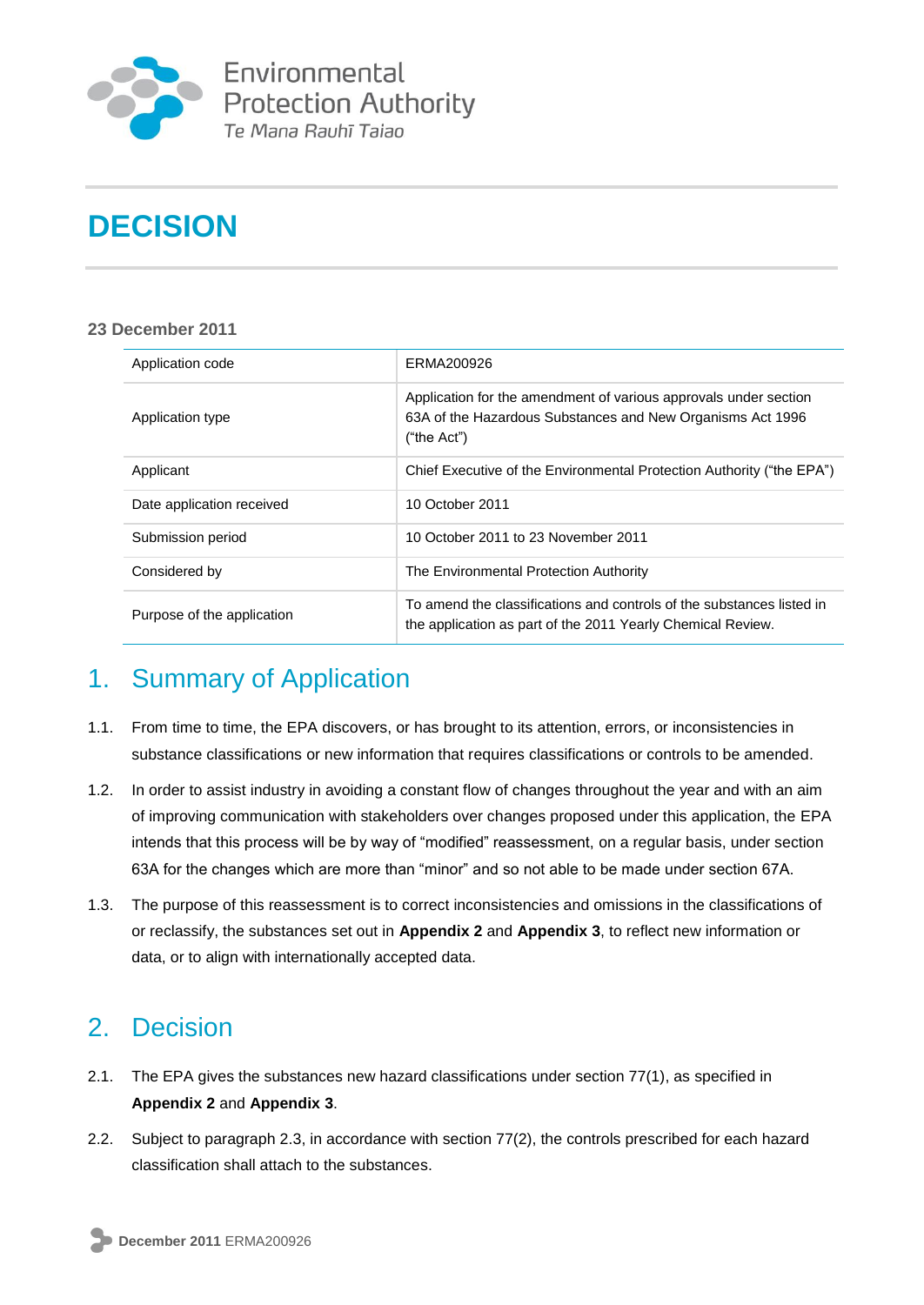

Environmental **Protection Authority** Te Mana Rauhī Tajao

# **DECISION**

#### **23 December 2011**

| Application code           | ERMA200926                                                                                                                                    |
|----------------------------|-----------------------------------------------------------------------------------------------------------------------------------------------|
| Application type           | Application for the amendment of various approvals under section<br>63A of the Hazardous Substances and New Organisms Act 1996<br>("the Act") |
| Applicant                  | Chief Executive of the Environmental Protection Authority ("the EPA")                                                                         |
| Date application received  | 10 October 2011                                                                                                                               |
| Submission period          | 10 October 2011 to 23 November 2011                                                                                                           |
| Considered by              | The Environmental Protection Authority                                                                                                        |
| Purpose of the application | To amend the classifications and controls of the substances listed in<br>the application as part of the 2011 Yearly Chemical Review.          |

## 1. Summary of Application

- 1.1. From time to time, the EPA discovers, or has brought to its attention, errors, or inconsistencies in substance classifications or new information that requires classifications or controls to be amended.
- 1.2. In order to assist industry in avoiding a constant flow of changes throughout the year and with an aim of improving communication with stakeholders over changes proposed under this application, the EPA intends that this process will be by way of "modified" reassessment, on a regular basis, under section 63A for the changes which are more than "minor" and so not able to be made under section 67A.
- 1.3. The purpose of this reassessment is to correct inconsistencies and omissions in the classifications of or reclassify, the substances set out in **Appendix 2** and **Appendix 3**, to reflect new information or data, or to align with internationally accepted data.

## 2. Decision

- 2.1. The EPA gives the substances new hazard classifications under section 77(1), as specified in **Appendix 2** and **Appendix 3**.
- 2.2. Subject to paragraph 2.3, in accordance with section 77(2), the controls prescribed for each hazard classification shall attach to the substances.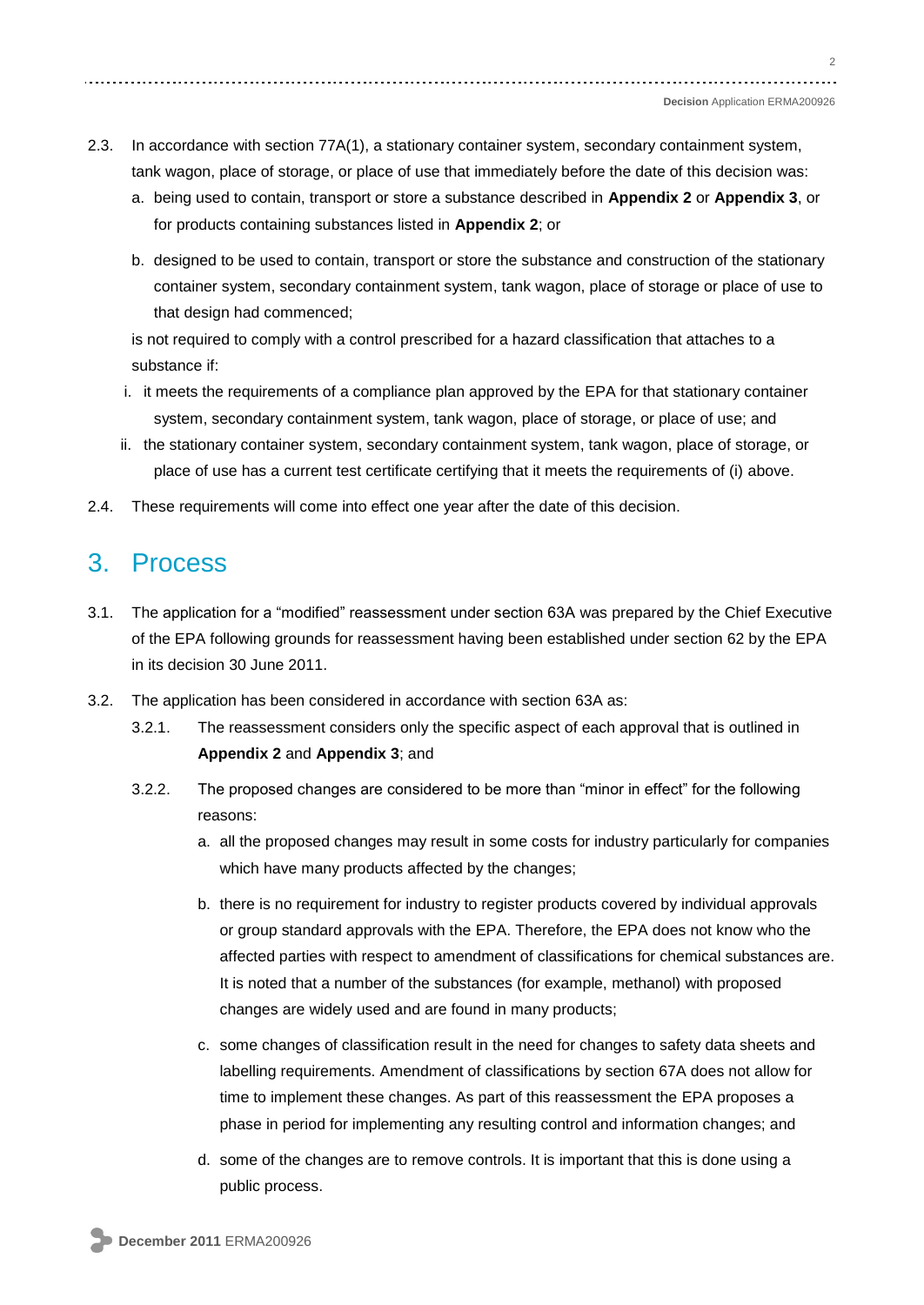#### **Decision** Application ERMA200926

- 2.3. In accordance with section 77A(1), a stationary container system, secondary containment system, tank wagon, place of storage, or place of use that immediately before the date of this decision was:
	- a. being used to contain, transport or store a substance described in **Appendix 2** or **Appendix 3**, or for products containing substances listed in **Appendix 2**; or
	- b. designed to be used to contain, transport or store the substance and construction of the stationary container system, secondary containment system, tank wagon, place of storage or place of use to that design had commenced;

is not required to comply with a control prescribed for a hazard classification that attaches to a substance if:

- i. it meets the requirements of a compliance plan approved by the EPA for that stationary container system, secondary containment system, tank wagon, place of storage, or place of use; and
- ii. the stationary container system, secondary containment system, tank wagon, place of storage, or place of use has a current test certificate certifying that it meets the requirements of (i) above.
- 2.4. These requirements will come into effect one year after the date of this decision.

## 3. Process

- 3.1. The application for a "modified" reassessment under section 63A was prepared by the Chief Executive of the EPA following grounds for reassessment having been established under section 62 by the EPA in its decision 30 June 2011.
- 3.2. The application has been considered in accordance with section 63A as:
	- 3.2.1. The reassessment considers only the specific aspect of each approval that is outlined in **Appendix 2** and **Appendix 3**; and
	- 3.2.2. The proposed changes are considered to be more than "minor in effect" for the following reasons:
		- a. all the proposed changes may result in some costs for industry particularly for companies which have many products affected by the changes;
		- b. there is no requirement for industry to register products covered by individual approvals or group standard approvals with the EPA. Therefore, the EPA does not know who the affected parties with respect to amendment of classifications for chemical substances are. It is noted that a number of the substances (for example, methanol) with proposed changes are widely used and are found in many products;
		- c. some changes of classification result in the need for changes to safety data sheets and labelling requirements. Amendment of classifications by section 67A does not allow for time to implement these changes. As part of this reassessment the EPA proposes a phase in period for implementing any resulting control and information changes; and
		- d. some of the changes are to remove controls. It is important that this is done using a public process.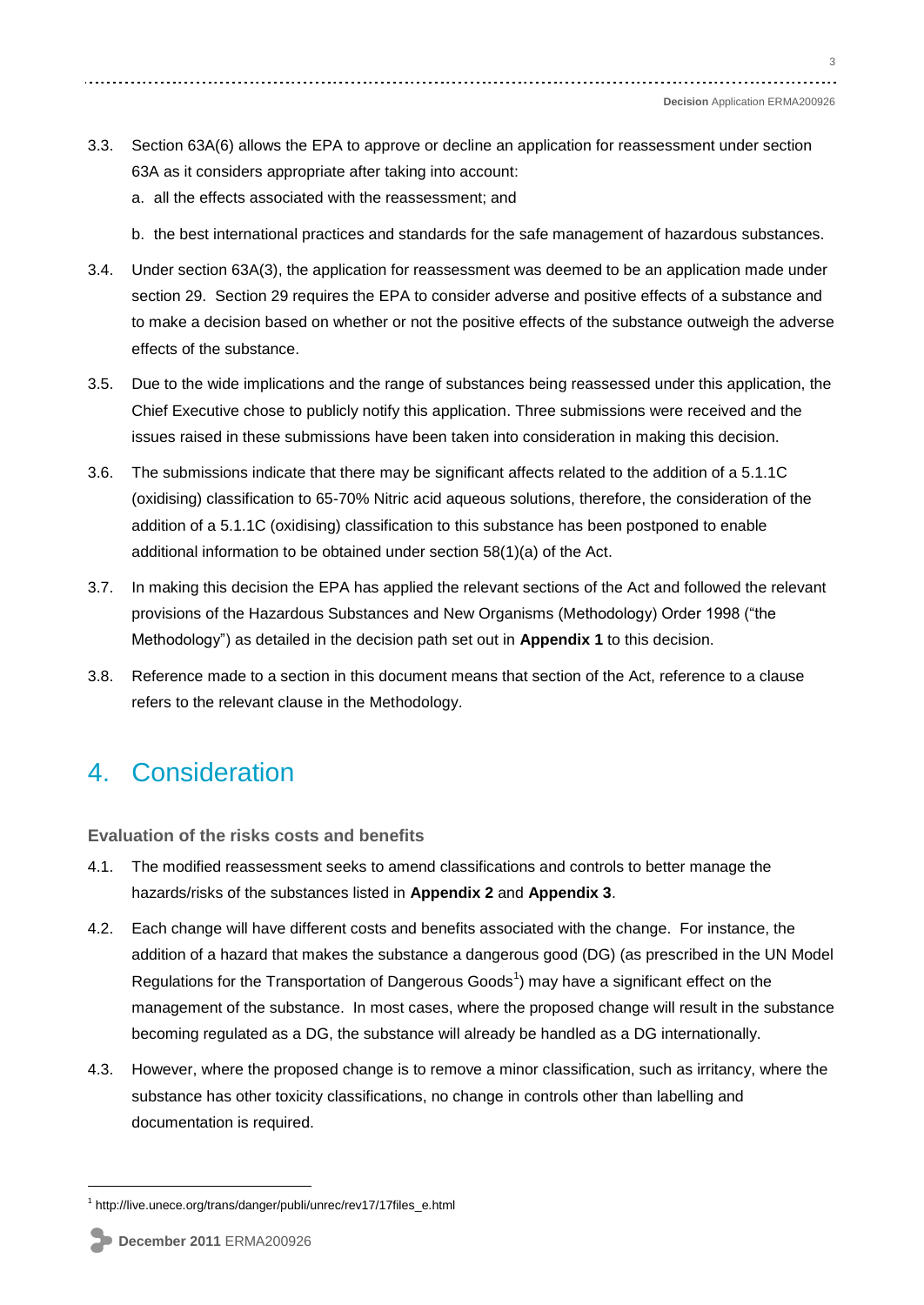- 3.3. Section 63A(6) allows the EPA to approve or decline an application for reassessment under section 63A as it considers appropriate after taking into account:
	- a. all the effects associated with the reassessment; and
	- b. the best international practices and standards for the safe management of hazardous substances.
- 3.4. Under section 63A(3), the application for reassessment was deemed to be an application made under section 29. Section 29 requires the EPA to consider adverse and positive effects of a substance and to make a decision based on whether or not the positive effects of the substance outweigh the adverse effects of the substance.
- 3.5. Due to the wide implications and the range of substances being reassessed under this application, the Chief Executive chose to publicly notify this application. Three submissions were received and the issues raised in these submissions have been taken into consideration in making this decision.
- 3.6. The submissions indicate that there may be significant affects related to the addition of a 5.1.1C (oxidising) classification to 65-70% Nitric acid aqueous solutions, therefore, the consideration of the addition of a 5.1.1C (oxidising) classification to this substance has been postponed to enable additional information to be obtained under section 58(1)(a) of the Act.
- 3.7. In making this decision the EPA has applied the relevant sections of the Act and followed the relevant provisions of the Hazardous Substances and New Organisms (Methodology) Order 1998 ("the Methodology‖) as detailed in the decision path set out in **Appendix 1** to this decision.
- 3.8. Reference made to a section in this document means that section of the Act, reference to a clause refers to the relevant clause in the Methodology.

## 4. Consideration

**Evaluation of the risks costs and benefits** 

- 4.1. The modified reassessment seeks to amend classifications and controls to better manage the hazards/risks of the substances listed in **Appendix 2** and **Appendix 3**.
- 4.2. Each change will have different costs and benefits associated with the change. For instance, the addition of a hazard that makes the substance a dangerous good (DG) (as prescribed in the UN Model Regulations for the Transportation of Dangerous Goods<sup>1</sup>) may have a significant effect on the management of the substance. In most cases, where the proposed change will result in the substance becoming regulated as a DG, the substance will already be handled as a DG internationally.
- 4.3. However, where the proposed change is to remove a minor classification, such as irritancy, where the substance has other toxicity classifications, no change in controls other than labelling and documentation is required.

<u>.</u>

3

<sup>1</sup> http://live.unece.org/trans/danger/publi/unrec/rev17/17files\_e.html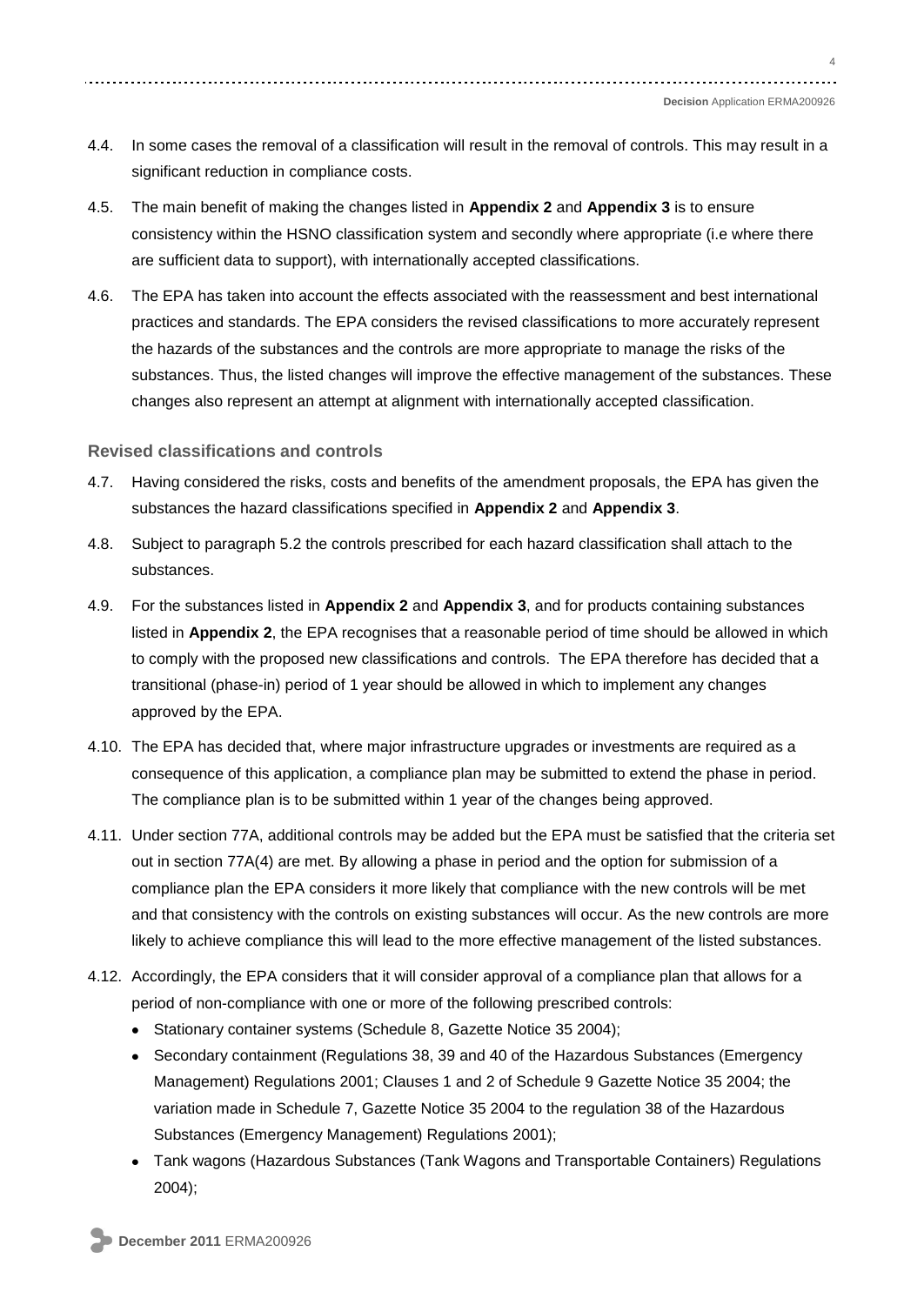#### **Decision** Application ERMA200926

- 4.4. In some cases the removal of a classification will result in the removal of controls. This may result in a significant reduction in compliance costs.
- 4.5. The main benefit of making the changes listed in **Appendix 2** and **Appendix 3** is to ensure consistency within the HSNO classification system and secondly where appropriate (i.e where there are sufficient data to support), with internationally accepted classifications.
- 4.6. The EPA has taken into account the effects associated with the reassessment and best international practices and standards. The EPA considers the revised classifications to more accurately represent the hazards of the substances and the controls are more appropriate to manage the risks of the substances. Thus, the listed changes will improve the effective management of the substances. These changes also represent an attempt at alignment with internationally accepted classification.

#### **Revised classifications and controls**

- 4.7. Having considered the risks, costs and benefits of the amendment proposals, the EPA has given the substances the hazard classifications specified in **Appendix 2** and **Appendix 3**.
- 4.8. Subject to paragraph 5.2 the controls prescribed for each hazard classification shall attach to the substances.
- 4.9. For the substances listed in **Appendix 2** and **Appendix 3**, and for products containing substances listed in **Appendix 2**, the EPA recognises that a reasonable period of time should be allowed in which to comply with the proposed new classifications and controls. The EPA therefore has decided that a transitional (phase-in) period of 1 year should be allowed in which to implement any changes approved by the EPA.
- 4.10. The EPA has decided that, where major infrastructure upgrades or investments are required as a consequence of this application, a compliance plan may be submitted to extend the phase in period. The compliance plan is to be submitted within 1 year of the changes being approved.
- 4.11. Under section 77A, additional controls may be added but the EPA must be satisfied that the criteria set out in section 77A(4) are met. By allowing a phase in period and the option for submission of a compliance plan the EPA considers it more likely that compliance with the new controls will be met and that consistency with the controls on existing substances will occur. As the new controls are more likely to achieve compliance this will lead to the more effective management of the listed substances.
- 4.12. Accordingly, the EPA considers that it will consider approval of a compliance plan that allows for a period of non-compliance with one or more of the following prescribed controls:
	- Stationary container systems (Schedule 8, Gazette Notice 35 2004);
	- Secondary containment (Regulations 38, 39 and 40 of the Hazardous Substances (Emergency Management) Regulations 2001; Clauses 1 and 2 of Schedule 9 Gazette Notice 35 2004; the variation made in Schedule 7, Gazette Notice 35 2004 to the regulation 38 of the Hazardous Substances (Emergency Management) Regulations 2001);
	- Tank wagons (Hazardous Substances (Tank Wagons and Transportable Containers) Regulations 2004);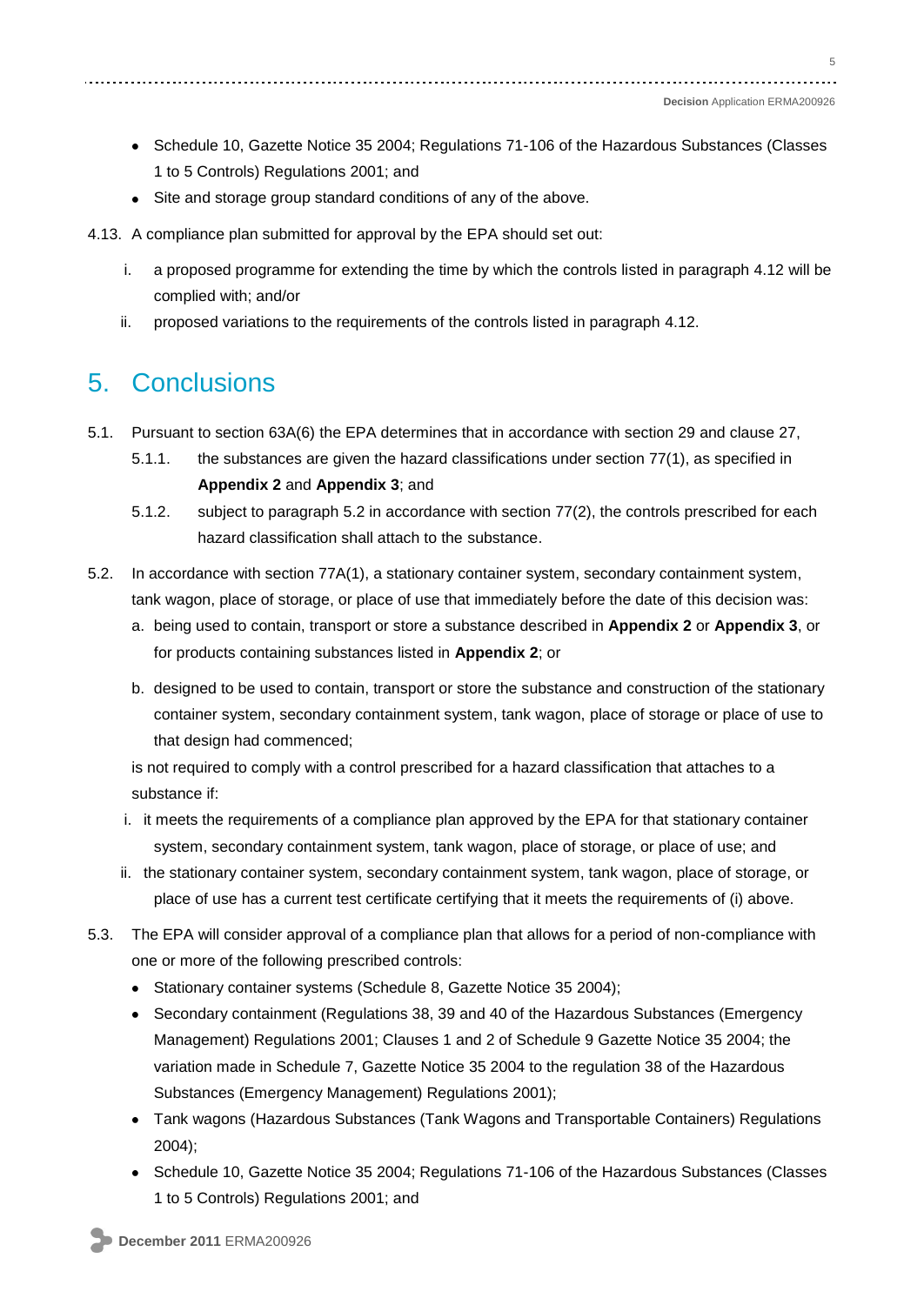- Schedule 10, Gazette Notice 35 2004; Regulations 71-106 of the Hazardous Substances (Classes 1 to 5 Controls) Regulations 2001; and
- Site and storage group standard conditions of any of the above.
- 4.13. A compliance plan submitted for approval by the EPA should set out:
	- i. a proposed programme for extending the time by which the controls listed in paragraph 4.12 will be complied with; and/or
	- ii. proposed variations to the requirements of the controls listed in paragraph 4.12.

### 5. Conclusions

- 5.1. Pursuant to section 63A(6) the EPA determines that in accordance with section 29 and clause 27,
	- 5.1.1. the substances are given the hazard classifications under section 77(1), as specified in **Appendix 2** and **Appendix 3**; and
	- 5.1.2. subject to paragraph 5.2 in accordance with section 77(2), the controls prescribed for each hazard classification shall attach to the substance.
- 5.2. In accordance with section 77A(1), a stationary container system, secondary containment system, tank wagon, place of storage, or place of use that immediately before the date of this decision was:
	- a. being used to contain, transport or store a substance described in **Appendix 2** or **Appendix 3**, or for products containing substances listed in **Appendix 2**; or
	- b. designed to be used to contain, transport or store the substance and construction of the stationary container system, secondary containment system, tank wagon, place of storage or place of use to that design had commenced;

is not required to comply with a control prescribed for a hazard classification that attaches to a substance if:

- i. it meets the requirements of a compliance plan approved by the EPA for that stationary container system, secondary containment system, tank wagon, place of storage, or place of use; and
- ii. the stationary container system, secondary containment system, tank wagon, place of storage, or place of use has a current test certificate certifying that it meets the requirements of (i) above.
- 5.3. The EPA will consider approval of a compliance plan that allows for a period of non-compliance with one or more of the following prescribed controls:
	- Stationary container systems (Schedule 8, Gazette Notice 35 2004);
	- Secondary containment (Regulations 38, 39 and 40 of the Hazardous Substances (Emergency Management) Regulations 2001; Clauses 1 and 2 of Schedule 9 Gazette Notice 35 2004; the variation made in Schedule 7, Gazette Notice 35 2004 to the regulation 38 of the Hazardous Substances (Emergency Management) Regulations 2001);
	- Tank wagons (Hazardous Substances (Tank Wagons and Transportable Containers) Regulations 2004);
	- Schedule 10, Gazette Notice 35 2004; Regulations 71-106 of the Hazardous Substances (Classes 1 to 5 Controls) Regulations 2001; and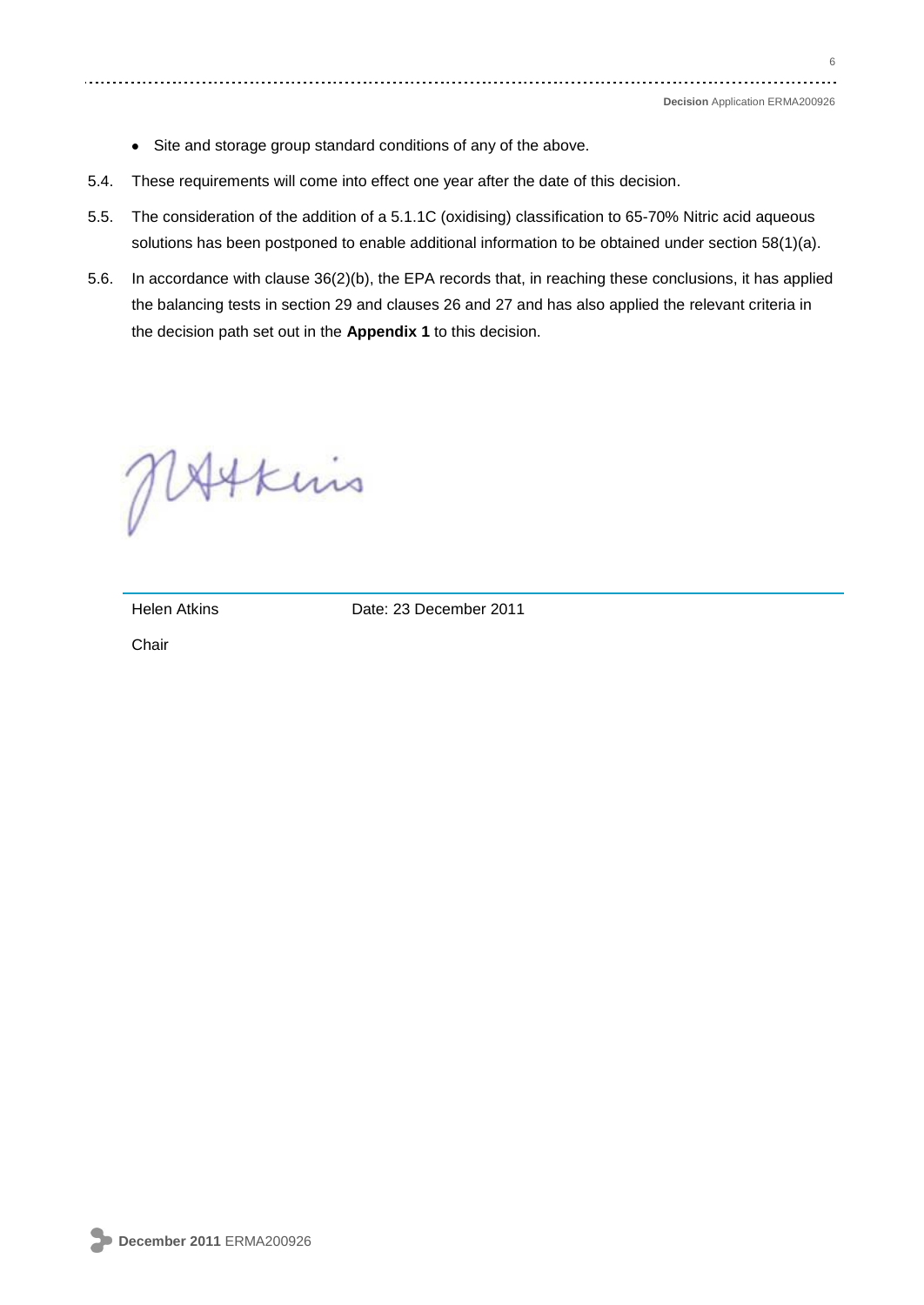- Site and storage group standard conditions of any of the above.
- 5.4. These requirements will come into effect one year after the date of this decision.
- 5.5. The consideration of the addition of a 5.1.1C (oxidising) classification to 65-70% Nitric acid aqueous solutions has been postponed to enable additional information to be obtained under section 58(1)(a).
- 5.6. In accordance with clause 36(2)(b), the EPA records that, in reaching these conclusions, it has applied the balancing tests in section 29 and clauses 26 and 27 and has also applied the relevant criteria in the decision path set out in the **Appendix 1** to this decision.

MAtkins

Helen Atkins Date: 23 December 2011

**Chair**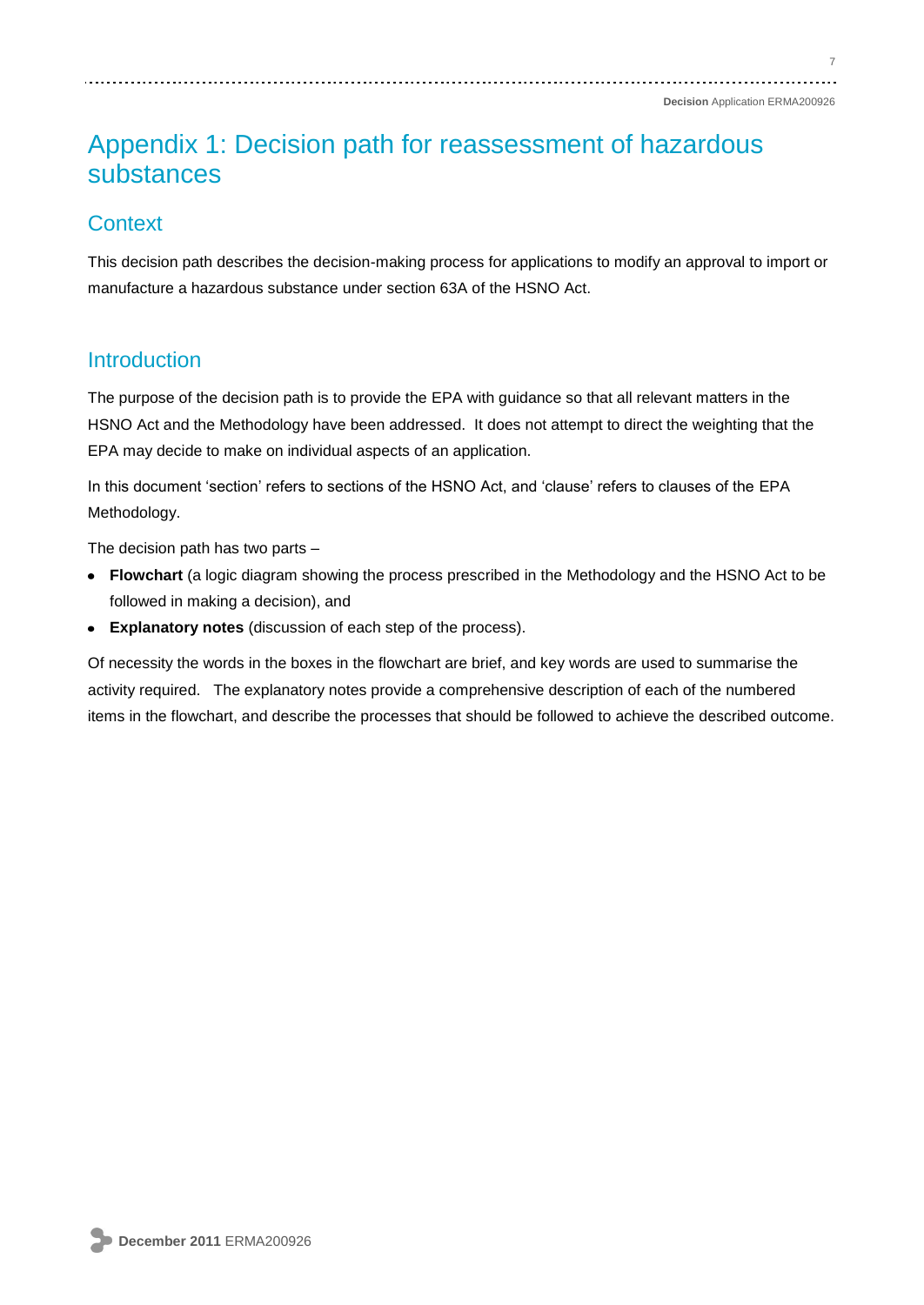## Appendix 1: Decision path for reassessment of hazardous substances

### **Context**

This decision path describes the decision-making process for applications to modify an approval to import or manufacture a hazardous substance under section 63A of the HSNO Act.

#### **Introduction**

The purpose of the decision path is to provide the EPA with guidance so that all relevant matters in the HSNO Act and the Methodology have been addressed. It does not attempt to direct the weighting that the EPA may decide to make on individual aspects of an application.

In this document 'section' refers to sections of the HSNO Act, and 'clause' refers to clauses of the EPA Methodology.

The decision path has two parts –

- **Flowchart** (a logic diagram showing the process prescribed in the Methodology and the HSNO Act to be followed in making a decision), and
- **Explanatory notes** (discussion of each step of the process).

Of necessity the words in the boxes in the flowchart are brief, and key words are used to summarise the activity required. The explanatory notes provide a comprehensive description of each of the numbered items in the flowchart, and describe the processes that should be followed to achieve the described outcome.

7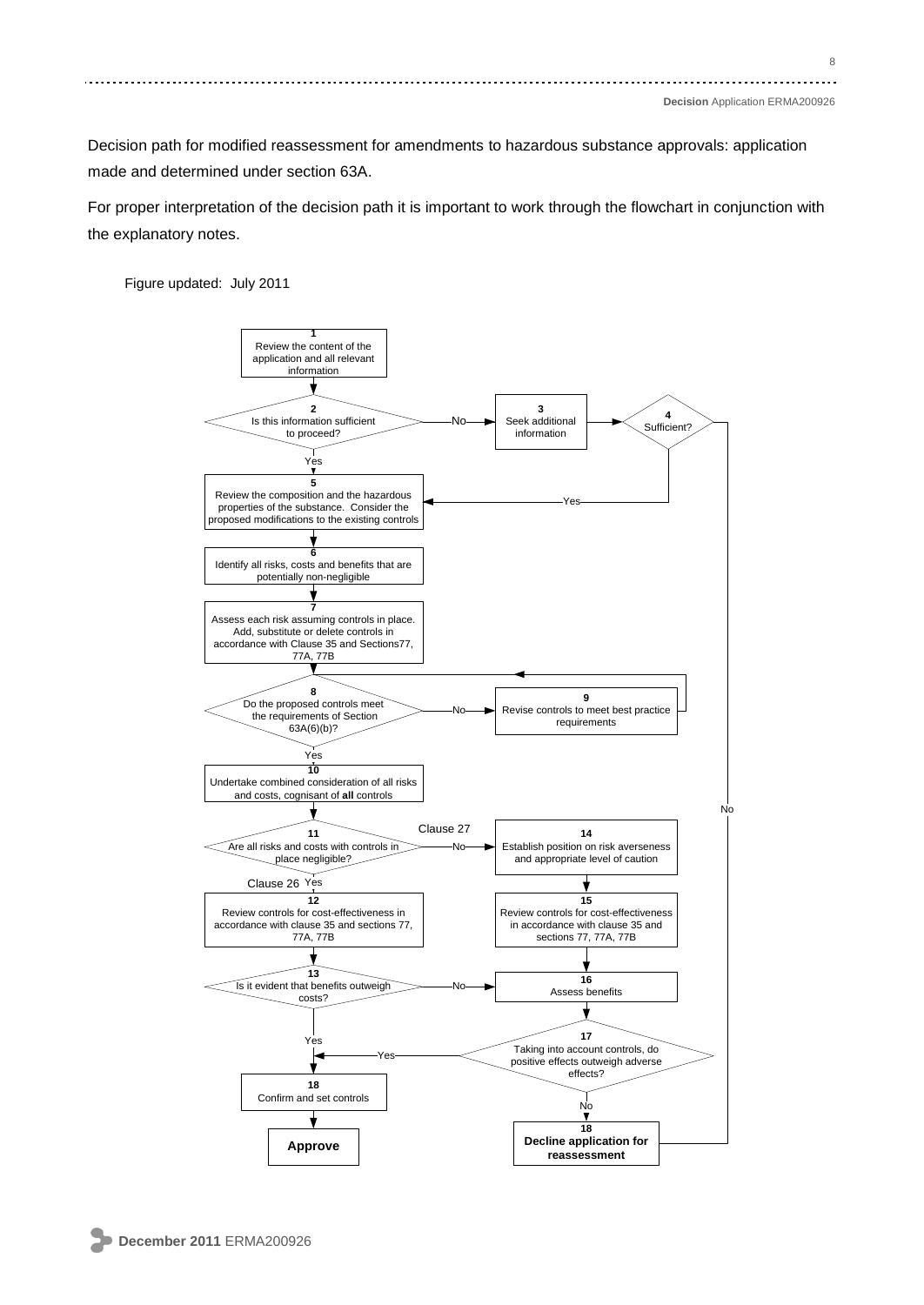Decision path for modified reassessment for amendments to hazardous substance approvals: application made and determined under section 63A.

For proper interpretation of the decision path it is important to work through the flowchart in conjunction with the explanatory notes.

Figure updated: July 2011

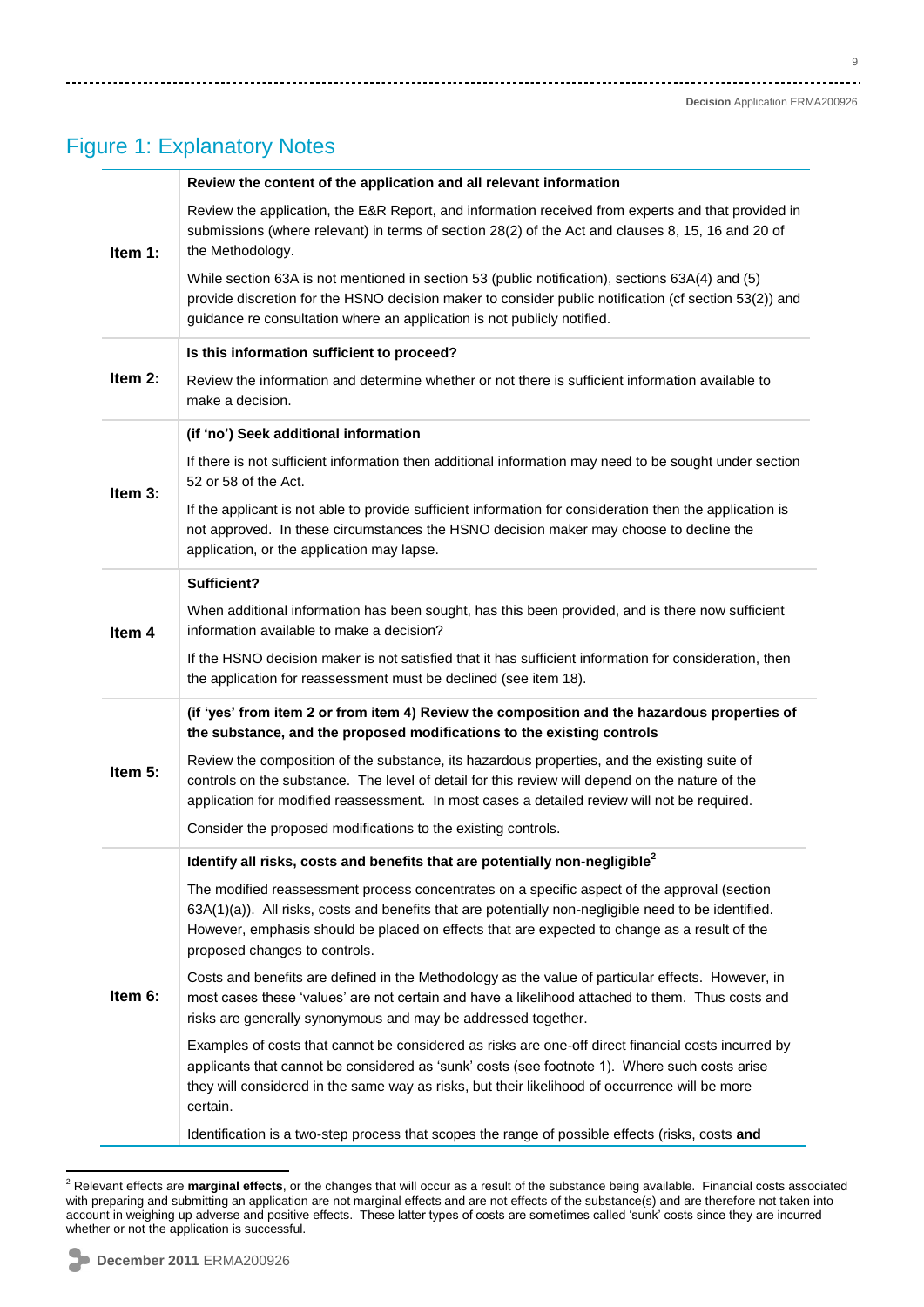.<br>...

### Figure 1: Explanatory Notes

|           | Review the content of the application and all relevant information                                                                                                                                                                                                                                                                    |  |  |  |  |  |  |  |
|-----------|---------------------------------------------------------------------------------------------------------------------------------------------------------------------------------------------------------------------------------------------------------------------------------------------------------------------------------------|--|--|--|--|--|--|--|
| Item 1:   | Review the application, the E&R Report, and information received from experts and that provided in<br>submissions (where relevant) in terms of section 28(2) of the Act and clauses 8, 15, 16 and 20 of<br>the Methodology.                                                                                                           |  |  |  |  |  |  |  |
|           | While section 63A is not mentioned in section 53 (public notification), sections 63A(4) and (5)<br>provide discretion for the HSNO decision maker to consider public notification (cf section 53(2)) and<br>guidance re consultation where an application is not publicly notified.                                                   |  |  |  |  |  |  |  |
|           | Is this information sufficient to proceed?                                                                                                                                                                                                                                                                                            |  |  |  |  |  |  |  |
| Item $2:$ | Review the information and determine whether or not there is sufficient information available to<br>make a decision.                                                                                                                                                                                                                  |  |  |  |  |  |  |  |
|           | (if 'no') Seek additional information                                                                                                                                                                                                                                                                                                 |  |  |  |  |  |  |  |
| Item 3:   | If there is not sufficient information then additional information may need to be sought under section<br>52 or 58 of the Act.                                                                                                                                                                                                        |  |  |  |  |  |  |  |
|           | If the applicant is not able to provide sufficient information for consideration then the application is<br>not approved. In these circumstances the HSNO decision maker may choose to decline the<br>application, or the application may lapse.                                                                                      |  |  |  |  |  |  |  |
|           | Sufficient?                                                                                                                                                                                                                                                                                                                           |  |  |  |  |  |  |  |
| Item 4    | When additional information has been sought, has this been provided, and is there now sufficient<br>information available to make a decision?                                                                                                                                                                                         |  |  |  |  |  |  |  |
|           | If the HSNO decision maker is not satisfied that it has sufficient information for consideration, then<br>the application for reassessment must be declined (see item 18).                                                                                                                                                            |  |  |  |  |  |  |  |
|           | (if 'yes' from item 2 or from item 4) Review the composition and the hazardous properties of<br>the substance, and the proposed modifications to the existing controls                                                                                                                                                                |  |  |  |  |  |  |  |
| Item 5:   | Review the composition of the substance, its hazardous properties, and the existing suite of<br>controls on the substance. The level of detail for this review will depend on the nature of the<br>application for modified reassessment. In most cases a detailed review will not be required.                                       |  |  |  |  |  |  |  |
|           | Consider the proposed modifications to the existing controls.                                                                                                                                                                                                                                                                         |  |  |  |  |  |  |  |
|           | Identify all risks, costs and benefits that are potentially non-negligible <sup>2</sup>                                                                                                                                                                                                                                               |  |  |  |  |  |  |  |
|           | The modified reassessment process concentrates on a specific aspect of the approval (section<br>63A(1)(a)). All risks, costs and benefits that are potentially non-negligible need to be identified.<br>However, emphasis should be placed on effects that are expected to change as a result of the<br>proposed changes to controls. |  |  |  |  |  |  |  |
| Item 6:   | Costs and benefits are defined in the Methodology as the value of particular effects. However, in<br>most cases these 'values' are not certain and have a likelihood attached to them. Thus costs and<br>risks are generally synonymous and may be addressed together.                                                                |  |  |  |  |  |  |  |
|           | Examples of costs that cannot be considered as risks are one-off direct financial costs incurred by<br>applicants that cannot be considered as 'sunk' costs (see footnote 1). Where such costs arise<br>they will considered in the same way as risks, but their likelihood of occurrence will be more<br>certain.                    |  |  |  |  |  |  |  |
|           | Identification is a two-step process that scopes the range of possible effects (risks, costs and                                                                                                                                                                                                                                      |  |  |  |  |  |  |  |

 $\overline{a}$ <sup>2</sup> Relevant effects are **marginal effects**, or the changes that will occur as a result of the substance being available. Financial costs associated with preparing and submitting an application are not marginal effects and are not effects of the substance(s) and are therefore not taken into account in weighing up adverse and positive effects. These latter types of costs are sometimes called 'sunk' costs since they are incurred whether or not the application is successful.

 $\sqrt{2}$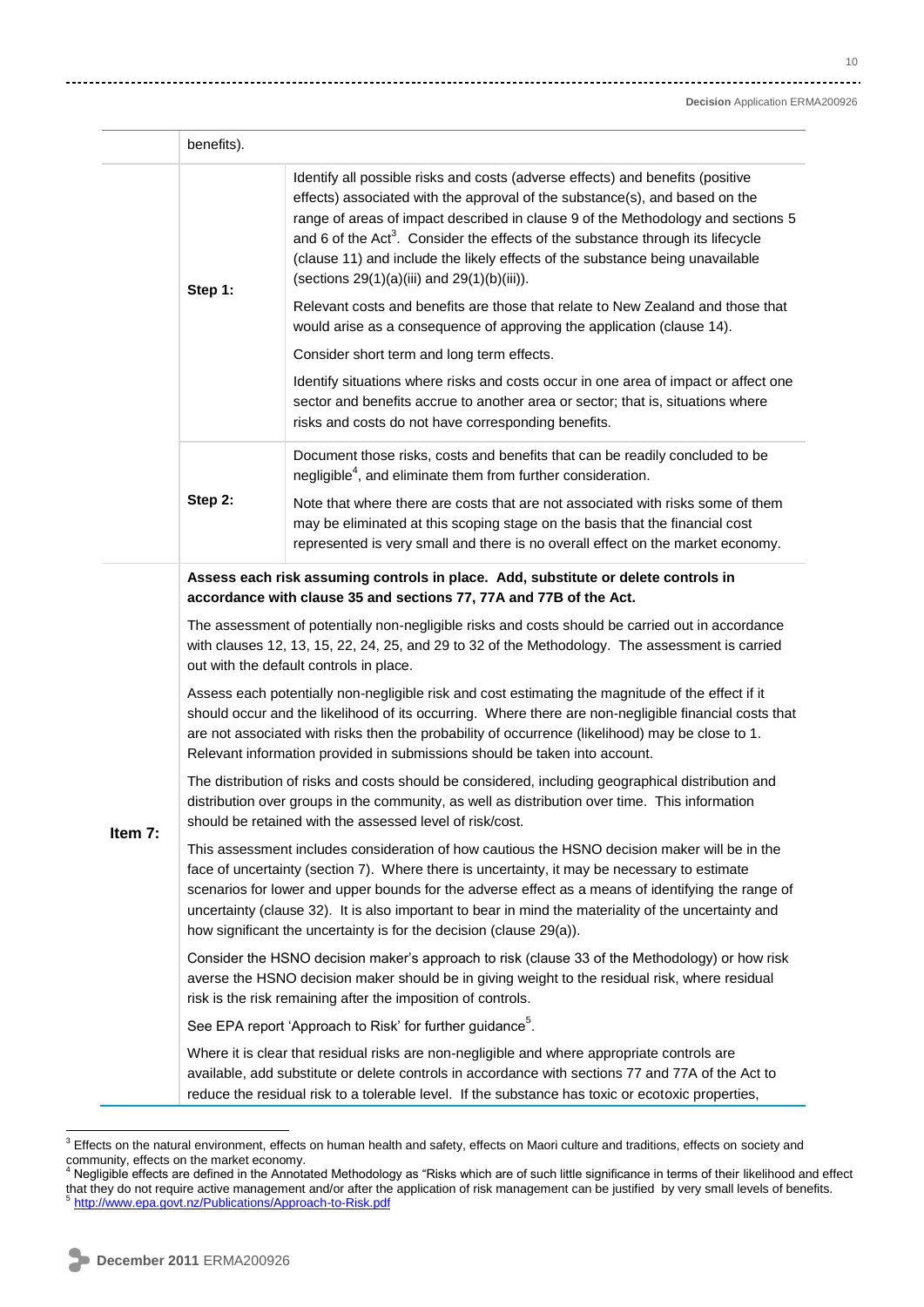|         | benefits).                                                                                                                                                                                                                                                                                                                                                                                                                                                                         |                                                                                                                                                                                                                                                                                                                                                                                                                                                                                                                                                                                                                                                                                                                                                                                                                                                                                                                                   |  |  |  |  |  |  |
|---------|------------------------------------------------------------------------------------------------------------------------------------------------------------------------------------------------------------------------------------------------------------------------------------------------------------------------------------------------------------------------------------------------------------------------------------------------------------------------------------|-----------------------------------------------------------------------------------------------------------------------------------------------------------------------------------------------------------------------------------------------------------------------------------------------------------------------------------------------------------------------------------------------------------------------------------------------------------------------------------------------------------------------------------------------------------------------------------------------------------------------------------------------------------------------------------------------------------------------------------------------------------------------------------------------------------------------------------------------------------------------------------------------------------------------------------|--|--|--|--|--|--|
|         | Step 1:                                                                                                                                                                                                                                                                                                                                                                                                                                                                            | Identify all possible risks and costs (adverse effects) and benefits (positive<br>effects) associated with the approval of the substance(s), and based on the<br>range of areas of impact described in clause 9 of the Methodology and sections 5<br>and 6 of the Act <sup>3</sup> . Consider the effects of the substance through its lifecycle<br>(clause 11) and include the likely effects of the substance being unavailable<br>(sections $29(1)(a)(iii)$ and $29(1)(b)(iii)$ ).<br>Relevant costs and benefits are those that relate to New Zealand and those that<br>would arise as a consequence of approving the application (clause 14).<br>Consider short term and long term effects.<br>Identify situations where risks and costs occur in one area of impact or affect one<br>sector and benefits accrue to another area or sector; that is, situations where<br>risks and costs do not have corresponding benefits. |  |  |  |  |  |  |
|         | Step 2:                                                                                                                                                                                                                                                                                                                                                                                                                                                                            | Document those risks, costs and benefits that can be readily concluded to be<br>negligible <sup>4</sup> , and eliminate them from further consideration.<br>Note that where there are costs that are not associated with risks some of them<br>may be eliminated at this scoping stage on the basis that the financial cost                                                                                                                                                                                                                                                                                                                                                                                                                                                                                                                                                                                                       |  |  |  |  |  |  |
|         | Assess each risk assuming controls in place. Add, substitute or delete controls in<br>accordance with clause 35 and sections 77, 77A and 77B of the Act.<br>The assessment of potentially non-negligible risks and costs should be carried out in accordance<br>with clauses 12, 13, 15, 22, 24, 25, and 29 to 32 of the Methodology. The assessment is carried                                                                                                                    |                                                                                                                                                                                                                                                                                                                                                                                                                                                                                                                                                                                                                                                                                                                                                                                                                                                                                                                                   |  |  |  |  |  |  |
|         | out with the default controls in place.<br>Assess each potentially non-negligible risk and cost estimating the magnitude of the effect if it<br>should occur and the likelihood of its occurring. Where there are non-negligible financial costs that<br>are not associated with risks then the probability of occurrence (likelihood) may be close to 1.                                                                                                                          |                                                                                                                                                                                                                                                                                                                                                                                                                                                                                                                                                                                                                                                                                                                                                                                                                                                                                                                                   |  |  |  |  |  |  |
|         | Relevant information provided in submissions should be taken into account.<br>The distribution of risks and costs should be considered, including geographical distribution and<br>distribution over groups in the community, as well as distribution over time. This information<br>should be retained with the assessed level of risk/cost.                                                                                                                                      |                                                                                                                                                                                                                                                                                                                                                                                                                                                                                                                                                                                                                                                                                                                                                                                                                                                                                                                                   |  |  |  |  |  |  |
| Item 7: | This assessment includes consideration of how cautious the HSNO decision maker will be in the<br>face of uncertainty (section 7). Where there is uncertainty, it may be necessary to estimate<br>scenarios for lower and upper bounds for the adverse effect as a means of identifying the range of<br>uncertainty (clause 32). It is also important to bear in mind the materiality of the uncertainty and<br>how significant the uncertainty is for the decision (clause 29(a)). |                                                                                                                                                                                                                                                                                                                                                                                                                                                                                                                                                                                                                                                                                                                                                                                                                                                                                                                                   |  |  |  |  |  |  |
|         |                                                                                                                                                                                                                                                                                                                                                                                                                                                                                    | Consider the HSNO decision maker's approach to risk (clause 33 of the Methodology) or how risk<br>averse the HSNO decision maker should be in giving weight to the residual risk, where residual<br>risk is the risk remaining after the imposition of controls.                                                                                                                                                                                                                                                                                                                                                                                                                                                                                                                                                                                                                                                                  |  |  |  |  |  |  |
|         |                                                                                                                                                                                                                                                                                                                                                                                                                                                                                    | See EPA report 'Approach to Risk' for further guidance <sup>5</sup> .                                                                                                                                                                                                                                                                                                                                                                                                                                                                                                                                                                                                                                                                                                                                                                                                                                                             |  |  |  |  |  |  |
|         | Where it is clear that residual risks are non-negligible and where appropriate controls are<br>available, add substitute or delete controls in accordance with sections 77 and 77A of the Act to<br>reduce the residual risk to a tolerable level. If the substance has toxic or ecotoxic properties,                                                                                                                                                                              |                                                                                                                                                                                                                                                                                                                                                                                                                                                                                                                                                                                                                                                                                                                                                                                                                                                                                                                                   |  |  |  |  |  |  |

l

 $3$  Effects on the natural environment, effects on human health and safety, effects on Maori culture and traditions, effects on society and community, effects on the market economy.<br><sup>4</sup> Negligible effects are defined in the Annotated Methodology as "Risks which are of such little significance in terms of their likelihood and effect

that they do not require active management and/or after the application of risk management can be justified by very small levels of benefits.<br><sup>5</sup> http://www.ene.co.th.az/Dublicatione/Anaroash.to Disk net <http://www.epa.govt.nz/Publications/Approach-to-Risk.pdf>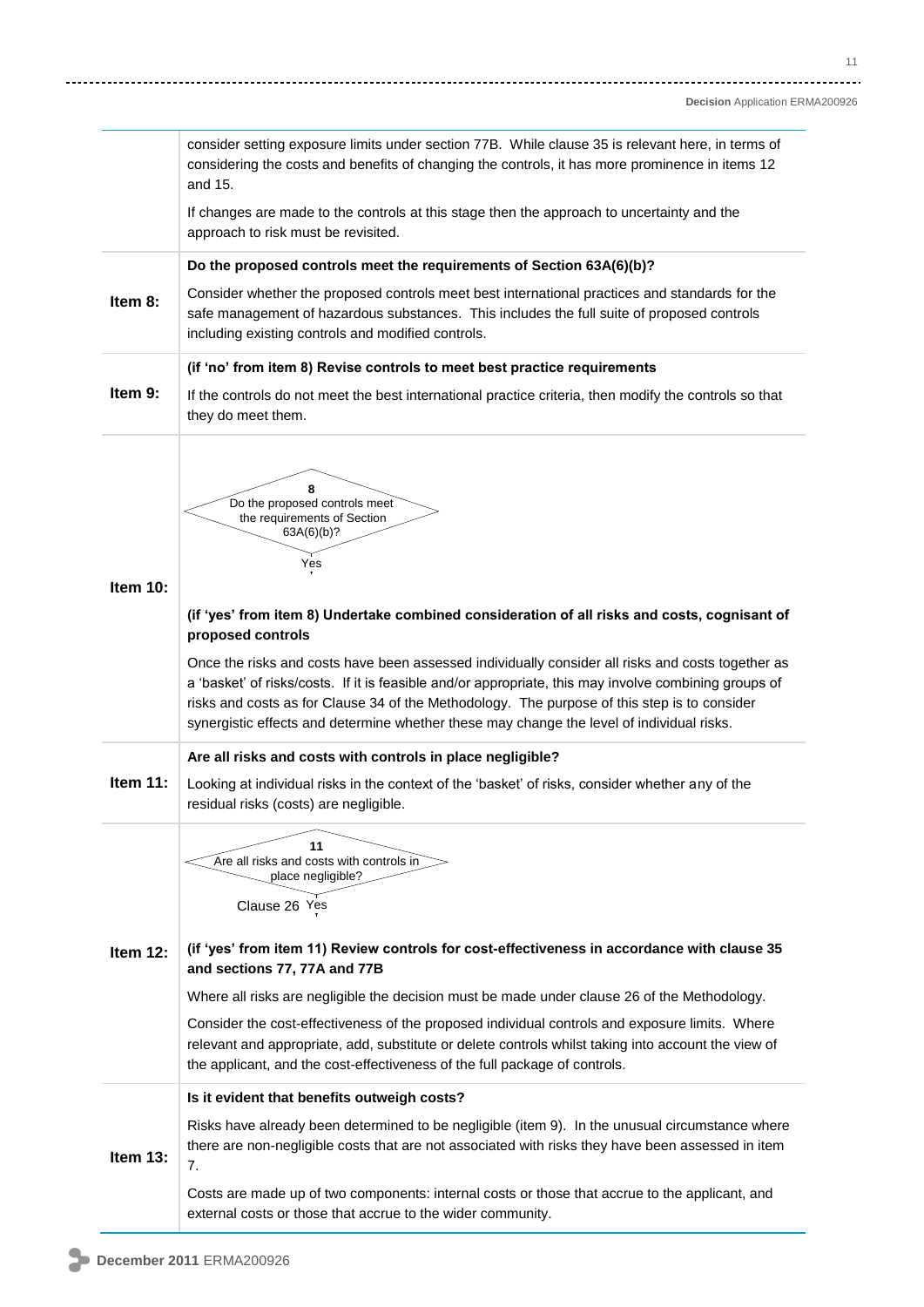|             | consider setting exposure limits under section 77B. While clause 35 is relevant here, in terms of<br>considering the costs and benefits of changing the controls, it has more prominence in items 12<br>and 15.                                                                                                                                                                                         |
|-------------|---------------------------------------------------------------------------------------------------------------------------------------------------------------------------------------------------------------------------------------------------------------------------------------------------------------------------------------------------------------------------------------------------------|
|             | If changes are made to the controls at this stage then the approach to uncertainty and the<br>approach to risk must be revisited.                                                                                                                                                                                                                                                                       |
|             | Do the proposed controls meet the requirements of Section 63A(6)(b)?                                                                                                                                                                                                                                                                                                                                    |
| Item 8:     | Consider whether the proposed controls meet best international practices and standards for the<br>safe management of hazardous substances. This includes the full suite of proposed controls<br>including existing controls and modified controls.                                                                                                                                                      |
|             | (if 'no' from item 8) Revise controls to meet best practice requirements                                                                                                                                                                                                                                                                                                                                |
| Item 9:     | If the controls do not meet the best international practice criteria, then modify the controls so that<br>they do meet them.                                                                                                                                                                                                                                                                            |
| Item $10$ : | 8<br>Do the proposed controls meet<br>the requirements of Section<br>63A(6)(b)?<br>Yes                                                                                                                                                                                                                                                                                                                  |
|             | (if 'yes' from item 8) Undertake combined consideration of all risks and costs, cognisant of<br>proposed controls                                                                                                                                                                                                                                                                                       |
|             | Once the risks and costs have been assessed individually consider all risks and costs together as<br>a 'basket' of risks/costs. If it is feasible and/or appropriate, this may involve combining groups of<br>risks and costs as for Clause 34 of the Methodology. The purpose of this step is to consider<br>synergistic effects and determine whether these may change the level of individual risks. |
|             | Are all risks and costs with controls in place negligible?                                                                                                                                                                                                                                                                                                                                              |
| Item $11$ : | Looking at individual risks in the context of the 'basket' of risks, consider whether any of the<br>residual risks (costs) are negligible.                                                                                                                                                                                                                                                              |
|             | 11<br>Are all risks and costs with controls in<br>place negligible?<br>Clause 26 Yes                                                                                                                                                                                                                                                                                                                    |
| Item 12:    | (if 'yes' from item 11) Review controls for cost-effectiveness in accordance with clause 35<br>and sections 77, 77A and 77B                                                                                                                                                                                                                                                                             |
|             | Where all risks are negligible the decision must be made under clause 26 of the Methodology.                                                                                                                                                                                                                                                                                                            |
|             | Consider the cost-effectiveness of the proposed individual controls and exposure limits. Where<br>relevant and appropriate, add, substitute or delete controls whilst taking into account the view of<br>the applicant, and the cost-effectiveness of the full package of controls.                                                                                                                     |
|             | Is it evident that benefits outweigh costs?                                                                                                                                                                                                                                                                                                                                                             |
| Item 13:    | Risks have already been determined to be negligible (item 9). In the unusual circumstance where<br>there are non-negligible costs that are not associated with risks they have been assessed in item<br>7.                                                                                                                                                                                              |
|             | Costs are made up of two components: internal costs or those that accrue to the applicant, and<br>external costs or those that accrue to the wider community.                                                                                                                                                                                                                                           |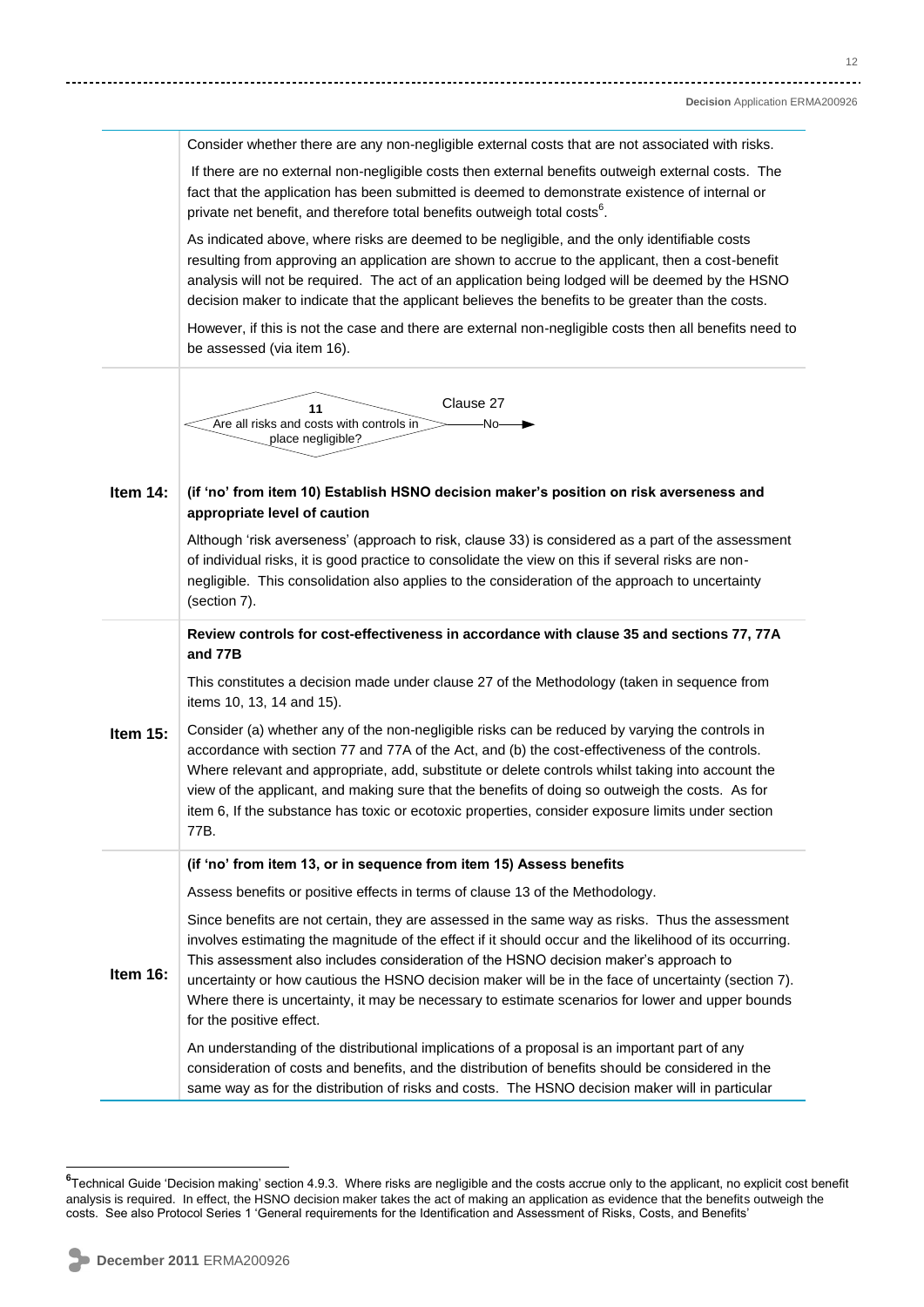Consider whether there are any non-negligible external costs that are not associated with risks.

If there are no external non-negligible costs then external benefits outweigh external costs. The fact that the application has been submitted is deemed to demonstrate existence of internal or private net benefit, and therefore total benefits outweigh total costs $6$ .

As indicated above, where risks are deemed to be negligible, and the only identifiable costs resulting from approving an application are shown to accrue to the applicant, then a cost-benefit analysis will not be required. The act of an application being lodged will be deemed by the HSNO decision maker to indicate that the applicant believes the benefits to be greater than the costs.

However, if this is not the case and there are external non-negligible costs then all benefits need to be assessed (via item 16).



#### **Item 14: (if 'no' from item 10) Establish HSNO decision maker's position on risk averseness and appropriate level of caution**

Although 'risk averseness' (approach to risk, clause 33) is considered as a part of the assessment of individual risks, it is good practice to consolidate the view on this if several risks are nonnegligible. This consolidation also applies to the consideration of the approach to uncertainty (section 7).

**Review controls for cost-effectiveness in accordance with clause 35 and sections 77, 77A and 77B**

This constitutes a decision made under clause 27 of the Methodology (taken in sequence from items 10, 13, 14 and 15).

**Item 15:** Consider (a) whether any of the non-negligible risks can be reduced by varying the controls in accordance with section 77 and 77A of the Act, and (b) the cost-effectiveness of the controls. Where relevant and appropriate, add, substitute or delete controls whilst taking into account the view of the applicant, and making sure that the benefits of doing so outweigh the costs. As for item 6, If the substance has toxic or ecotoxic properties, consider exposure limits under section 77B.

#### **(if 'no' from item 13, or in sequence from item 15) Assess benefits**

Assess benefits or positive effects in terms of clause 13 of the Methodology.

Since benefits are not certain, they are assessed in the same way as risks. Thus the assessment involves estimating the magnitude of the effect if it should occur and the likelihood of its occurring. This assessment also includes consideration of the HSNO decision maker's approach to

**Item 16:** uncertainty or how cautious the HSNO decision maker will be in the face of uncertainty (section 7). Where there is uncertainty, it may be necessary to estimate scenarios for lower and upper bounds for the positive effect.

> An understanding of the distributional implications of a proposal is an important part of any consideration of costs and benefits, and the distribution of benefits should be considered in the same way as for the distribution of risks and costs. The HSNO decision maker will in particular

 $\overline{\phantom{a}}$ 

<sup>&</sup>lt;sup>6</sup>Technical Guide 'Decision making' section 4.9.3. Where risks are negligible and the costs accrue only to the applicant, no explicit cost benefit analysis is required. In effect, the HSNO decision maker takes the act of making an application as evidence that the benefits outweigh the costs. See also Protocol Series 1 ‗General requirements for the Identification and Assessment of Risks, Costs, and Benefits'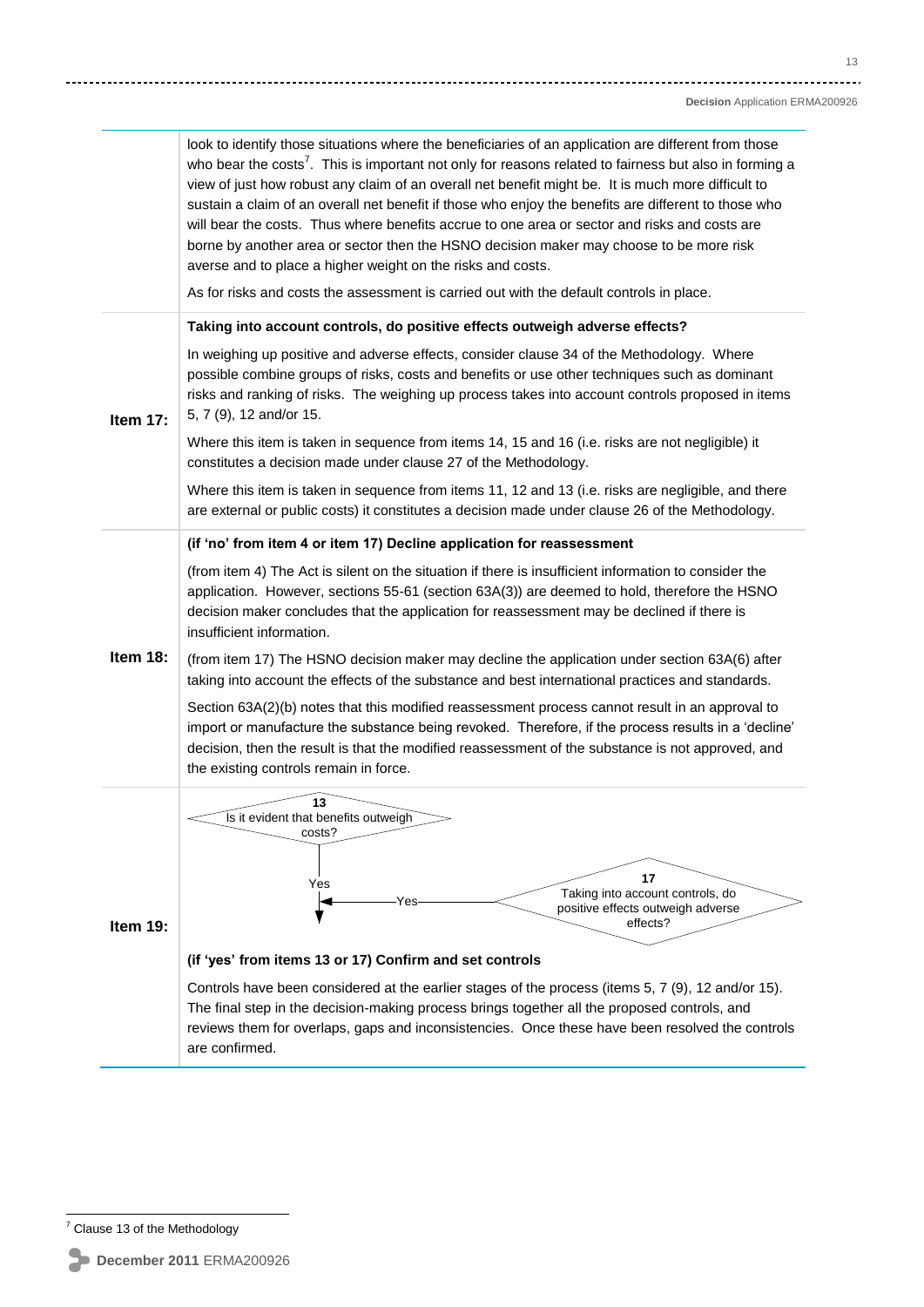look to identify those situations where the beneficiaries of an application are different from those who bear the costs<sup>7</sup>. This is important not only for reasons related to fairness but also in forming a view of just how robust any claim of an overall net benefit might be. It is much more difficult to sustain a claim of an overall net benefit if those who enjoy the benefits are different to those who will bear the costs. Thus where benefits accrue to one area or sector and risks and costs are borne by another area or sector then the HSNO decision maker may choose to be more risk averse and to place a higher weight on the risks and costs. As for risks and costs the assessment is carried out with the default controls in place. **Item 17: Taking into account controls, do positive effects outweigh adverse effects?** In weighing up positive and adverse effects, consider clause 34 of the Methodology. Where possible combine groups of risks, costs and benefits or use other techniques such as dominant risks and ranking of risks. The weighing up process takes into account controls proposed in items 5, 7 (9), 12 and/or 15. Where this item is taken in sequence from items 14, 15 and 16 (i.e. risks are not negligible) it constitutes a decision made under clause 27 of the Methodology. Where this item is taken in sequence from items 11, 12 and 13 (i.e. risks are negligible, and there are external or public costs) it constitutes a decision made under clause 26 of the Methodology. **Item 18: (if 'no' from item 4 or item 17) Decline application for reassessment** (from item 4) The Act is silent on the situation if there is insufficient information to consider the application. However, sections 55-61 (section 63A(3)) are deemed to hold, therefore the HSNO decision maker concludes that the application for reassessment may be declined if there is insufficient information. (from item 17) The HSNO decision maker may decline the application under section 63A(6) after taking into account the effects of the substance and best international practices and standards. Section 63A(2)(b) notes that this modified reassessment process cannot result in an approval to import or manufacture the substance being revoked. Therefore, if the process results in a 'decline' decision, then the result is that the modified reassessment of the substance is not approved, and the existing controls remain in force. **Item 19: (if 'yes' from items 13 or 17) Confirm and set controls** Controls have been considered at the earlier stages of the process (items 5, 7 (9), 12 and/or 15). The final step in the decision-making process brings together all the proposed controls, and reviews them for overlaps, gaps and inconsistencies. Once these have been resolved the controls are confirmed. **13** Is it evident that benefits outweigh costs? **17** Taking into account controls, do positive effects outweigh adverse Yes Taking into account<br>
Yes Taking into account<br>
positive effects outweifects?

 $\overline{a}$  $7$  Clause 13 of the Methodology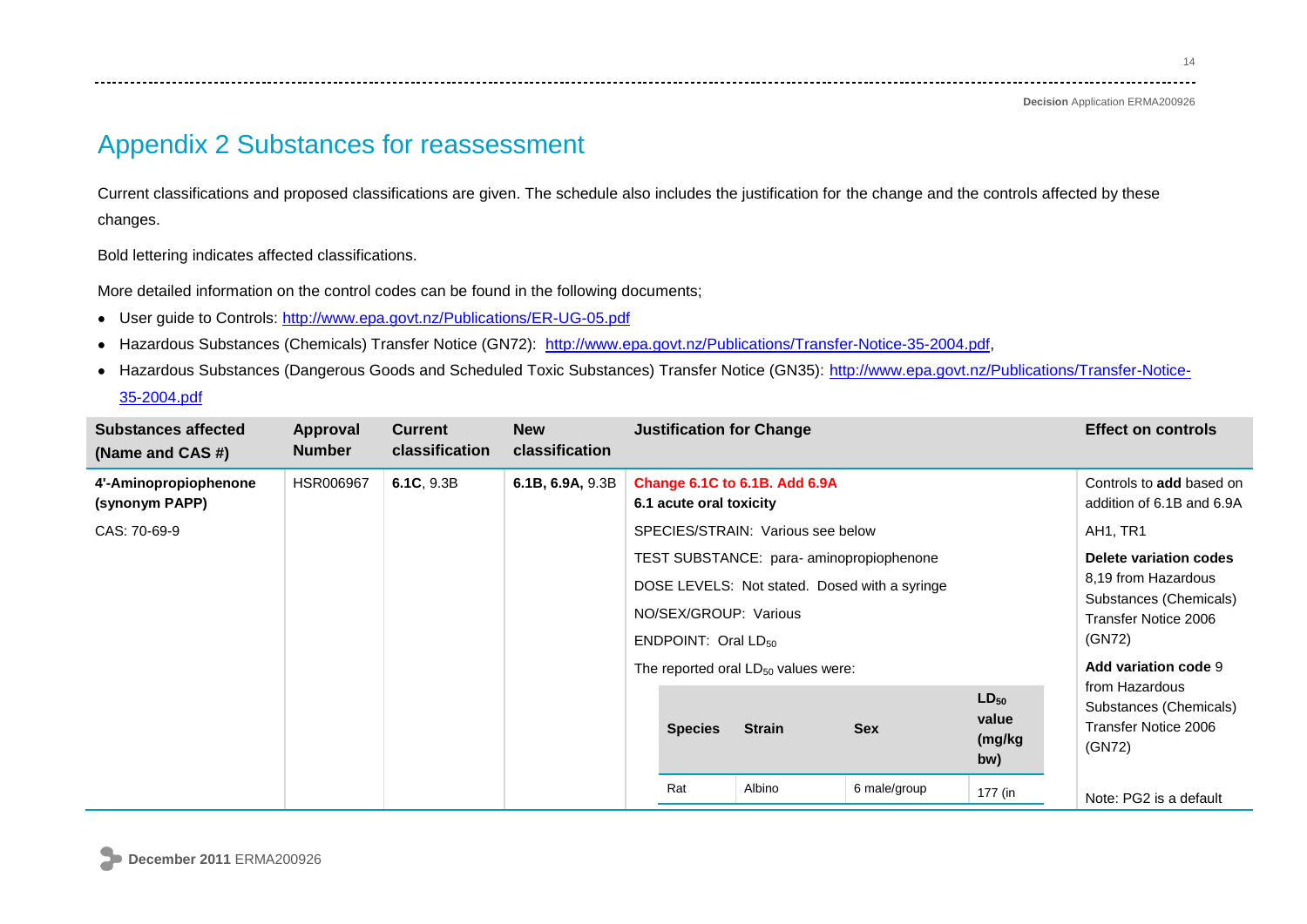**Decision** Application ERMA200926

# Appendix 2 Substances for reassessment

Current classifications and proposed classifications are given. The schedule also includes the justification for the change and the controls affected by these changes.

Bold lettering indicates affected classifications.

More detailed information on the control codes can be found in the following documents;

- User guide to Controls:<http://www.epa.govt.nz/Publications/ER-UG-05.pdf>  $\bullet$
- Hazardous Substances (Chemicals) Transfer Notice (GN72): [http://www.epa.govt.nz/Publications/Transfer-Notice-35-2004.pdf,](http://www.epa.govt.nz/Publications/Transfer-Notice-35-2004.pdf)  $\bullet$
- Hazardous Substances (Dangerous Goods and Scheduled Toxic Substances) Transfer Notice (GN35): [http://www.epa.govt.nz/Publications/Transfer-Notice-](http://www.epa.govt.nz/Publications/Transfer-Notice-35-2004.pdf) $\bullet$

[35-2004.pdf](http://www.epa.govt.nz/Publications/Transfer-Notice-35-2004.pdf)

| <b>Substances affected</b><br>(Name and CAS #) | <b>Approval</b><br><b>Number</b> | <b>Current</b><br>classification | <b>New</b><br><b>classification</b> |                                                          | <b>Justification for Change</b>                   |                                   |                                                                                          |                                                                            | <b>Effect on controls</b>                                                                                 |  |
|------------------------------------------------|----------------------------------|----------------------------------|-------------------------------------|----------------------------------------------------------|---------------------------------------------------|-----------------------------------|------------------------------------------------------------------------------------------|----------------------------------------------------------------------------|-----------------------------------------------------------------------------------------------------------|--|
| 4'-Aminopropiophenone<br>(synonym PAPP)        | <b>HSR006967</b>                 | 6.1C, 9.3B                       | 6.1B, 6.9A, 9.3B                    | Change 6.1C to 6.1B. Add 6.9A<br>6.1 acute oral toxicity |                                                   |                                   |                                                                                          | Controls to add based on<br>addition of 6.1B and 6.9A                      |                                                                                                           |  |
| CAS: 70-69-9                                   |                                  |                                  |                                     |                                                          |                                                   | SPECIES/STRAIN: Various see below |                                                                                          |                                                                            | AH1, TR1                                                                                                  |  |
|                                                |                                  |                                  |                                     |                                                          | NO/SEX/GROUP: Various<br>ENDPOINT: Oral $LD_{50}$ |                                   | TEST SUBSTANCE: para-aminopropiophenone<br>DOSE LEVELS: Not stated. Dosed with a syringe |                                                                            | Delete variation codes<br>8,19 from Hazardous<br>Substances (Chemicals)<br>Transfer Notice 2006<br>(GN72) |  |
|                                                |                                  |                                  |                                     |                                                          | The reported oral $LD_{50}$ values were:          |                                   |                                                                                          |                                                                            | Add variation code 9                                                                                      |  |
|                                                |                                  |                                  |                                     | <b>Species</b>                                           | <b>Strain</b>                                     | <b>Sex</b>                        | $LD_{50}$<br>value<br>(mg/kg<br>bw)                                                      | from Hazardous<br>Substances (Chemicals)<br>Transfer Notice 2006<br>(GN72) |                                                                                                           |  |
|                                                |                                  |                                  |                                     |                                                          | Rat                                               | Albino                            | 6 male/group                                                                             | 177 (in                                                                    | Note: PG2 is a default                                                                                    |  |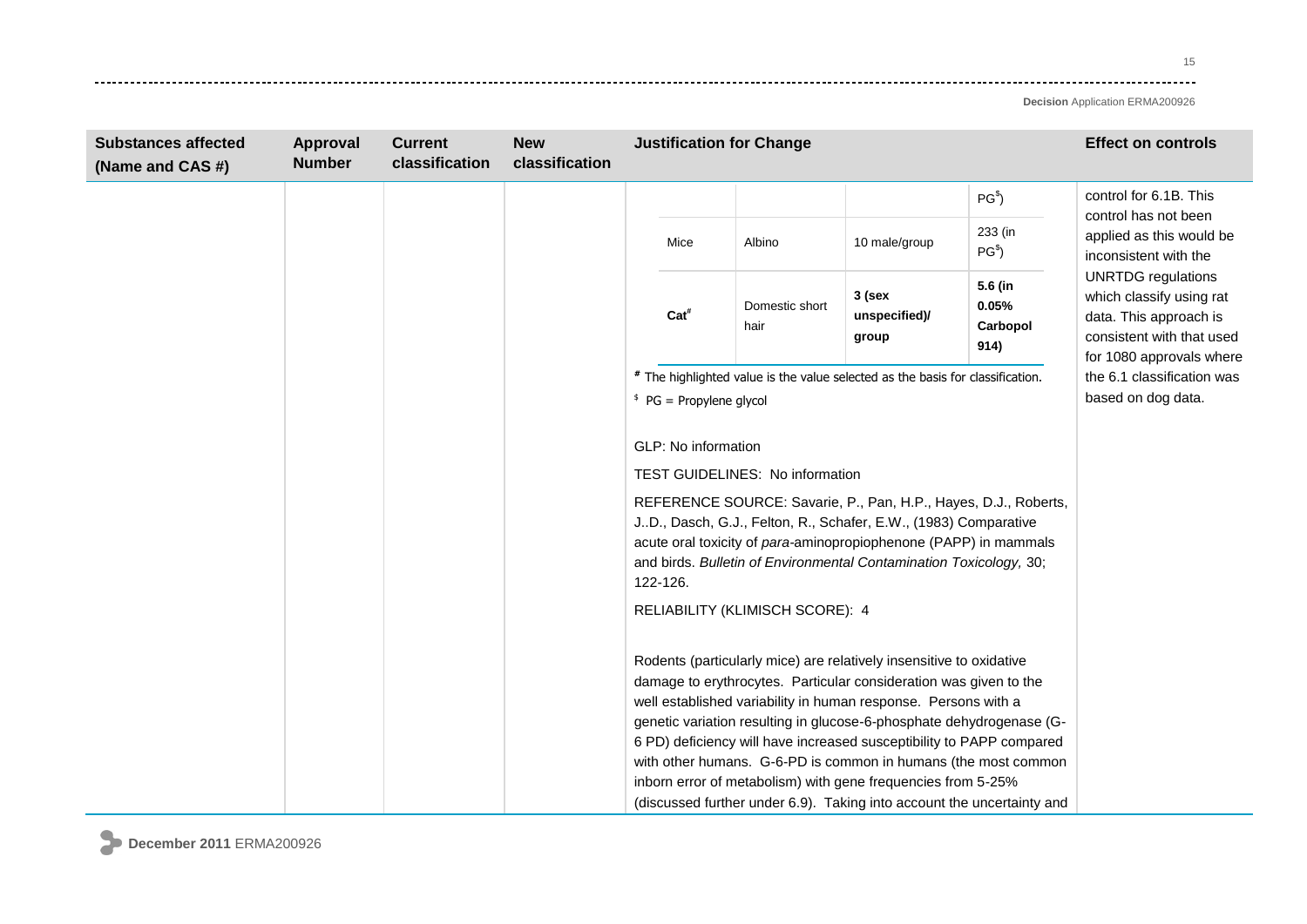15  $- - - - - -$ 

| <b>Substances affected</b><br>(Name and CAS #) | Approval<br><b>Number</b> | <b>Current</b><br>classification | <b>New</b><br>classification                                                                                             | <b>Justification for Change</b>                                                                                                          |                                 |                                                                                |                                                                                                                                                                                                                                                                                                                                                                                                                                                                                                                                                                        |                            | <b>Effect on controls</b>                                                 |
|------------------------------------------------|---------------------------|----------------------------------|--------------------------------------------------------------------------------------------------------------------------|------------------------------------------------------------------------------------------------------------------------------------------|---------------------------------|--------------------------------------------------------------------------------|------------------------------------------------------------------------------------------------------------------------------------------------------------------------------------------------------------------------------------------------------------------------------------------------------------------------------------------------------------------------------------------------------------------------------------------------------------------------------------------------------------------------------------------------------------------------|----------------------------|---------------------------------------------------------------------------|
|                                                |                           |                                  |                                                                                                                          |                                                                                                                                          |                                 |                                                                                |                                                                                                                                                                                                                                                                                                                                                                                                                                                                                                                                                                        | PG <sup>§</sup>            | control for 6.1B. This                                                    |
|                                                |                           |                                  |                                                                                                                          |                                                                                                                                          | Mice                            | Albino                                                                         | 10 male/group                                                                                                                                                                                                                                                                                                                                                                                                                                                                                                                                                          | 233 (in<br>PG <sup>§</sup> | control has not been<br>applied as this would be<br>inconsistent with the |
|                                                |                           |                                  | 5.6 (in<br>$3$ (sex<br>0.05%<br>Domestic short<br>Cat <sup>#</sup><br>unspecified)/<br>Carbopol<br>hair<br>group<br>914) | <b>UNRTDG</b> regulations<br>which classify using rat<br>data. This approach is<br>consistent with that used<br>for 1080 approvals where |                                 |                                                                                |                                                                                                                                                                                                                                                                                                                                                                                                                                                                                                                                                                        |                            |                                                                           |
|                                                |                           |                                  |                                                                                                                          |                                                                                                                                          |                                 | # The highlighted value is the value selected as the basis for classification. |                                                                                                                                                                                                                                                                                                                                                                                                                                                                                                                                                                        | the 6.1 classification was |                                                                           |
|                                                |                           |                                  |                                                                                                                          | $P$ G = Propylene glycol                                                                                                                 |                                 |                                                                                |                                                                                                                                                                                                                                                                                                                                                                                                                                                                                                                                                                        | based on dog data.         |                                                                           |
|                                                |                           |                                  |                                                                                                                          |                                                                                                                                          | GLP: No information<br>122-126. | <b>TEST GUIDELINES: No information</b><br>RELIABILITY (KLIMISCH SCORE): 4      | REFERENCE SOURCE: Savarie, P., Pan, H.P., Hayes, D.J., Roberts,<br>J.D., Dasch, G.J., Felton, R., Schafer, E.W., (1983) Comparative<br>acute oral toxicity of para-aminopropiophenone (PAPP) in mammals<br>and birds. Bulletin of Environmental Contamination Toxicology, 30;                                                                                                                                                                                                                                                                                          |                            |                                                                           |
|                                                |                           |                                  |                                                                                                                          |                                                                                                                                          |                                 |                                                                                | Rodents (particularly mice) are relatively insensitive to oxidative<br>damage to erythrocytes. Particular consideration was given to the<br>well established variability in human response. Persons with a<br>genetic variation resulting in glucose-6-phosphate dehydrogenase (G-<br>6 PD) deficiency will have increased susceptibility to PAPP compared<br>with other humans. G-6-PD is common in humans (the most common<br>inborn error of metabolism) with gene frequencies from 5-25%<br>(discussed further under 6.9). Taking into account the uncertainty and |                            |                                                                           |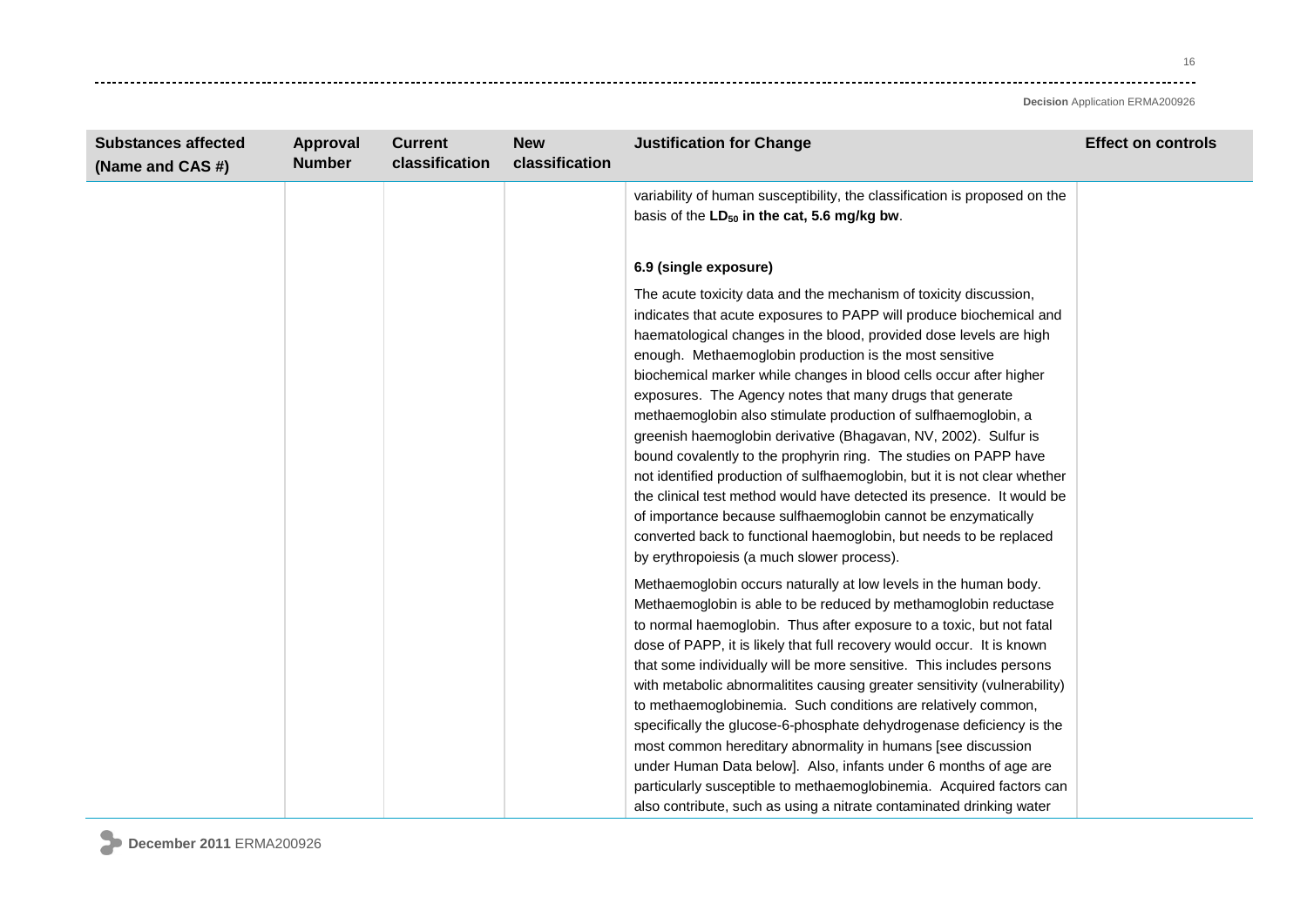16 وتوادي

| <b>Substances affected</b><br>(Name and CAS #) | Approval<br><b>Number</b> | <b>Current</b><br>classification | <b>New</b><br>classification | <b>Justification for Change</b>                                                                                                                                                                                                                                                                                                                                                                                                                                                                                                                                                                                                                                                                                                                                                                                                                                                                                                                                   | <b>Effect on controls</b> |
|------------------------------------------------|---------------------------|----------------------------------|------------------------------|-------------------------------------------------------------------------------------------------------------------------------------------------------------------------------------------------------------------------------------------------------------------------------------------------------------------------------------------------------------------------------------------------------------------------------------------------------------------------------------------------------------------------------------------------------------------------------------------------------------------------------------------------------------------------------------------------------------------------------------------------------------------------------------------------------------------------------------------------------------------------------------------------------------------------------------------------------------------|---------------------------|
|                                                |                           |                                  |                              | variability of human susceptibility, the classification is proposed on the<br>basis of the LD <sub>50</sub> in the cat, 5.6 mg/kg bw.                                                                                                                                                                                                                                                                                                                                                                                                                                                                                                                                                                                                                                                                                                                                                                                                                             |                           |
|                                                |                           |                                  |                              | 6.9 (single exposure)                                                                                                                                                                                                                                                                                                                                                                                                                                                                                                                                                                                                                                                                                                                                                                                                                                                                                                                                             |                           |
|                                                |                           |                                  |                              | The acute toxicity data and the mechanism of toxicity discussion,<br>indicates that acute exposures to PAPP will produce biochemical and<br>haematological changes in the blood, provided dose levels are high<br>enough. Methaemoglobin production is the most sensitive<br>biochemical marker while changes in blood cells occur after higher<br>exposures. The Agency notes that many drugs that generate<br>methaemoglobin also stimulate production of sulfhaemoglobin, a<br>greenish haemoglobin derivative (Bhagavan, NV, 2002). Sulfur is<br>bound covalently to the prophyrin ring. The studies on PAPP have<br>not identified production of sulfhaemoglobin, but it is not clear whether<br>the clinical test method would have detected its presence. It would be<br>of importance because sulfhaemoglobin cannot be enzymatically<br>converted back to functional haemoglobin, but needs to be replaced<br>by erythropoiesis (a much slower process). |                           |
|                                                |                           |                                  |                              | Methaemoglobin occurs naturally at low levels in the human body.<br>Methaemoglobin is able to be reduced by methamoglobin reductase<br>to normal haemoglobin. Thus after exposure to a toxic, but not fatal<br>dose of PAPP, it is likely that full recovery would occur. It is known<br>that some individually will be more sensitive. This includes persons<br>with metabolic abnormalitites causing greater sensitivity (vulnerability)<br>to methaemoglobinemia. Such conditions are relatively common,<br>specifically the glucose-6-phosphate dehydrogenase deficiency is the<br>most common hereditary abnormality in humans [see discussion<br>under Human Data below]. Also, infants under 6 months of age are<br>particularly susceptible to methaemoglobinemia. Acquired factors can<br>also contribute, such as using a nitrate contaminated drinking water                                                                                           |                           |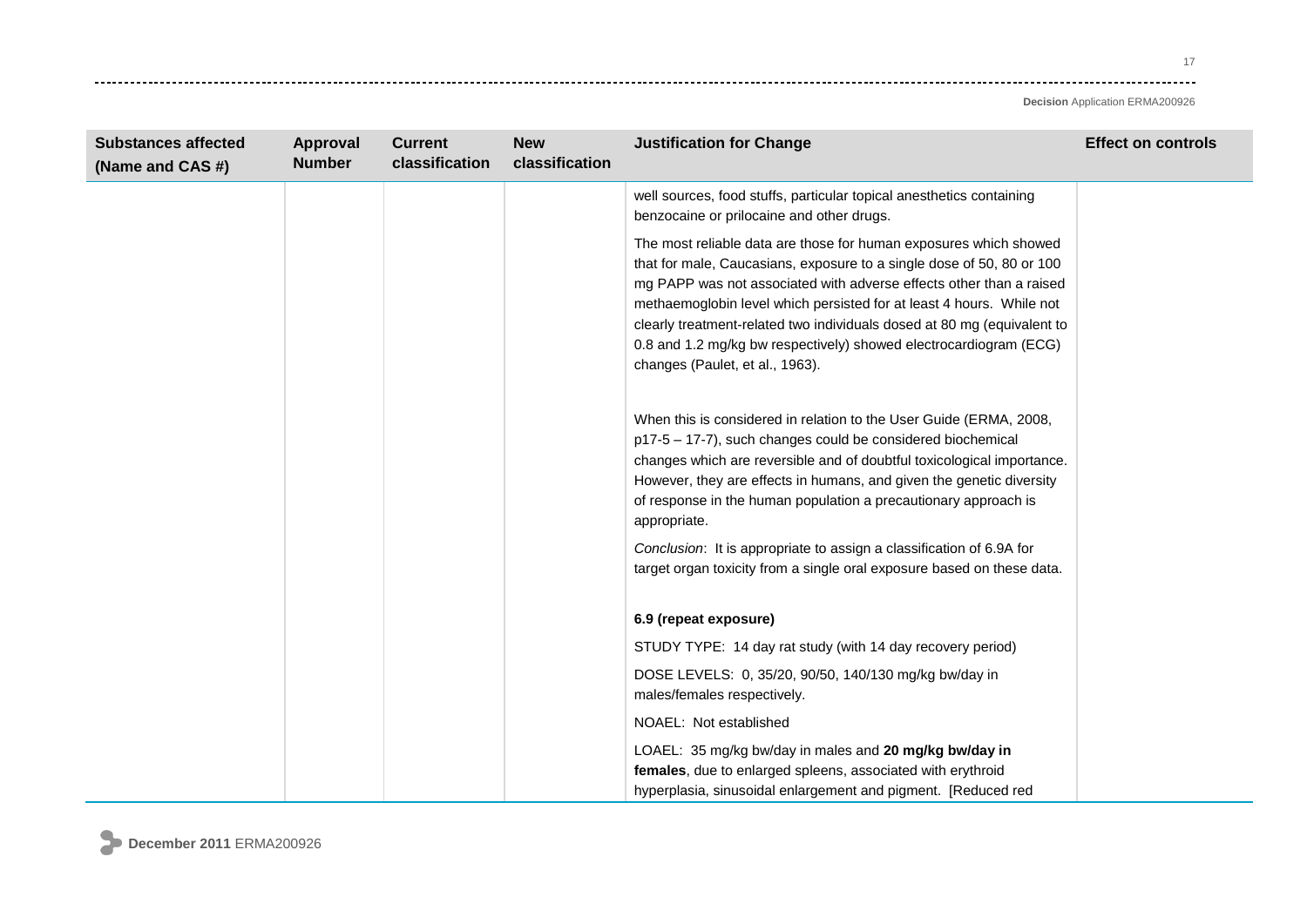. . . . . . . . . . .

| <b>Substances affected</b><br>(Name and CAS #) | Approval<br><b>Number</b> | <b>Current</b><br>classification | <b>New</b><br>classification | <b>Justification for Change</b>                                                                                                                                                                                                                                                                                                                                                                                                                                              | <b>Effect on controls</b> |
|------------------------------------------------|---------------------------|----------------------------------|------------------------------|------------------------------------------------------------------------------------------------------------------------------------------------------------------------------------------------------------------------------------------------------------------------------------------------------------------------------------------------------------------------------------------------------------------------------------------------------------------------------|---------------------------|
|                                                |                           |                                  |                              | well sources, food stuffs, particular topical anesthetics containing<br>benzocaine or prilocaine and other drugs.                                                                                                                                                                                                                                                                                                                                                            |                           |
|                                                |                           |                                  |                              | The most reliable data are those for human exposures which showed<br>that for male, Caucasians, exposure to a single dose of 50, 80 or 100<br>mg PAPP was not associated with adverse effects other than a raised<br>methaemoglobin level which persisted for at least 4 hours. While not<br>clearly treatment-related two individuals dosed at 80 mg (equivalent to<br>0.8 and 1.2 mg/kg bw respectively) showed electrocardiogram (ECG)<br>changes (Paulet, et al., 1963). |                           |
|                                                |                           |                                  |                              | When this is considered in relation to the User Guide (ERMA, 2008,<br>p17-5 - 17-7), such changes could be considered biochemical<br>changes which are reversible and of doubtful toxicological importance.<br>However, they are effects in humans, and given the genetic diversity<br>of response in the human population a precautionary approach is<br>appropriate.<br>Conclusion: It is appropriate to assign a classification of 6.9A for                               |                           |
|                                                |                           |                                  |                              | target organ toxicity from a single oral exposure based on these data.<br>6.9 (repeat exposure)                                                                                                                                                                                                                                                                                                                                                                              |                           |
|                                                |                           |                                  |                              | STUDY TYPE: 14 day rat study (with 14 day recovery period)                                                                                                                                                                                                                                                                                                                                                                                                                   |                           |
|                                                |                           |                                  |                              | DOSE LEVELS: 0, 35/20, 90/50, 140/130 mg/kg bw/day in<br>males/females respectively.                                                                                                                                                                                                                                                                                                                                                                                         |                           |
|                                                |                           |                                  |                              | NOAEL: Not established                                                                                                                                                                                                                                                                                                                                                                                                                                                       |                           |
|                                                |                           |                                  |                              | LOAEL: 35 mg/kg bw/day in males and 20 mg/kg bw/day in<br>females, due to enlarged spleens, associated with erythroid<br>hyperplasia, sinusoidal enlargement and pigment. [Reduced red                                                                                                                                                                                                                                                                                       |                           |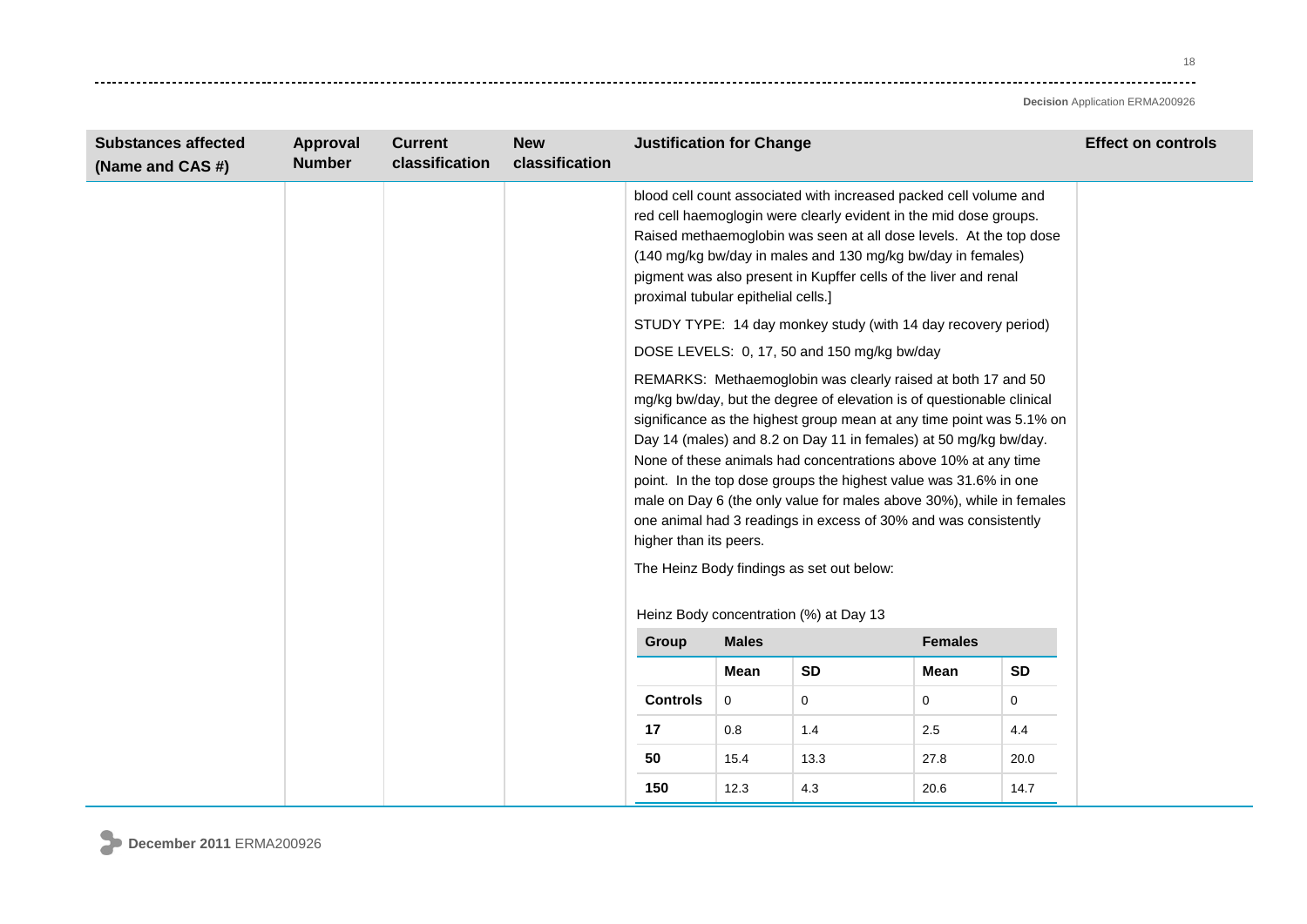18 . . . . . . .

| <b>Substances affected</b><br>(Name and CAS #) | Approval<br><b>Number</b> | <b>Current</b><br>classification | <b>New</b><br>classification | <b>Justification for Change</b>         |                                                                                                                                                                                                                                                                                                                                                                                                                                                                                                                                                                                                                                                                                          |           | <b>Effect on controls</b> |           |  |
|------------------------------------------------|---------------------------|----------------------------------|------------------------------|-----------------------------------------|------------------------------------------------------------------------------------------------------------------------------------------------------------------------------------------------------------------------------------------------------------------------------------------------------------------------------------------------------------------------------------------------------------------------------------------------------------------------------------------------------------------------------------------------------------------------------------------------------------------------------------------------------------------------------------------|-----------|---------------------------|-----------|--|
|                                                |                           |                                  |                              |                                         | blood cell count associated with increased packed cell volume and<br>red cell haemoglogin were clearly evident in the mid dose groups.<br>Raised methaemoglobin was seen at all dose levels. At the top dose<br>(140 mg/kg bw/day in males and 130 mg/kg bw/day in females)<br>pigment was also present in Kupffer cells of the liver and renal<br>proximal tubular epithelial cells.]<br>STUDY TYPE: 14 day monkey study (with 14 day recovery period)                                                                                                                                                                                                                                  |           |                           |           |  |
|                                                |                           |                                  |                              |                                         |                                                                                                                                                                                                                                                                                                                                                                                                                                                                                                                                                                                                                                                                                          |           |                           |           |  |
|                                                |                           |                                  |                              | Heinz Body concentration (%) at Day 13  | DOSE LEVELS: 0, 17, 50 and 150 mg/kg bw/day<br>REMARKS: Methaemoglobin was clearly raised at both 17 and 50<br>mg/kg bw/day, but the degree of elevation is of questionable clinical<br>significance as the highest group mean at any time point was 5.1% on<br>Day 14 (males) and 8.2 on Day 11 in females) at 50 mg/kg bw/day.<br>None of these animals had concentrations above 10% at any time<br>point. In the top dose groups the highest value was 31.6% in one<br>male on Day 6 (the only value for males above 30%), while in females<br>one animal had 3 readings in excess of 30% and was consistently<br>higher than its peers.<br>The Heinz Body findings as set out below: |           |                           |           |  |
|                                                |                           |                                  |                              | <b>Males</b><br><b>Females</b><br>Group |                                                                                                                                                                                                                                                                                                                                                                                                                                                                                                                                                                                                                                                                                          |           |                           |           |  |
|                                                |                           |                                  |                              |                                         | Mean                                                                                                                                                                                                                                                                                                                                                                                                                                                                                                                                                                                                                                                                                     | <b>SD</b> | Mean                      | <b>SD</b> |  |
|                                                |                           |                                  |                              | <b>Controls</b>                         | $\mathbf 0$                                                                                                                                                                                                                                                                                                                                                                                                                                                                                                                                                                                                                                                                              | 0         | $\mathbf 0$               | $\Omega$  |  |
|                                                |                           |                                  |                              | 17                                      | 0.8                                                                                                                                                                                                                                                                                                                                                                                                                                                                                                                                                                                                                                                                                      | 1.4       | 2.5                       | 4.4       |  |
|                                                |                           |                                  |                              | 50                                      | 15.4                                                                                                                                                                                                                                                                                                                                                                                                                                                                                                                                                                                                                                                                                     | 13.3      | 27.8                      | 20.0      |  |
|                                                |                           |                                  |                              | 150                                     | 12.3                                                                                                                                                                                                                                                                                                                                                                                                                                                                                                                                                                                                                                                                                     | 4.3       | 20.6                      | 14.7      |  |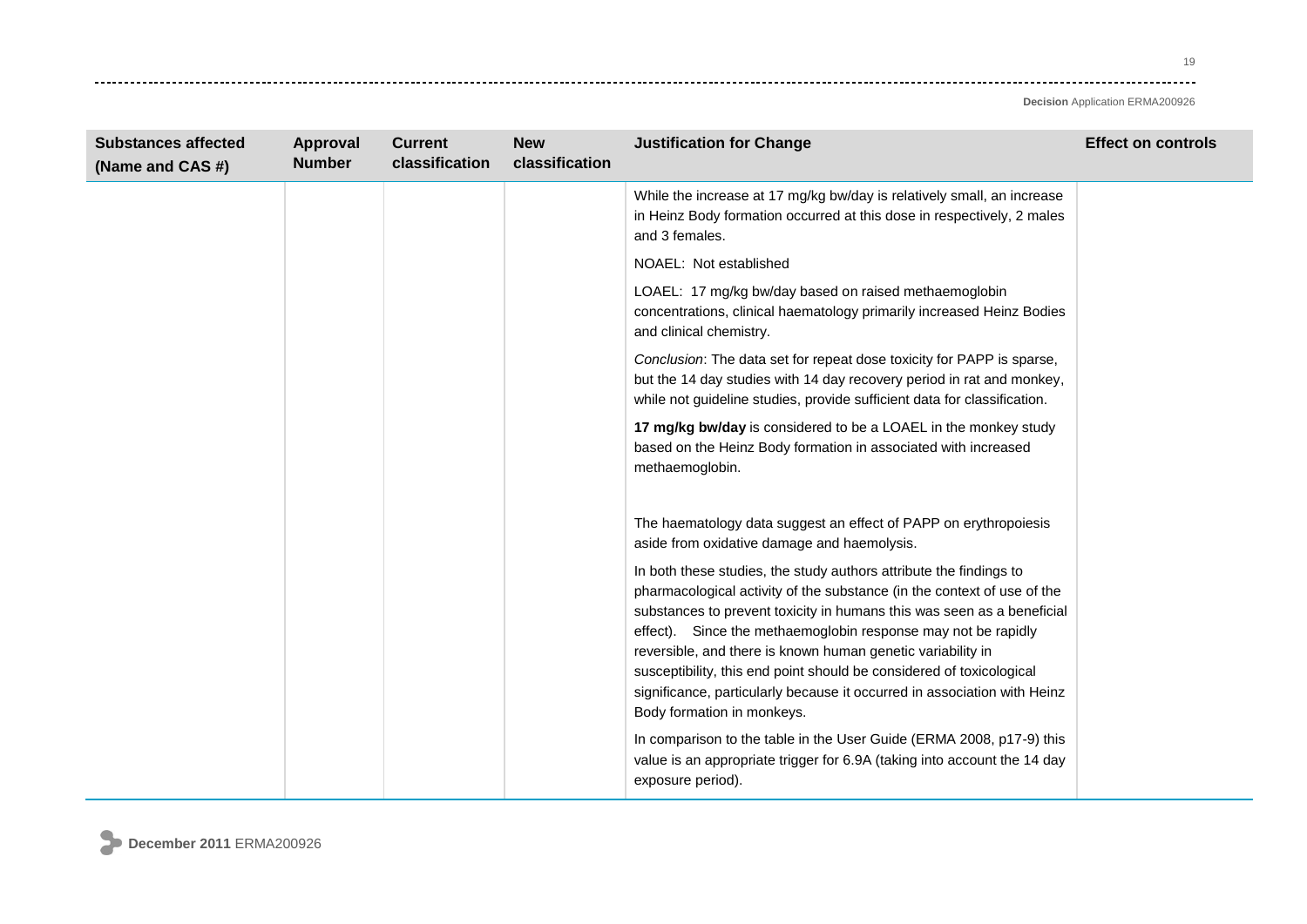---------

| <b>Substances affected</b><br>(Name and CAS #) | Approval<br><b>Number</b> | <b>Current</b><br>classification | <b>New</b><br>classification | <b>Justification for Change</b>                                                                                                                                                                                                                                                                                                                                                                                                                                                                                                           | <b>Effect on controls</b> |
|------------------------------------------------|---------------------------|----------------------------------|------------------------------|-------------------------------------------------------------------------------------------------------------------------------------------------------------------------------------------------------------------------------------------------------------------------------------------------------------------------------------------------------------------------------------------------------------------------------------------------------------------------------------------------------------------------------------------|---------------------------|
|                                                |                           |                                  |                              | While the increase at 17 mg/kg bw/day is relatively small, an increase<br>in Heinz Body formation occurred at this dose in respectively, 2 males<br>and 3 females.                                                                                                                                                                                                                                                                                                                                                                        |                           |
|                                                |                           |                                  |                              | NOAEL: Not established                                                                                                                                                                                                                                                                                                                                                                                                                                                                                                                    |                           |
|                                                |                           |                                  |                              | LOAEL: 17 mg/kg bw/day based on raised methaemoglobin<br>concentrations, clinical haematology primarily increased Heinz Bodies<br>and clinical chemistry.                                                                                                                                                                                                                                                                                                                                                                                 |                           |
|                                                |                           |                                  |                              | Conclusion: The data set for repeat dose toxicity for PAPP is sparse,<br>but the 14 day studies with 14 day recovery period in rat and monkey,<br>while not guideline studies, provide sufficient data for classification.                                                                                                                                                                                                                                                                                                                |                           |
|                                                |                           |                                  |                              | 17 mg/kg bw/day is considered to be a LOAEL in the monkey study<br>based on the Heinz Body formation in associated with increased<br>methaemoglobin.                                                                                                                                                                                                                                                                                                                                                                                      |                           |
|                                                |                           |                                  |                              | The haematology data suggest an effect of PAPP on erythropoiesis<br>aside from oxidative damage and haemolysis.                                                                                                                                                                                                                                                                                                                                                                                                                           |                           |
|                                                |                           |                                  |                              | In both these studies, the study authors attribute the findings to<br>pharmacological activity of the substance (in the context of use of the<br>substances to prevent toxicity in humans this was seen as a beneficial<br>effect). Since the methaemoglobin response may not be rapidly<br>reversible, and there is known human genetic variability in<br>susceptibility, this end point should be considered of toxicological<br>significance, particularly because it occurred in association with Heinz<br>Body formation in monkeys. |                           |
|                                                |                           |                                  |                              | In comparison to the table in the User Guide (ERMA 2008, p17-9) this<br>value is an appropriate trigger for 6.9A (taking into account the 14 day<br>exposure period).                                                                                                                                                                                                                                                                                                                                                                     |                           |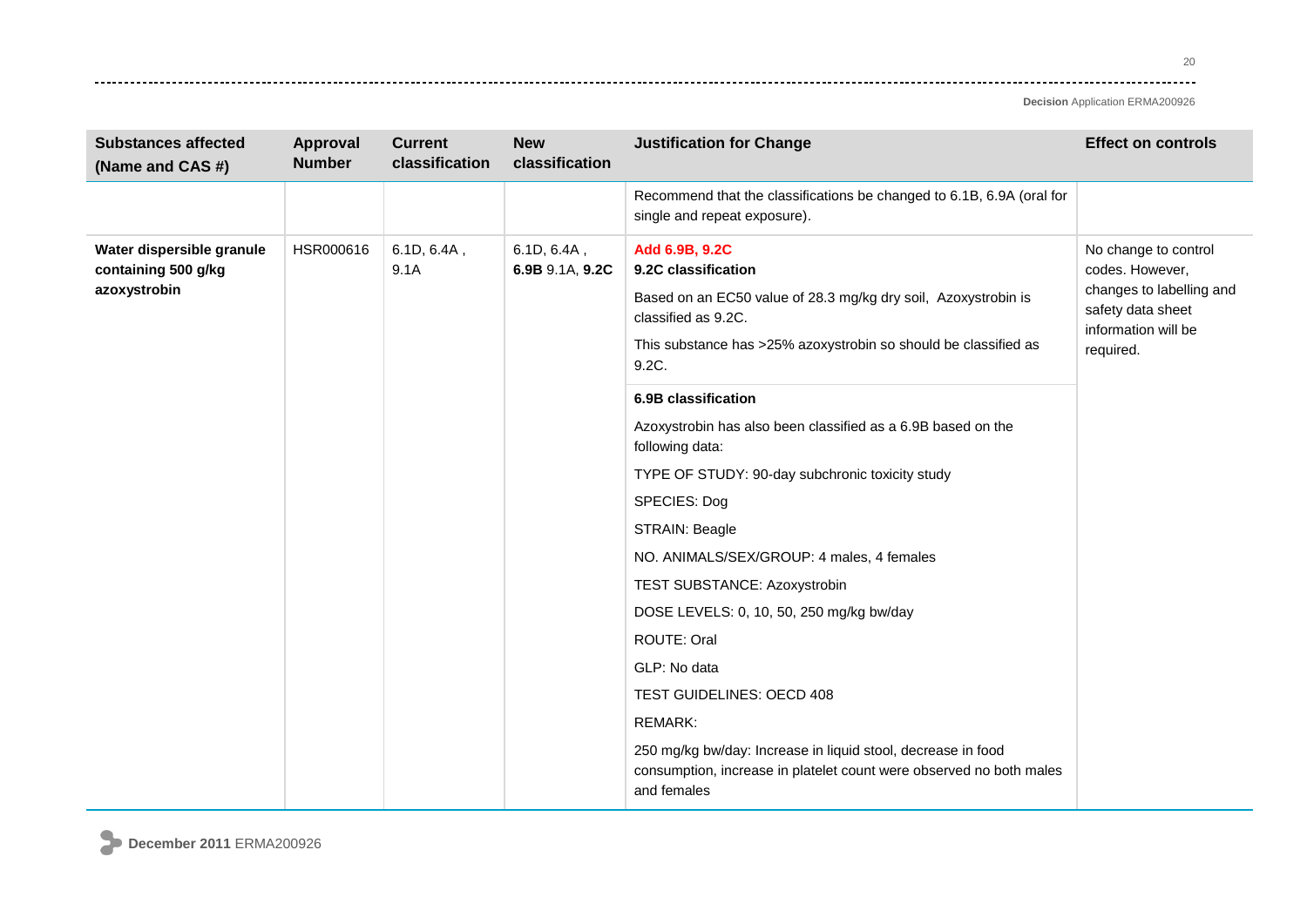20 وتوادي

| <b>Substances affected</b><br>(Name and CAS #)                   | Approval<br><b>Number</b> | <b>Current</b><br>classification | <b>New</b><br>classification   | <b>Justification for Change</b>                                                                                                                                                                                                   | <b>Effect on controls</b>                                                                                                    |
|------------------------------------------------------------------|---------------------------|----------------------------------|--------------------------------|-----------------------------------------------------------------------------------------------------------------------------------------------------------------------------------------------------------------------------------|------------------------------------------------------------------------------------------------------------------------------|
|                                                                  |                           |                                  |                                | Recommend that the classifications be changed to 6.1B, 6.9A (oral for<br>single and repeat exposure).                                                                                                                             |                                                                                                                              |
| Water dispersible granule<br>containing 500 g/kg<br>azoxystrobin | HSR000616                 | 6.1D, 6.4A,<br>9.1A              | 6.1D, 6.4A,<br>6.9B 9.1A, 9.2C | Add 6.9B, 9.2C<br>9.2C classification<br>Based on an EC50 value of 28.3 mg/kg dry soil, Azoxystrobin is<br>classified as 9.2C.<br>This substance has >25% azoxystrobin so should be classified as<br>9.2C.<br>6.9B classification | No change to control<br>codes. However,<br>changes to labelling and<br>safety data sheet<br>information will be<br>required. |
|                                                                  |                           |                                  |                                | Azoxystrobin has also been classified as a 6.9B based on the<br>following data:                                                                                                                                                   |                                                                                                                              |
|                                                                  |                           |                                  |                                | TYPE OF STUDY: 90-day subchronic toxicity study<br>SPECIES: Dog                                                                                                                                                                   |                                                                                                                              |
|                                                                  |                           |                                  |                                | STRAIN: Beagle                                                                                                                                                                                                                    |                                                                                                                              |
|                                                                  |                           |                                  |                                | NO. ANIMALS/SEX/GROUP: 4 males, 4 females                                                                                                                                                                                         |                                                                                                                              |
|                                                                  |                           |                                  |                                | TEST SUBSTANCE: Azoxystrobin                                                                                                                                                                                                      |                                                                                                                              |
|                                                                  |                           |                                  |                                | DOSE LEVELS: 0, 10, 50, 250 mg/kg bw/day                                                                                                                                                                                          |                                                                                                                              |
|                                                                  |                           |                                  |                                | ROUTE: Oral                                                                                                                                                                                                                       |                                                                                                                              |
|                                                                  |                           |                                  |                                | GLP: No data                                                                                                                                                                                                                      |                                                                                                                              |
|                                                                  |                           |                                  |                                | TEST GUIDELINES: OECD 408                                                                                                                                                                                                         |                                                                                                                              |
|                                                                  |                           |                                  |                                | <b>REMARK:</b>                                                                                                                                                                                                                    |                                                                                                                              |
|                                                                  |                           |                                  |                                | 250 mg/kg bw/day: Increase in liquid stool, decrease in food<br>consumption, increase in platelet count were observed no both males<br>and females                                                                                |                                                                                                                              |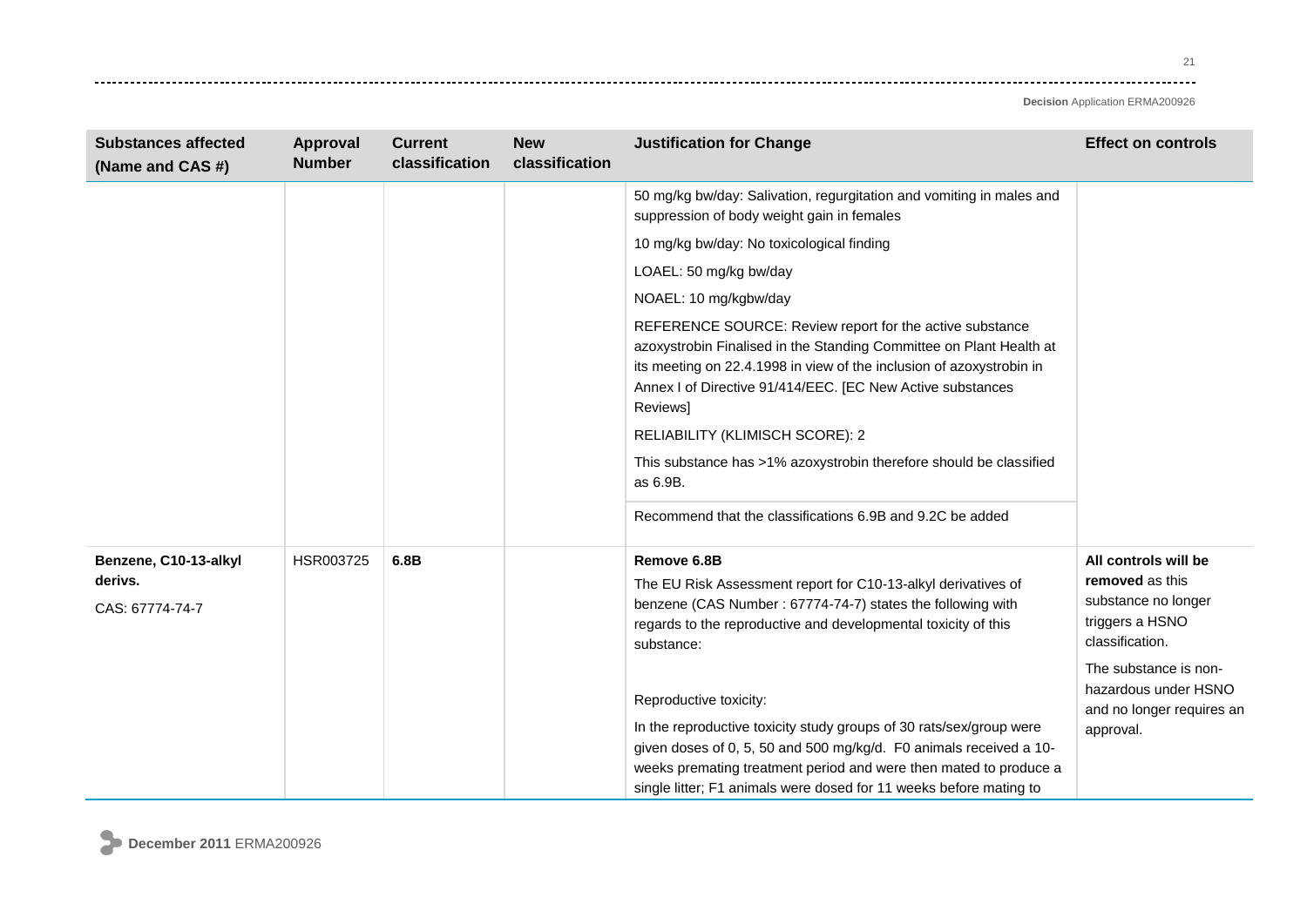21 -------

| <b>Substances affected</b><br>(Name and CAS #)      | Approval<br><b>Number</b> | <b>Current</b><br>classification | <b>New</b><br>classification | <b>Justification for Change</b>                                                                                                                                                                                                                                                                                                                                                                                                                                            | <b>Effect on controls</b>                                                                            |
|-----------------------------------------------------|---------------------------|----------------------------------|------------------------------|----------------------------------------------------------------------------------------------------------------------------------------------------------------------------------------------------------------------------------------------------------------------------------------------------------------------------------------------------------------------------------------------------------------------------------------------------------------------------|------------------------------------------------------------------------------------------------------|
|                                                     |                           |                                  |                              | 50 mg/kg bw/day: Salivation, regurgitation and vomiting in males and<br>suppression of body weight gain in females                                                                                                                                                                                                                                                                                                                                                         |                                                                                                      |
|                                                     |                           |                                  |                              | 10 mg/kg bw/day: No toxicological finding                                                                                                                                                                                                                                                                                                                                                                                                                                  |                                                                                                      |
|                                                     |                           |                                  |                              | LOAEL: 50 mg/kg bw/day                                                                                                                                                                                                                                                                                                                                                                                                                                                     |                                                                                                      |
|                                                     |                           |                                  |                              | NOAEL: 10 mg/kgbw/day                                                                                                                                                                                                                                                                                                                                                                                                                                                      |                                                                                                      |
|                                                     |                           |                                  |                              | REFERENCE SOURCE: Review report for the active substance<br>azoxystrobin Finalised in the Standing Committee on Plant Health at<br>its meeting on 22.4.1998 in view of the inclusion of azoxystrobin in<br>Annex I of Directive 91/414/EEC. [EC New Active substances<br><b>Reviewsl</b><br>RELIABILITY (KLIMISCH SCORE): 2<br>This substance has >1% azoxystrobin therefore should be classified<br>as 6.9B.<br>Recommend that the classifications 6.9B and 9.2C be added |                                                                                                      |
|                                                     |                           |                                  |                              |                                                                                                                                                                                                                                                                                                                                                                                                                                                                            |                                                                                                      |
| Benzene, C10-13-alkyl<br>derivs.<br>CAS: 67774-74-7 | HSR003725                 | 6.8B                             |                              | Remove 6.8B<br>The EU Risk Assessment report for C10-13-alkyl derivatives of<br>benzene (CAS Number: 67774-74-7) states the following with<br>regards to the reproductive and developmental toxicity of this<br>substance:                                                                                                                                                                                                                                                 | All controls will be<br>removed as this<br>substance no longer<br>triggers a HSNO<br>classification. |
|                                                     |                           |                                  |                              | Reproductive toxicity:<br>In the reproductive toxicity study groups of 30 rats/sex/group were<br>given doses of 0, 5, 50 and 500 mg/kg/d. F0 animals received a 10-<br>weeks premating treatment period and were then mated to produce a<br>single litter; F1 animals were dosed for 11 weeks before mating to                                                                                                                                                             | The substance is non-<br>hazardous under HSNO<br>and no longer requires an<br>approval.              |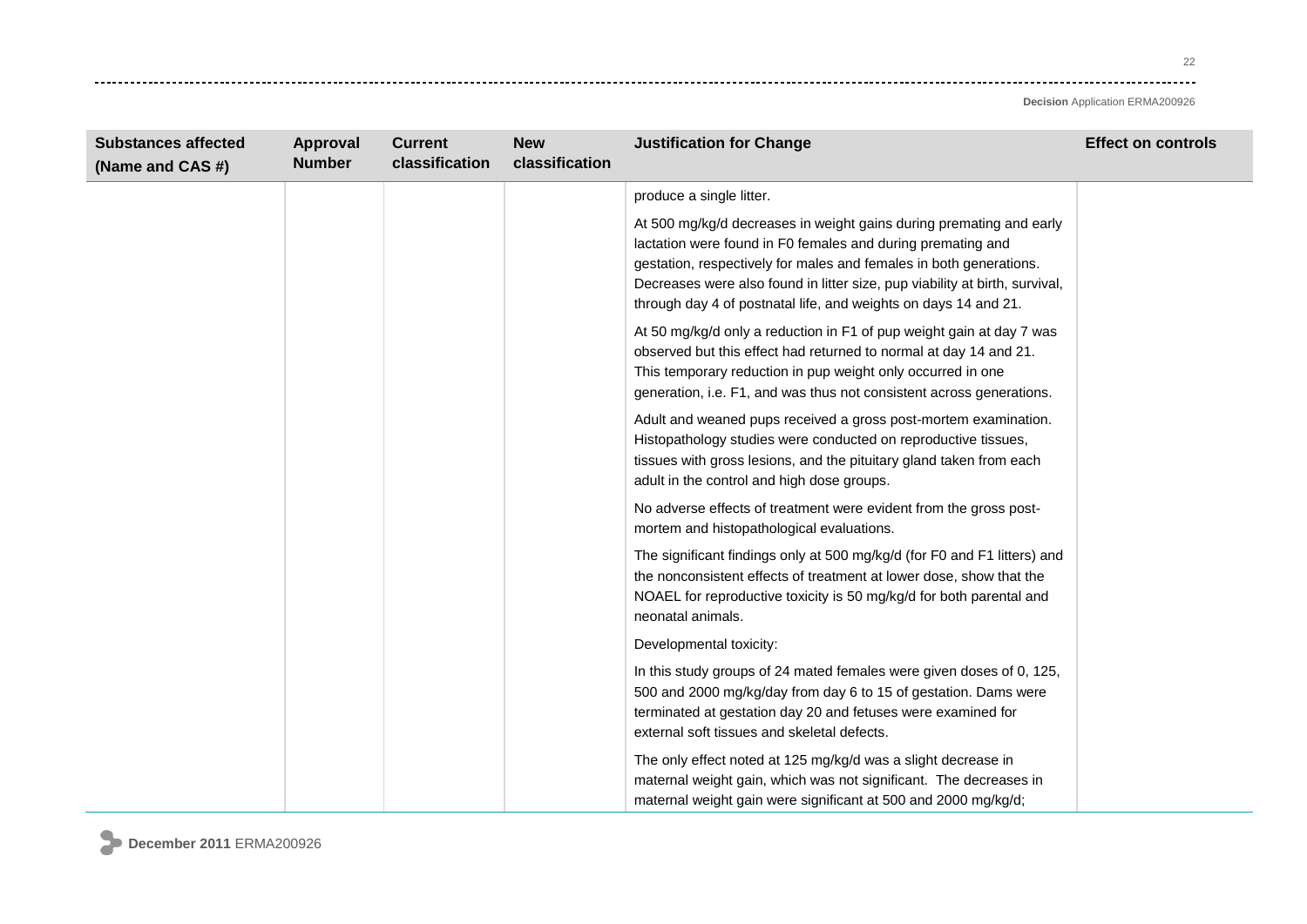22 وتوادي

| <b>Substances affected</b><br>(Name and CAS #) | Approval<br><b>Number</b> | <b>Current</b><br>classification | <b>New</b><br>classification | <b>Justification for Change</b>                                                                                                                                                                                                                                                                                                                            | <b>Effect on controls</b> |
|------------------------------------------------|---------------------------|----------------------------------|------------------------------|------------------------------------------------------------------------------------------------------------------------------------------------------------------------------------------------------------------------------------------------------------------------------------------------------------------------------------------------------------|---------------------------|
|                                                |                           |                                  |                              | produce a single litter.                                                                                                                                                                                                                                                                                                                                   |                           |
|                                                |                           |                                  |                              | At 500 mg/kg/d decreases in weight gains during premating and early<br>lactation were found in F0 females and during premating and<br>gestation, respectively for males and females in both generations.<br>Decreases were also found in litter size, pup viability at birth, survival,<br>through day 4 of postnatal life, and weights on days 14 and 21. |                           |
|                                                |                           |                                  |                              | At 50 mg/kg/d only a reduction in F1 of pup weight gain at day 7 was<br>observed but this effect had returned to normal at day 14 and 21.<br>This temporary reduction in pup weight only occurred in one<br>generation, i.e. F1, and was thus not consistent across generations.                                                                           |                           |
|                                                |                           |                                  |                              | Adult and weaned pups received a gross post-mortem examination.<br>Histopathology studies were conducted on reproductive tissues,<br>tissues with gross lesions, and the pituitary gland taken from each<br>adult in the control and high dose groups.                                                                                                     |                           |
|                                                |                           |                                  |                              | No adverse effects of treatment were evident from the gross post-<br>mortem and histopathological evaluations.                                                                                                                                                                                                                                             |                           |
|                                                |                           |                                  |                              | The significant findings only at 500 mg/kg/d (for F0 and F1 litters) and<br>the nonconsistent effects of treatment at lower dose, show that the<br>NOAEL for reproductive toxicity is 50 mg/kg/d for both parental and<br>neonatal animals.                                                                                                                |                           |
|                                                |                           |                                  |                              | Developmental toxicity:                                                                                                                                                                                                                                                                                                                                    |                           |
|                                                |                           |                                  |                              | In this study groups of 24 mated females were given doses of 0, 125,<br>500 and 2000 mg/kg/day from day 6 to 15 of gestation. Dams were<br>terminated at gestation day 20 and fetuses were examined for<br>external soft tissues and skeletal defects.                                                                                                     |                           |
|                                                |                           |                                  |                              | The only effect noted at 125 mg/kg/d was a slight decrease in<br>maternal weight gain, which was not significant. The decreases in<br>maternal weight gain were significant at 500 and 2000 mg/kg/d;                                                                                                                                                       |                           |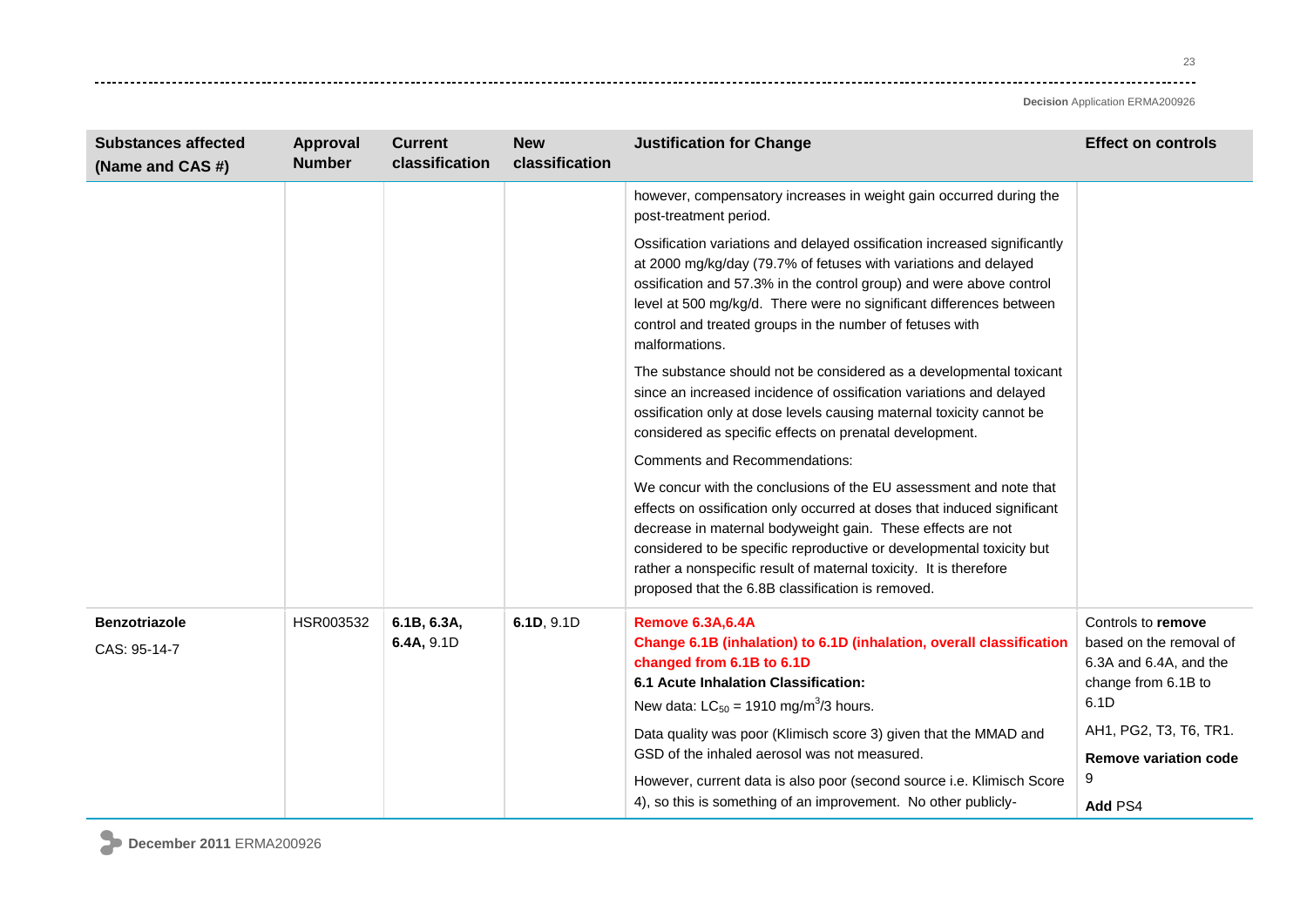23 وتوادي

| <b>Substances affected</b><br>(Name and CAS #) | Approval<br><b>Number</b>                                                                                                                 | <b>Current</b><br>classification                                                                                                                                                                                                                                                                                                                                                                              | <b>New</b><br>classification                                         | <b>Justification for Change</b>                                                                                                                                                                                                                                                                                                                                         | <b>Effect on controls</b> |
|------------------------------------------------|-------------------------------------------------------------------------------------------------------------------------------------------|---------------------------------------------------------------------------------------------------------------------------------------------------------------------------------------------------------------------------------------------------------------------------------------------------------------------------------------------------------------------------------------------------------------|----------------------------------------------------------------------|-------------------------------------------------------------------------------------------------------------------------------------------------------------------------------------------------------------------------------------------------------------------------------------------------------------------------------------------------------------------------|---------------------------|
|                                                |                                                                                                                                           |                                                                                                                                                                                                                                                                                                                                                                                                               |                                                                      | however, compensatory increases in weight gain occurred during the<br>post-treatment period.                                                                                                                                                                                                                                                                            |                           |
|                                                |                                                                                                                                           |                                                                                                                                                                                                                                                                                                                                                                                                               |                                                                      | Ossification variations and delayed ossification increased significantly<br>at 2000 mg/kg/day (79.7% of fetuses with variations and delayed<br>ossification and 57.3% in the control group) and were above control<br>level at 500 mg/kg/d. There were no significant differences between<br>control and treated groups in the number of fetuses with<br>malformations. |                           |
|                                                |                                                                                                                                           |                                                                                                                                                                                                                                                                                                                                                                                                               |                                                                      | The substance should not be considered as a developmental toxicant<br>since an increased incidence of ossification variations and delayed<br>ossification only at dose levels causing maternal toxicity cannot be<br>considered as specific effects on prenatal development.                                                                                            |                           |
|                                                |                                                                                                                                           |                                                                                                                                                                                                                                                                                                                                                                                                               |                                                                      | <b>Comments and Recommendations:</b>                                                                                                                                                                                                                                                                                                                                    |                           |
|                                                |                                                                                                                                           | We concur with the conclusions of the EU assessment and note that<br>effects on ossification only occurred at doses that induced significant<br>decrease in maternal bodyweight gain. These effects are not<br>considered to be specific reproductive or developmental toxicity but<br>rather a nonspecific result of maternal toxicity. It is therefore<br>proposed that the 6.8B classification is removed. |                                                                      |                                                                                                                                                                                                                                                                                                                                                                         |                           |
| <b>Benzotriazole</b>                           | HSR003532                                                                                                                                 | 6.1B, 6.3A,                                                                                                                                                                                                                                                                                                                                                                                                   | 6.1D, 9.1D                                                           | <b>Remove 6.3A,6.4A</b>                                                                                                                                                                                                                                                                                                                                                 | Controls to remove        |
| CAS: 95-14-7                                   | 6.4A, 9.1D<br>changed from 6.1B to 6.1D<br>6.1 Acute Inhalation Classification:<br>New data: $LC_{50} = 1910$ mg/m <sup>3</sup> /3 hours. |                                                                                                                                                                                                                                                                                                                                                                                                               | Change 6.1B (inhalation) to 6.1D (inhalation, overall classification | based on the removal of<br>6.3A and 6.4A, and the<br>change from 6.1B to<br>6.1D                                                                                                                                                                                                                                                                                        |                           |
|                                                |                                                                                                                                           |                                                                                                                                                                                                                                                                                                                                                                                                               |                                                                      | Data quality was poor (Klimisch score 3) given that the MMAD and                                                                                                                                                                                                                                                                                                        | AH1, PG2, T3, T6, TR1.    |
|                                                |                                                                                                                                           |                                                                                                                                                                                                                                                                                                                                                                                                               |                                                                      | GSD of the inhaled aerosol was not measured.                                                                                                                                                                                                                                                                                                                            | Remove variation code     |
|                                                |                                                                                                                                           |                                                                                                                                                                                                                                                                                                                                                                                                               |                                                                      | However, current data is also poor (second source i.e. Klimisch Score<br>4), so this is something of an improvement. No other publicly-                                                                                                                                                                                                                                 | 9<br>Add PS4              |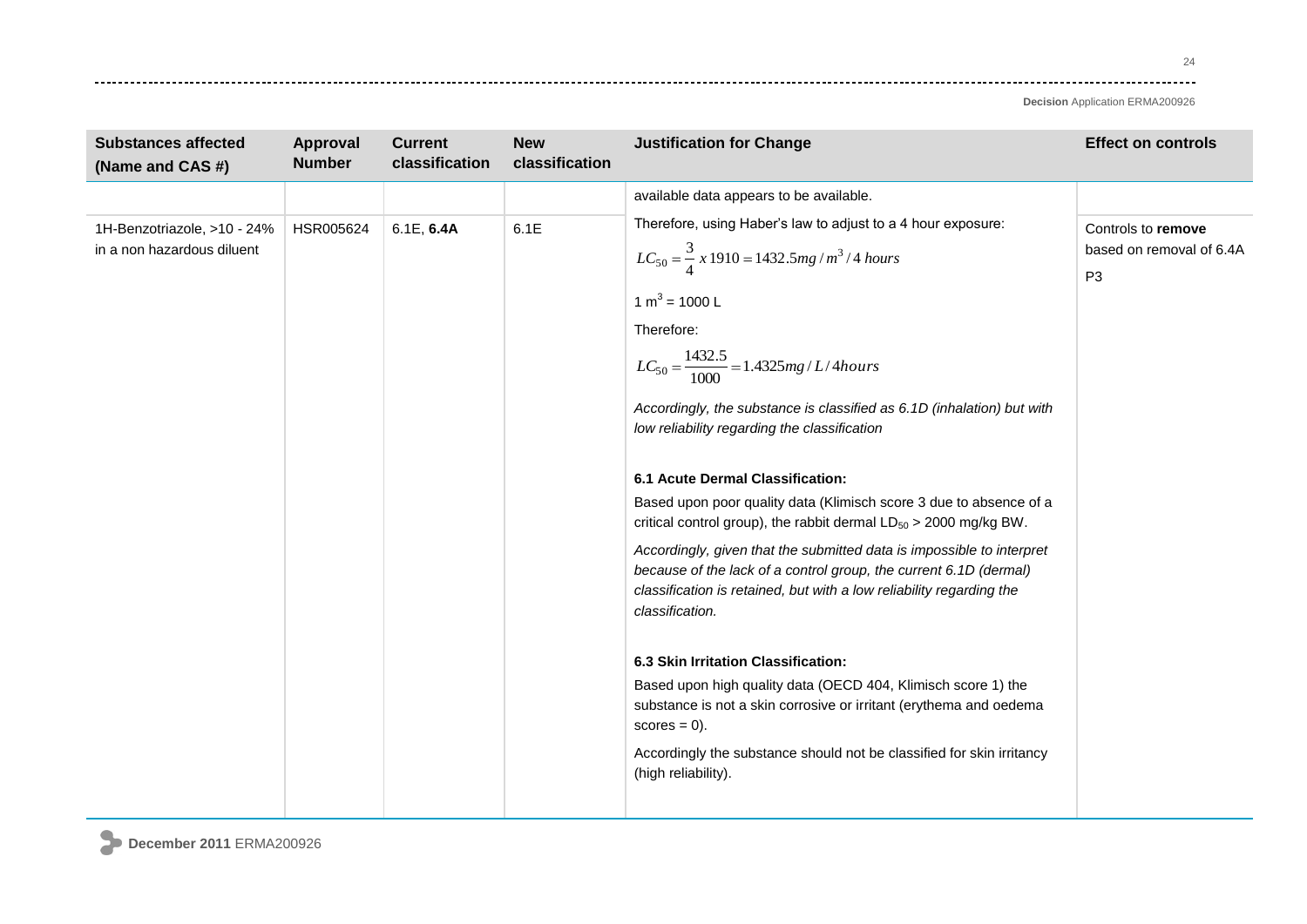| <b>Substances affected</b><br>(Name and CAS #)            | Approval<br><b>Number</b> | <b>Current</b><br>classification | <b>New</b><br>classification | <b>Justification for Change</b>                                                                                                                                                                                                                                                                                                                                                                                                                                                                                                                                                                                                                                                                                           | <b>Effect on controls</b>                                        |
|-----------------------------------------------------------|---------------------------|----------------------------------|------------------------------|---------------------------------------------------------------------------------------------------------------------------------------------------------------------------------------------------------------------------------------------------------------------------------------------------------------------------------------------------------------------------------------------------------------------------------------------------------------------------------------------------------------------------------------------------------------------------------------------------------------------------------------------------------------------------------------------------------------------------|------------------------------------------------------------------|
|                                                           |                           |                                  |                              | available data appears to be available.                                                                                                                                                                                                                                                                                                                                                                                                                                                                                                                                                                                                                                                                                   |                                                                  |
| 1H-Benzotriazole, >10 - 24%<br>in a non hazardous diluent | HSR005624                 | 6.1E, 6.4A                       | 6.1E                         | Therefore, using Haber's law to adjust to a 4 hour exposure:<br>$LC_{50} = \frac{3}{4} x 1910 = 1432.5 mg/m^3/4 hours$<br>1 m <sup>3</sup> = 1000 L<br>Therefore:<br>$LC_{50} = \frac{1432.5}{1000} = 1.4325mg/L/4 hours$<br>Accordingly, the substance is classified as 6.1D (inhalation) but with<br>low reliability regarding the classification                                                                                                                                                                                                                                                                                                                                                                       | Controls to remove<br>based on removal of 6.4A<br>P <sub>3</sub> |
|                                                           |                           |                                  |                              | 6.1 Acute Dermal Classification:<br>Based upon poor quality data (Klimisch score 3 due to absence of a<br>critical control group), the rabbit dermal $LD_{50} > 2000$ mg/kg BW.<br>Accordingly, given that the submitted data is impossible to interpret<br>because of the lack of a control group, the current 6.1D (dermal)<br>classification is retained, but with a low reliability regarding the<br>classification.<br>6.3 Skin Irritation Classification:<br>Based upon high quality data (OECD 404, Klimisch score 1) the<br>substance is not a skin corrosive or irritant (erythema and oedema<br>$scores = 0$ ).<br>Accordingly the substance should not be classified for skin irritancy<br>(high reliability). |                                                                  |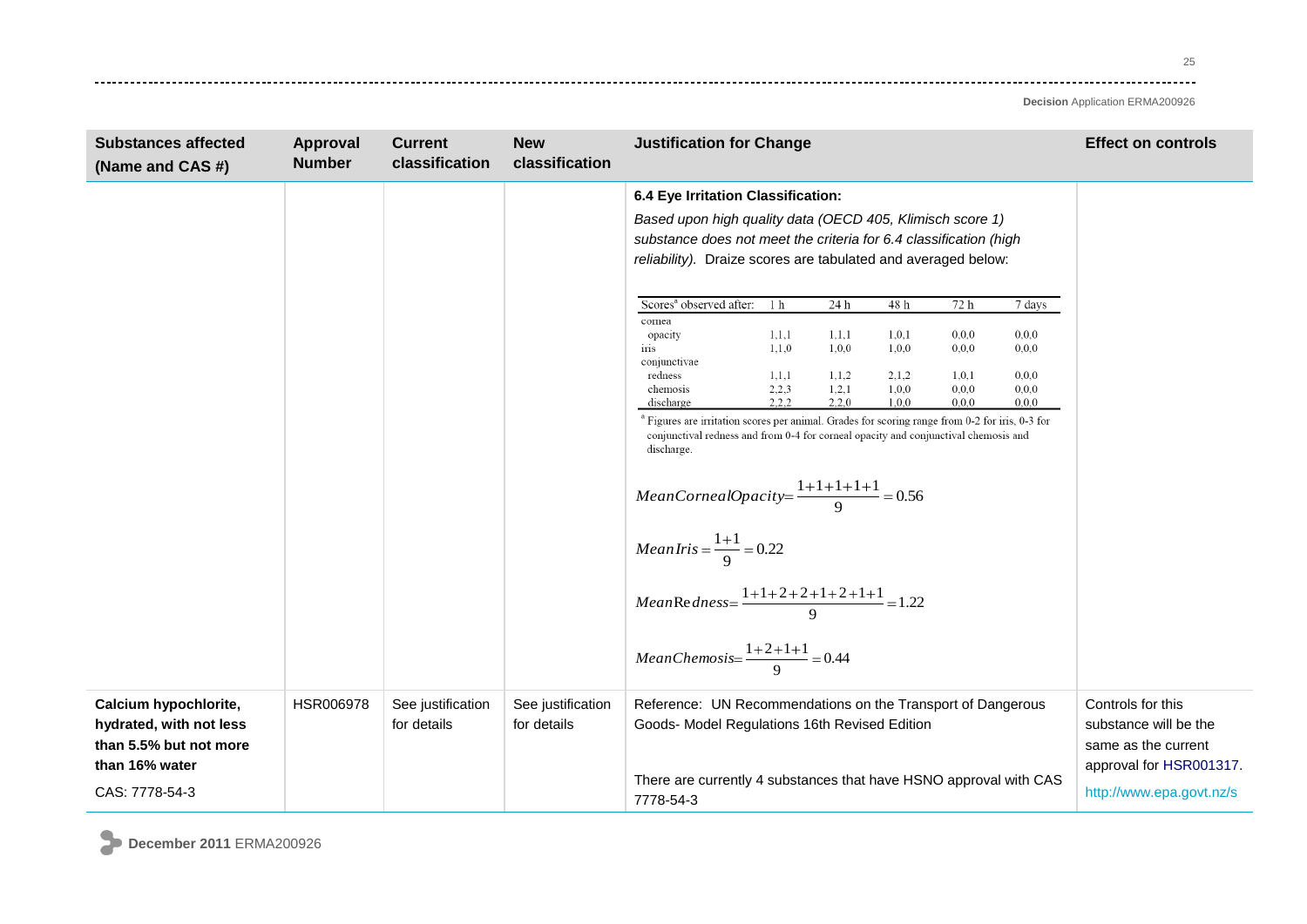25 وتوادي

| <b>Substances affected</b><br>(Name and CAS #)                                               | Approval<br><b>Number</b> | <b>Current</b><br>classification | <b>New</b><br>classification     | <b>Justification for Change</b><br><b>Effect on controls</b>                                                                                                                                                                                                                                                                     |
|----------------------------------------------------------------------------------------------|---------------------------|----------------------------------|----------------------------------|----------------------------------------------------------------------------------------------------------------------------------------------------------------------------------------------------------------------------------------------------------------------------------------------------------------------------------|
|                                                                                              |                           |                                  |                                  | 6.4 Eye Irritation Classification:<br>Based upon high quality data (OECD 405, Klimisch score 1)<br>substance does not meet the criteria for 6.4 classification (high<br>reliability). Draize scores are tabulated and averaged below:                                                                                            |
|                                                                                              |                           |                                  |                                  | Scores <sup>a</sup> observed after:<br>1 <sub>h</sub><br>24 h<br>72 h<br>48 h<br>7 days                                                                                                                                                                                                                                          |
|                                                                                              |                           |                                  |                                  | cornea<br>1, 1, 1<br>0, 0, 0<br>1,1,1<br>1, 0, 1<br>0, 0, 0<br>opacity<br>1,1,0<br>1,0,0<br>1,0,0<br>0,0,0<br>0, 0, 0<br>iris<br>conjunctivae<br>1,1,1<br>1, 1, 2<br>2,1,2<br>1,0,1<br>0, 0, 0<br>redness<br>2,2,3<br>1,2,1<br>1,0,0<br>0,0,0<br>0, 0, 0<br>chemosis<br>2,2,2<br>2,2,0<br>1,0,0<br>0,0,0<br>0, 0, 0<br>discharge |
|                                                                                              |                           |                                  |                                  | <sup>a</sup> Figures are irritation scores per animal. Grades for scoring range from 0-2 for iris, 0-3 for<br>conjunctival redness and from 0-4 for corneal opacity and conjunctival chemosis and<br>discharge.<br>$MeanCornealOpacity = \frac{1+1+1+1+1}{9} = 0.56$                                                             |
|                                                                                              |                           |                                  |                                  | $MeanIris = \frac{1+1}{9} = 0.22$<br>$Mean\text{Re}\,dness = \frac{1+1+2+2+1+2+1+1}{9} = 1.22$                                                                                                                                                                                                                                   |
|                                                                                              |                           |                                  |                                  | MeanChemosis= $\frac{1+2+1+1}{9}$ = 0.44                                                                                                                                                                                                                                                                                         |
| Calcium hypochlorite,<br>hydrated, with not less<br>than 5.5% but not more<br>than 16% water | HSR006978                 | See justification<br>for details | See justification<br>for details | Reference: UN Recommendations on the Transport of Dangerous<br>Controls for this<br>Goods- Model Regulations 16th Revised Edition<br>substance will be the<br>same as the current<br>approval for HSR001317.                                                                                                                     |
| CAS: 7778-54-3                                                                               |                           |                                  |                                  | There are currently 4 substances that have HSNO approval with CAS<br>http://www.epa.govt.nz/s<br>7778-54-3                                                                                                                                                                                                                       |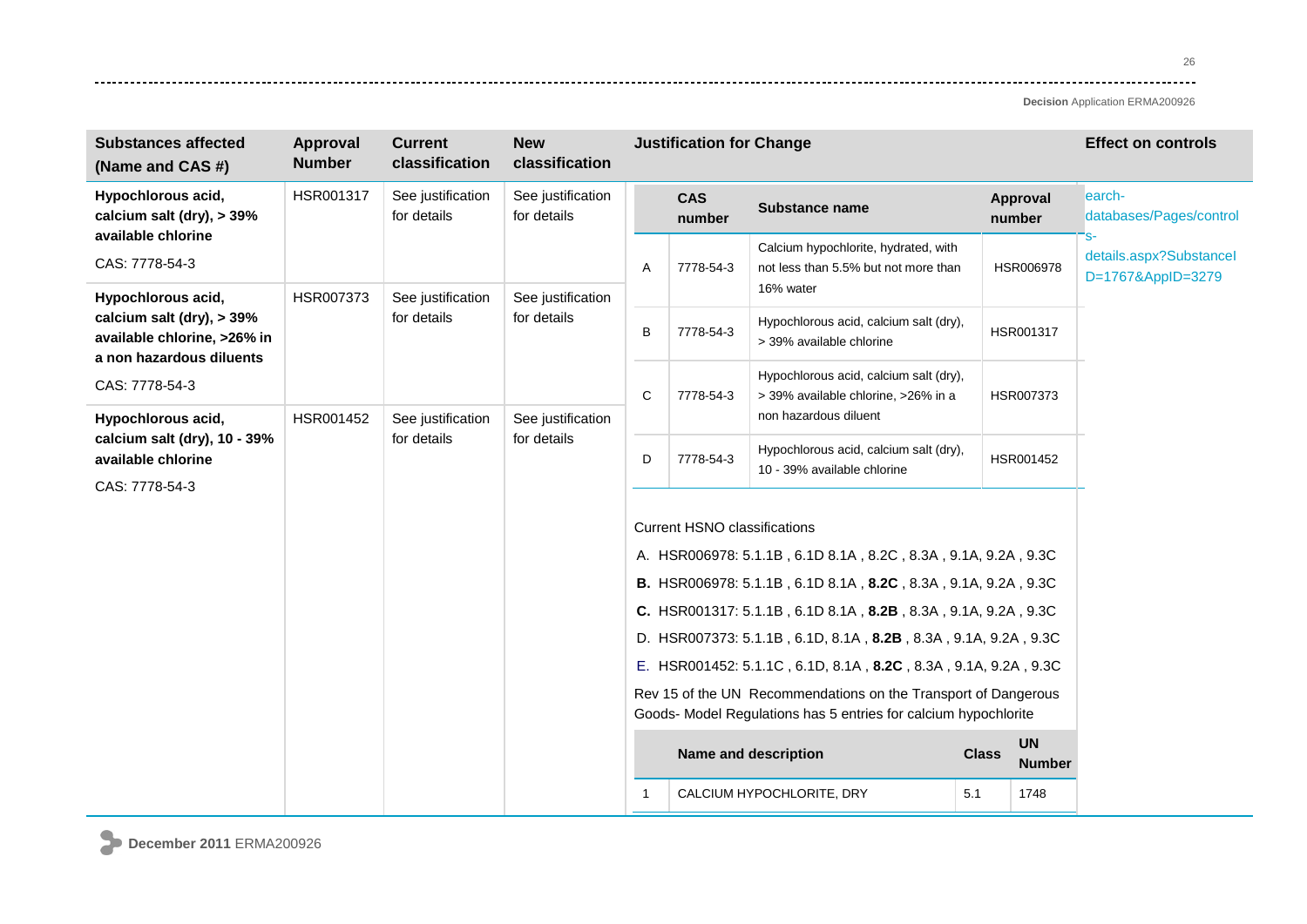26 ----

| <b>Substances affected</b><br>(Name and CAS #)                                         | Approval<br><b>Number</b> | <b>Current</b><br>classification | <b>New</b><br>classification     | <b>Justification for Change</b> |                                                                                                                                   |                                                                               |     |                    | <b>Effect on controls</b>                    |
|----------------------------------------------------------------------------------------|---------------------------|----------------------------------|----------------------------------|---------------------------------|-----------------------------------------------------------------------------------------------------------------------------------|-------------------------------------------------------------------------------|-----|--------------------|----------------------------------------------|
| Hypochlorous acid,<br>calcium salt (dry), $>$ 39%                                      | HSR001317                 | See justification<br>for details | See justification<br>for details |                                 | <b>CAS</b><br>number                                                                                                              | <b>Substance name</b>                                                         |     | Approval<br>number | earch-<br>databases/Pages/control            |
| available chlorine<br>CAS: 7778-54-3                                                   |                           |                                  |                                  | A                               | 7778-54-3                                                                                                                         | Calcium hypochlorite, hydrated, with<br>not less than 5.5% but not more than  |     | HSR006978          | details.aspx?Substancel<br>D=1767&AppID=3279 |
| Hypochlorous acid,                                                                     | HSR007373                 | See justification                | See justification                |                                 |                                                                                                                                   | 16% water                                                                     |     |                    |                                              |
| calcium salt (dry), $>$ 39%<br>available chlorine, >26% in<br>a non hazardous diluents |                           | for details                      | for details                      | B                               | 7778-54-3                                                                                                                         | Hypochlorous acid, calcium salt (dry),<br>> 39% available chlorine            |     | HSR001317          |                                              |
| CAS: 7778-54-3                                                                         |                           |                                  | See justification                | C                               | 7778-54-3                                                                                                                         | Hypochlorous acid, calcium salt (dry),<br>> 39% available chlorine, >26% in a |     | HSR007373          |                                              |
| Hypochlorous acid,                                                                     | HSR001452                 | See justification                |                                  |                                 |                                                                                                                                   | non hazardous diluent                                                         |     |                    |                                              |
| calcium salt (dry), 10 - 39%<br>available chlorine                                     |                           | for details                      | for details                      | D                               | 7778-54-3                                                                                                                         | Hypochlorous acid, calcium salt (dry),<br>10 - 39% available chlorine         |     | HSR001452          |                                              |
| CAS: 7778-54-3                                                                         |                           |                                  |                                  |                                 |                                                                                                                                   |                                                                               |     |                    |                                              |
|                                                                                        |                           |                                  |                                  |                                 | <b>Current HSNO classifications</b>                                                                                               |                                                                               |     |                    |                                              |
|                                                                                        |                           |                                  |                                  |                                 |                                                                                                                                   | A. HSR006978: 5.1.1B, 6.1D 8.1A, 8.2C, 8.3A, 9.1A, 9.2A, 9.3C                 |     |                    |                                              |
|                                                                                        |                           |                                  |                                  |                                 |                                                                                                                                   | B. HSR006978: 5.1.1B, 6.1D 8.1A, 8.2C, 8.3A, 9.1A, 9.2A, 9.3C                 |     |                    |                                              |
|                                                                                        |                           |                                  |                                  |                                 |                                                                                                                                   | C. HSR001317: 5.1.1B, 6.1D 8.1A, 8.2B, 8.3A, 9.1A, 9.2A, 9.3C                 |     |                    |                                              |
|                                                                                        |                           |                                  |                                  |                                 | D. HSR007373: 5.1.1B, 6.1D, 8.1A, 8.2B, 8.3A, 9.1A, 9.2A, 9.3C                                                                    |                                                                               |     |                    |                                              |
|                                                                                        |                           |                                  |                                  |                                 | E. HSR001452: 5.1.1C, 6.1D, 8.1A, 8.2C, 8.3A, 9.1A, 9.2A, 9.3C                                                                    |                                                                               |     |                    |                                              |
|                                                                                        |                           |                                  |                                  |                                 | Rev 15 of the UN Recommendations on the Transport of Dangerous<br>Goods- Model Regulations has 5 entries for calcium hypochlorite |                                                                               |     |                    |                                              |
|                                                                                        |                           |                                  |                                  |                                 | <b>UN</b><br>Name and description<br><b>Class</b><br><b>Number</b>                                                                |                                                                               |     |                    |                                              |
|                                                                                        |                           |                                  |                                  |                                 |                                                                                                                                   | CALCIUM HYPOCHLORITE, DRY                                                     | 5.1 | 1748               |                                              |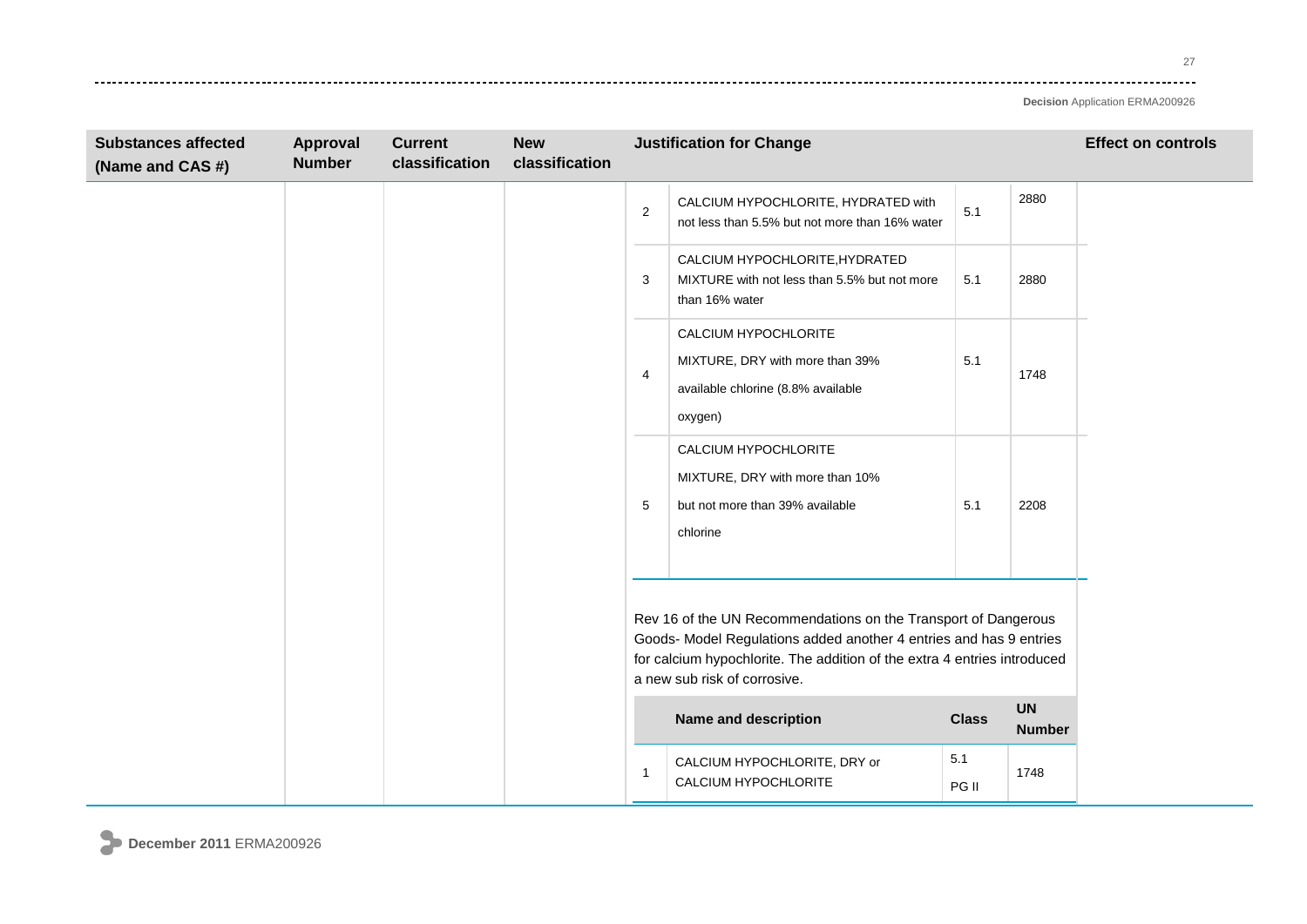---------

| <b>Substances affected</b><br>(Name and CAS #) | Approval<br><b>Number</b> | <b>Current</b><br>classification | <b>New</b><br>classification | <b>Justification for Change</b> |                                                                                                                                                                                                                                                  |              |                            | <b>Effect on controls</b> |
|------------------------------------------------|---------------------------|----------------------------------|------------------------------|---------------------------------|--------------------------------------------------------------------------------------------------------------------------------------------------------------------------------------------------------------------------------------------------|--------------|----------------------------|---------------------------|
|                                                |                           |                                  |                              | $\overline{2}$                  | CALCIUM HYPOCHLORITE, HYDRATED with<br>not less than 5.5% but not more than 16% water                                                                                                                                                            | 5.1          | 2880                       |                           |
|                                                |                           |                                  |                              | 3                               | CALCIUM HYPOCHLORITE, HYDRATED<br>MIXTURE with not less than 5.5% but not more<br>than 16% water                                                                                                                                                 | 5.1          | 2880                       |                           |
|                                                |                           |                                  |                              | 4                               | CALCIUM HYPOCHLORITE<br>MIXTURE, DRY with more than 39%<br>available chlorine (8.8% available<br>oxygen)                                                                                                                                         | 5.1          | 1748                       |                           |
|                                                |                           |                                  |                              | 5                               | CALCIUM HYPOCHLORITE<br>MIXTURE, DRY with more than 10%<br>but not more than 39% available<br>chlorine                                                                                                                                           | 5.1          | 2208                       |                           |
|                                                |                           |                                  |                              |                                 | Rev 16 of the UN Recommendations on the Transport of Dangerous<br>Goods- Model Regulations added another 4 entries and has 9 entries<br>for calcium hypochlorite. The addition of the extra 4 entries introduced<br>a new sub risk of corrosive. |              |                            |                           |
|                                                |                           |                                  |                              |                                 | Name and description                                                                                                                                                                                                                             | <b>Class</b> | <b>UN</b><br><b>Number</b> |                           |
|                                                |                           |                                  |                              |                                 | CALCIUM HYPOCHLORITE, DRY or<br>CALCIUM HYPOCHLORITE                                                                                                                                                                                             | 5.1<br>PG II | 1748                       |                           |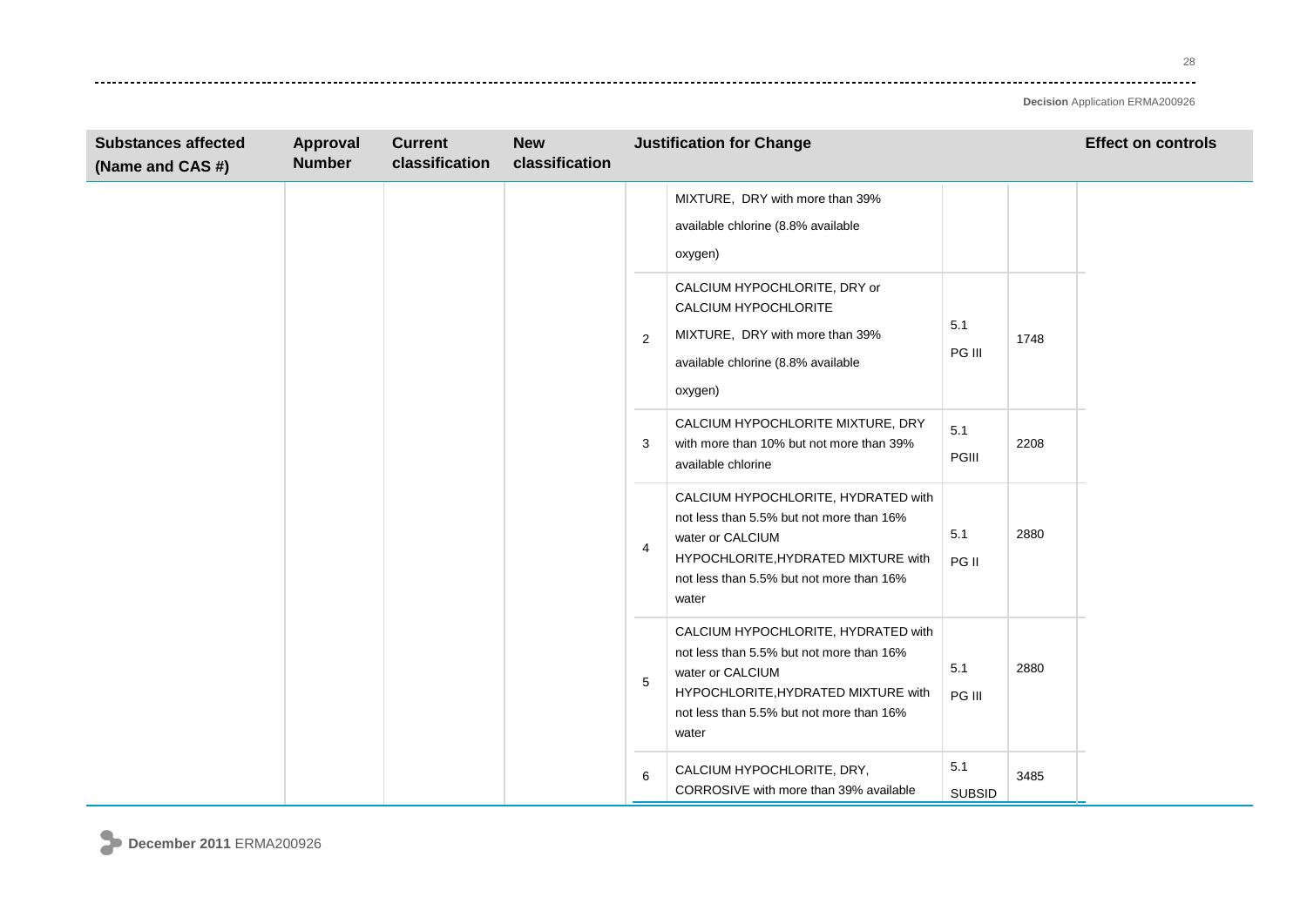28 وتوادي

| <b>Substances affected</b><br>(Name and CAS #) | Approval<br><b>Number</b> | <b>Current</b><br>classification | <b>New</b><br>classification | <b>Justification for Change</b> |                                                                                                                                                                                                 |                      |      | <b>Effect on controls</b> |
|------------------------------------------------|---------------------------|----------------------------------|------------------------------|---------------------------------|-------------------------------------------------------------------------------------------------------------------------------------------------------------------------------------------------|----------------------|------|---------------------------|
|                                                |                           |                                  |                              |                                 | MIXTURE, DRY with more than 39%<br>available chlorine (8.8% available<br>oxygen)                                                                                                                |                      |      |                           |
|                                                |                           |                                  |                              | 2                               | CALCIUM HYPOCHLORITE, DRY or<br>CALCIUM HYPOCHLORITE<br>MIXTURE, DRY with more than 39%<br>available chlorine (8.8% available<br>oxygen)                                                        | 5.1<br>PG III        | 1748 |                           |
|                                                |                           |                                  |                              | 3                               | CALCIUM HYPOCHLORITE MIXTURE, DRY<br>with more than 10% but not more than 39%<br>available chlorine                                                                                             | 5.1<br>PGIII         | 2208 |                           |
|                                                |                           |                                  |                              | 4                               | CALCIUM HYPOCHLORITE, HYDRATED with<br>not less than 5.5% but not more than 16%<br>water or CALCIUM<br>HYPOCHLORITE, HYDRATED MIXTURE with<br>not less than 5.5% but not more than 16%<br>water | 5.1<br>PG II         | 2880 |                           |
|                                                |                           |                                  |                              | 5                               | CALCIUM HYPOCHLORITE, HYDRATED with<br>not less than 5.5% but not more than 16%<br>water or CALCIUM<br>HYPOCHLORITE, HYDRATED MIXTURE with<br>not less than 5.5% but not more than 16%<br>water | 5.1<br>PG III        | 2880 |                           |
|                                                |                           |                                  |                              | 6                               | CALCIUM HYPOCHLORITE, DRY,<br>CORROSIVE with more than 39% available                                                                                                                            | 5.1<br><b>SUBSID</b> | 3485 |                           |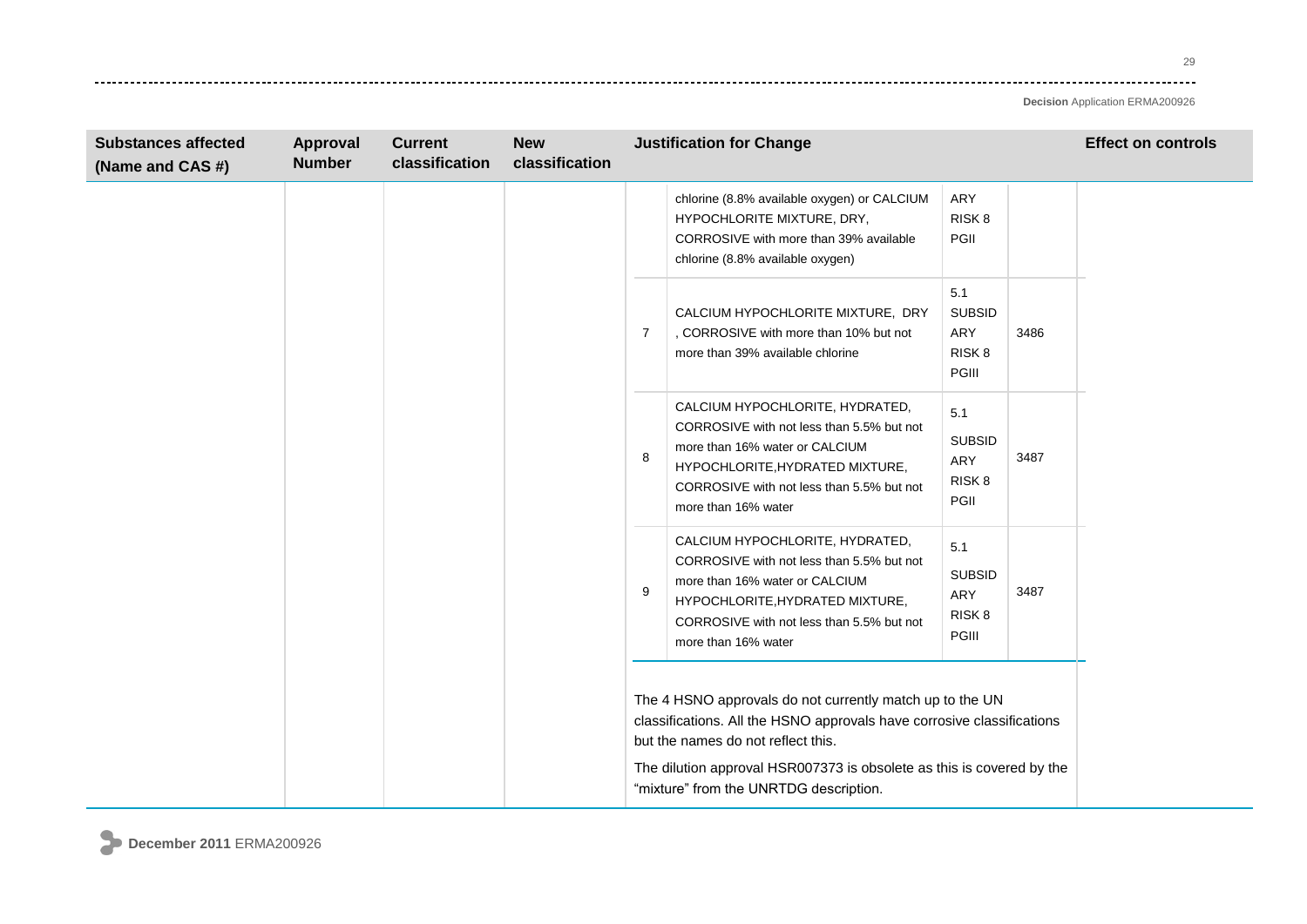29 وتوادي

| <b>Substances affected</b><br>(Name and CAS #) | Approval<br><b>Number</b> | <b>Current</b><br>classification | <b>New</b><br>classification | <b>Justification for Change</b> |                                                                                                                                                                                                                                                   |                                                           |      | <b>Effect on controls</b> |
|------------------------------------------------|---------------------------|----------------------------------|------------------------------|---------------------------------|---------------------------------------------------------------------------------------------------------------------------------------------------------------------------------------------------------------------------------------------------|-----------------------------------------------------------|------|---------------------------|
|                                                |                           |                                  |                              |                                 | chlorine (8.8% available oxygen) or CALCIUM<br>HYPOCHLORITE MIXTURE, DRY,<br>CORROSIVE with more than 39% available<br>chlorine (8.8% available oxygen)                                                                                           | ARY<br>RISK <sub>8</sub><br>PGII                          |      |                           |
|                                                |                           |                                  |                              | $\overline{7}$                  | CALCIUM HYPOCHLORITE MIXTURE, DRY<br>, CORROSIVE with more than 10% but not<br>more than 39% available chlorine                                                                                                                                   | 5.1<br><b>SUBSID</b><br>ARY<br>RISK <sub>8</sub><br>PGIII | 3486 |                           |
|                                                |                           |                                  |                              | 8                               | CALCIUM HYPOCHLORITE, HYDRATED,<br>CORROSIVE with not less than 5.5% but not<br>more than 16% water or CALCIUM<br>HYPOCHLORITE, HYDRATED MIXTURE,<br>CORROSIVE with not less than 5.5% but not<br>more than 16% water                             | 5.1<br><b>SUBSID</b><br>ARY<br>RISK <sub>8</sub><br>PGII  | 3487 |                           |
|                                                |                           |                                  |                              | 9                               | CALCIUM HYPOCHLORITE, HYDRATED,<br>CORROSIVE with not less than 5.5% but not<br>more than 16% water or CALCIUM<br>HYPOCHLORITE, HYDRATED MIXTURE,<br>CORROSIVE with not less than 5.5% but not<br>more than 16% water                             | 5.1<br><b>SUBSID</b><br>ARY<br>RISK <sub>8</sub><br>PGIII | 3487 |                           |
|                                                |                           |                                  |                              |                                 | The 4 HSNO approvals do not currently match up to the UN<br>classifications. All the HSNO approvals have corrosive classifications<br>but the names do not reflect this.<br>The dilution approval HSR007373 is obsolete as this is covered by the |                                                           |      |                           |
|                                                |                           |                                  |                              |                                 | "mixture" from the UNRTDG description.                                                                                                                                                                                                            |                                                           |      |                           |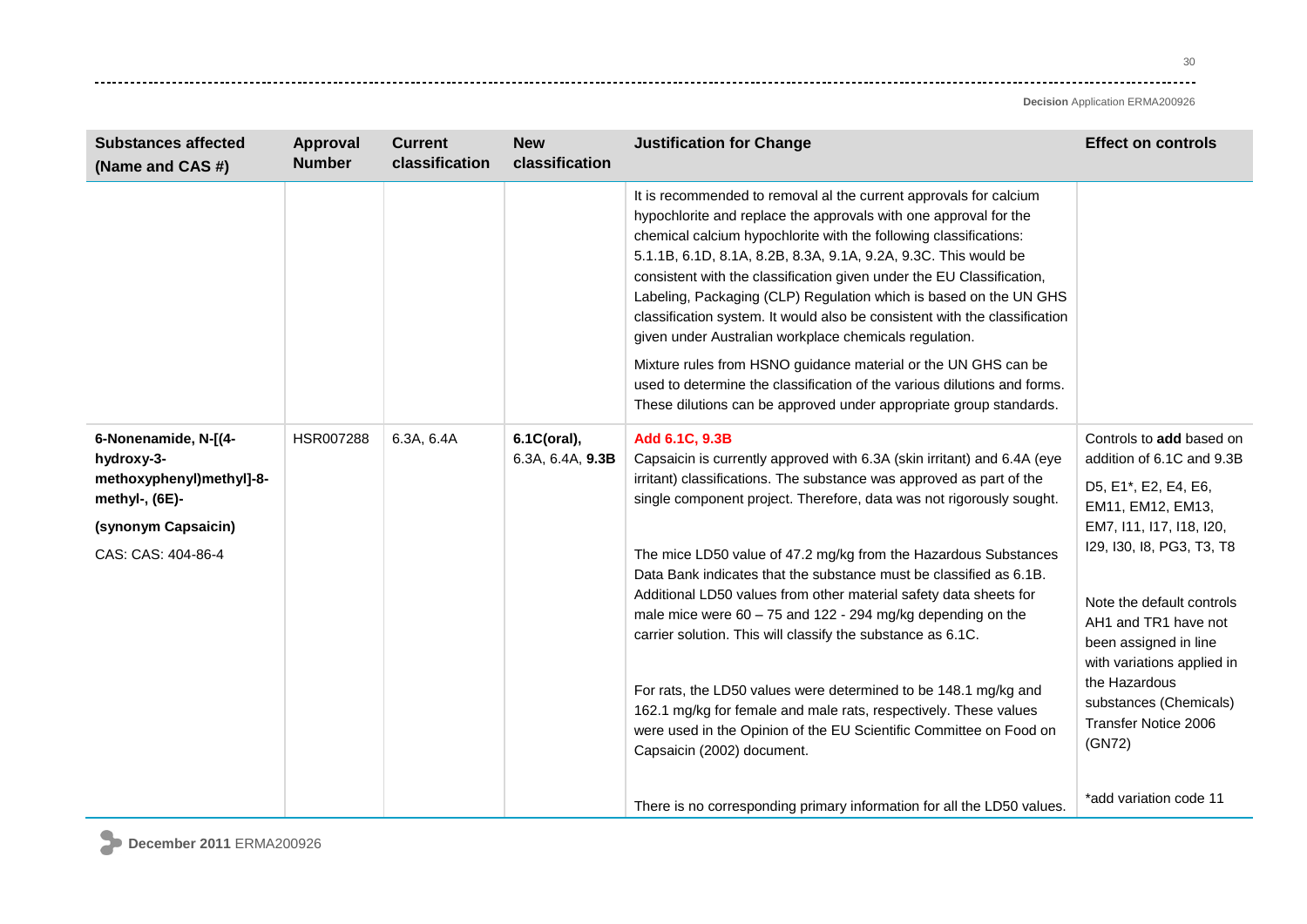| <b>Substances affected</b><br>(Name and CAS #)                                                                                | Approval<br><b>Number</b> | <b>Current</b><br>classification | <b>New</b><br>classification    | <b>Justification for Change</b>                                                                                                                                                                                                                                                                                                                                                                                                                                                                                                                                                                                                                                                                                                                                                                                                      | <b>Effect on controls</b>                                                                                                                                                                                                                                                                                                                            |
|-------------------------------------------------------------------------------------------------------------------------------|---------------------------|----------------------------------|---------------------------------|--------------------------------------------------------------------------------------------------------------------------------------------------------------------------------------------------------------------------------------------------------------------------------------------------------------------------------------------------------------------------------------------------------------------------------------------------------------------------------------------------------------------------------------------------------------------------------------------------------------------------------------------------------------------------------------------------------------------------------------------------------------------------------------------------------------------------------------|------------------------------------------------------------------------------------------------------------------------------------------------------------------------------------------------------------------------------------------------------------------------------------------------------------------------------------------------------|
|                                                                                                                               |                           |                                  |                                 | It is recommended to removal al the current approvals for calcium<br>hypochlorite and replace the approvals with one approval for the<br>chemical calcium hypochlorite with the following classifications:<br>5.1.1B, 6.1D, 8.1A, 8.2B, 8.3A, 9.1A, 9.2A, 9.3C. This would be<br>consistent with the classification given under the EU Classification,<br>Labeling, Packaging (CLP) Regulation which is based on the UN GHS<br>classification system. It would also be consistent with the classification<br>given under Australian workplace chemicals regulation.<br>Mixture rules from HSNO guidance material or the UN GHS can be<br>used to determine the classification of the various dilutions and forms.<br>These dilutions can be approved under appropriate group standards.                                              |                                                                                                                                                                                                                                                                                                                                                      |
| 6-Nonenamide, N-[(4-<br>hydroxy-3-<br>methoxyphenyl)methyl]-8-<br>methyl-, (6E)-<br>(synonym Capsaicin)<br>CAS: CAS: 404-86-4 | HSR007288                 | 6.3A, 6.4A                       | 6.1C(oral),<br>6.3A, 6.4A, 9.3B | Add 6.1C, 9.3B<br>Capsaicin is currently approved with 6.3A (skin irritant) and 6.4A (eye<br>irritant) classifications. The substance was approved as part of the<br>single component project. Therefore, data was not rigorously sought.<br>The mice LD50 value of 47.2 mg/kg from the Hazardous Substances<br>Data Bank indicates that the substance must be classified as 6.1B.<br>Additional LD50 values from other material safety data sheets for<br>male mice were $60 - 75$ and $122 - 294$ mg/kg depending on the<br>carrier solution. This will classify the substance as 6.1C.<br>For rats, the LD50 values were determined to be 148.1 mg/kg and<br>162.1 mg/kg for female and male rats, respectively. These values<br>were used in the Opinion of the EU Scientific Committee on Food on<br>Capsaicin (2002) document. | Controls to add based on<br>addition of 6.1C and 9.3B<br>D5, E1*, E2, E4, E6,<br>EM11, EM12, EM13,<br>EM7, 111, 117, 118, 120,<br>129, 130, 18, PG3, T3, T8<br>Note the default controls<br>AH1 and TR1 have not<br>been assigned in line<br>with variations applied in<br>the Hazardous<br>substances (Chemicals)<br>Transfer Notice 2006<br>(GN72) |
|                                                                                                                               |                           |                                  |                                 | There is no corresponding primary information for all the LD50 values.                                                                                                                                                                                                                                                                                                                                                                                                                                                                                                                                                                                                                                                                                                                                                               | *add variation code 11                                                                                                                                                                                                                                                                                                                               |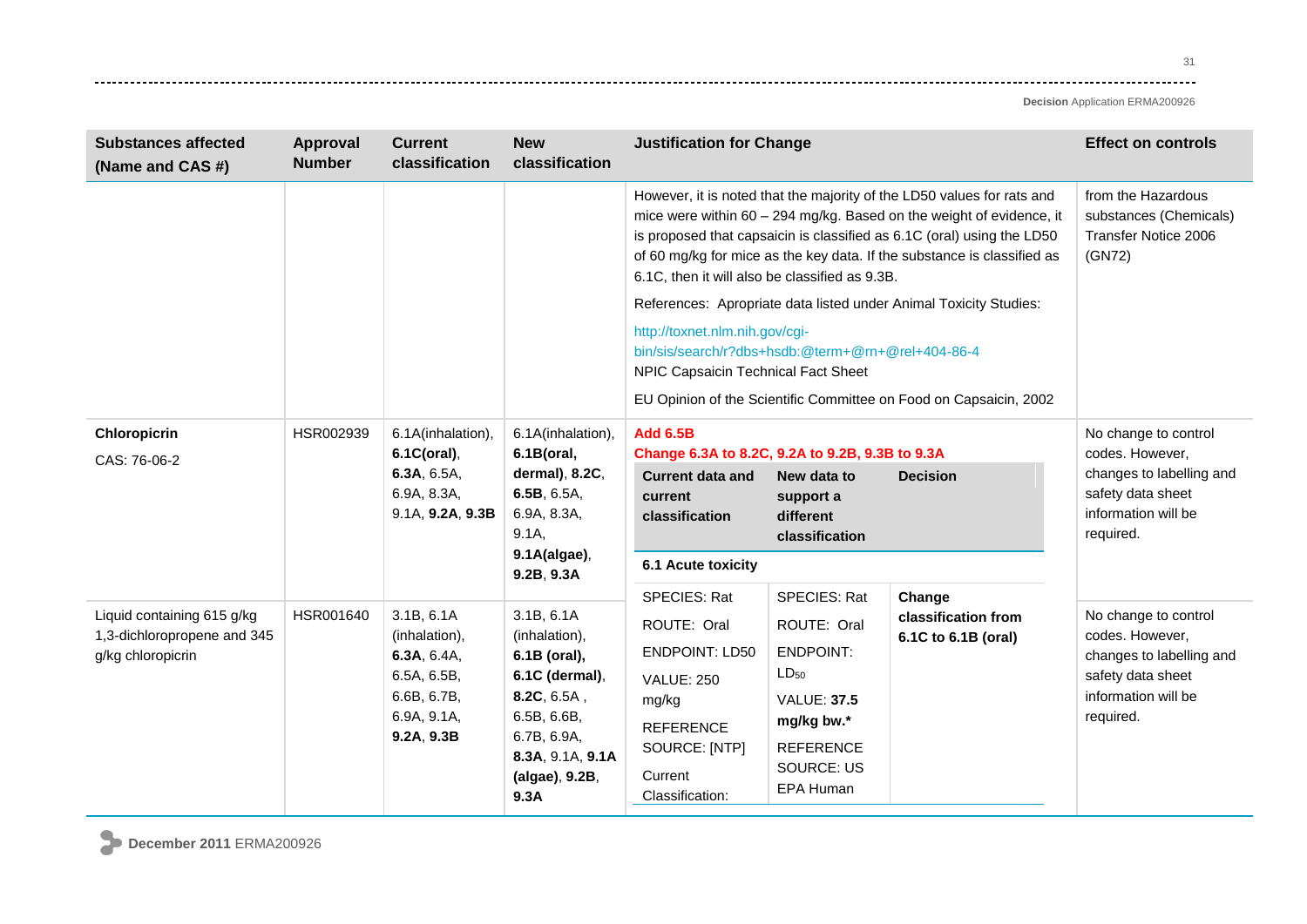| <b>Substances affected</b><br>(Name and CAS #)                                 | <b>Approval</b><br><b>Number</b> | <b>Current</b><br>classification                                                                      | <b>New</b><br>classification                                                                                                                             | <b>Justification for Change</b>                                                                                                                                                                                                                                                                                                                                                                                                                                                                                                                                                                                               |                                                                                                                                                               |                                                      | <b>Effect on controls</b>                                                                                                    |
|--------------------------------------------------------------------------------|----------------------------------|-------------------------------------------------------------------------------------------------------|----------------------------------------------------------------------------------------------------------------------------------------------------------|-------------------------------------------------------------------------------------------------------------------------------------------------------------------------------------------------------------------------------------------------------------------------------------------------------------------------------------------------------------------------------------------------------------------------------------------------------------------------------------------------------------------------------------------------------------------------------------------------------------------------------|---------------------------------------------------------------------------------------------------------------------------------------------------------------|------------------------------------------------------|------------------------------------------------------------------------------------------------------------------------------|
|                                                                                |                                  |                                                                                                       |                                                                                                                                                          | However, it is noted that the majority of the LD50 values for rats and<br>mice were within 60 - 294 mg/kg. Based on the weight of evidence, it<br>is proposed that capsaicin is classified as 6.1C (oral) using the LD50<br>of 60 mg/kg for mice as the key data. If the substance is classified as<br>6.1C, then it will also be classified as 9.3B.<br>References: Apropriate data listed under Animal Toxicity Studies:<br>http://toxnet.nlm.nih.gov/cgi-<br>bin/sis/search/r?dbs+hsdb:@term+@rn+@rel+404-86-4<br>NPIC Capsaicin Technical Fact Sheet<br>EU Opinion of the Scientific Committee on Food on Capsaicin, 2002 | from the Hazardous<br>substances (Chemicals)<br>Transfer Notice 2006<br>(GN72)                                                                                |                                                      |                                                                                                                              |
| <b>Chloropicrin</b><br>CAS: 76-06-2                                            | HSR002939                        | 6.1A(inhalation),<br>6.1C(oral),<br>6.3A, 6.5A,<br>6.9A, 8.3A,<br>9.1A, 9.2A, 9.3B                    | 6.1A(inhalation),<br>6.1B(oral,<br>dermal), 8.2C,<br>6.5B, 6.5A,<br>6.9A, 8.3A,<br>9.1A<br>9.1A(algae),<br>9.2B, 9.3A                                    | <b>Add 6.5B</b><br>Change 6.3A to 8.2C, 9.2A to 9.2B, 9.3B to 9.3A<br><b>Current data and</b><br>current<br>classification<br>6.1 Acute toxicity                                                                                                                                                                                                                                                                                                                                                                                                                                                                              | New data to<br>support a<br>different<br>classification                                                                                                       | <b>Decision</b>                                      | No change to control<br>codes. However,<br>changes to labelling and<br>safety data sheet<br>information will be<br>required. |
| Liquid containing 615 g/kg<br>1,3-dichloropropene and 345<br>g/kg chloropicrin | HSR001640                        | 3.1B, 6.1A<br>(inhalation),<br>6.3A, 6.4A,<br>6.5A, 6.5B,<br>6.6B, 6.7B,<br>6.9A, 9.1A,<br>9.2A, 9.3B | 3.1B, 6.1A<br>(inhalation),<br>6.1B (oral),<br>6.1C (dermal),<br>8.2C, 6.5A,<br>6.5B, 6.6B,<br>6.7B, 6.9A,<br>8.3A, 9.1A, 9.1A<br>(algae), 9.2B,<br>9.3A | <b>SPECIES: Rat</b><br>ROUTE: Oral<br><b>ENDPOINT: LD50</b><br><b>VALUE: 250</b><br>mg/kg<br><b>REFERENCE</b><br>SOURCE: [NTP]<br>Current<br>Classification:                                                                                                                                                                                                                                                                                                                                                                                                                                                                  | <b>SPECIES: Rat</b><br>ROUTE: Oral<br><b>ENDPOINT:</b><br>$LD_{50}$<br><b>VALUE: 37.5</b><br>mg/kg bw.*<br><b>REFERENCE</b><br><b>SOURCE: US</b><br>EPA Human | Change<br>classification from<br>6.1C to 6.1B (oral) | No change to control<br>codes. However,<br>changes to labelling and<br>safety data sheet<br>information will be<br>required. |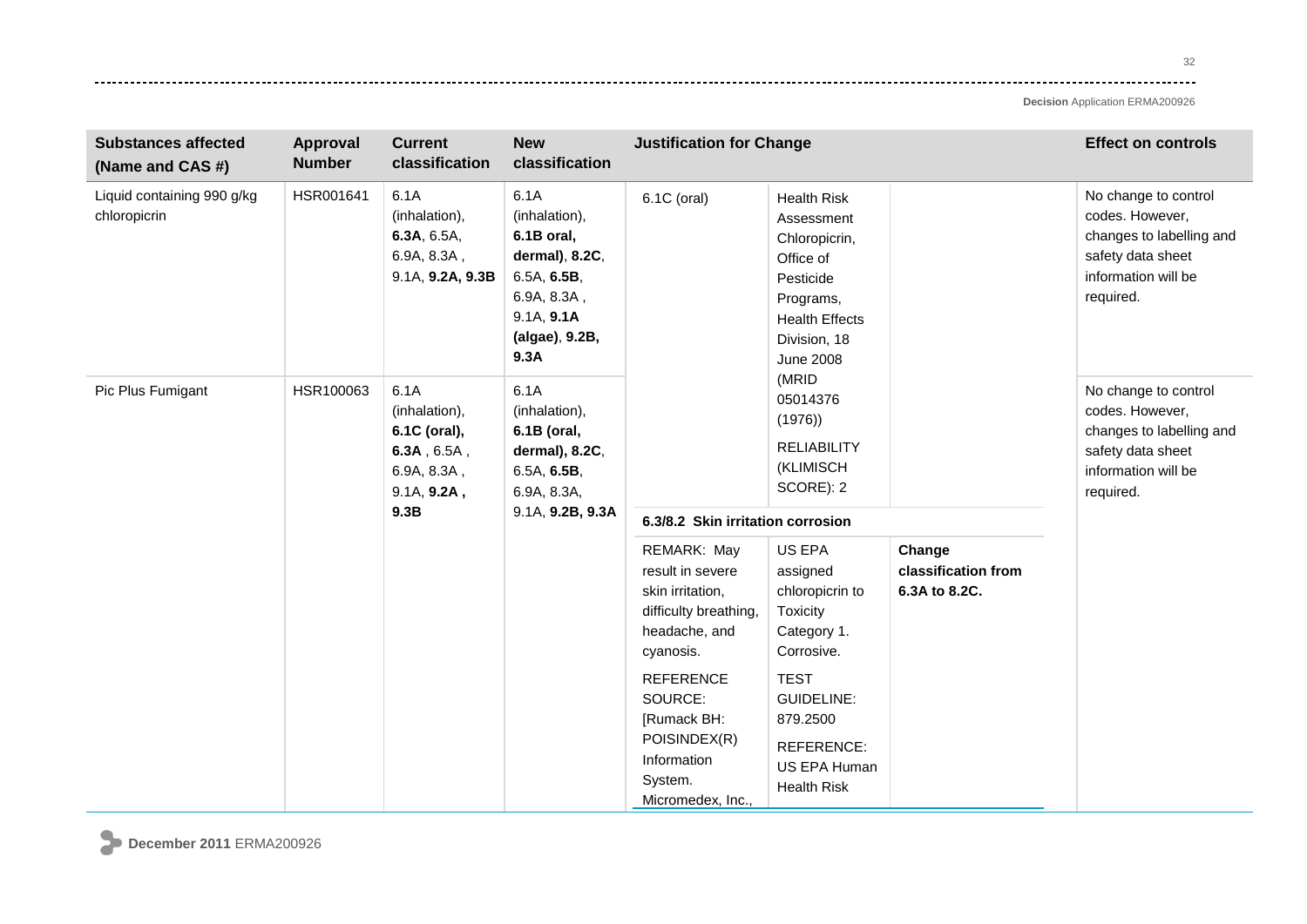---------

| <b>Substances affected</b><br>(Name and CAS #)                                                                                                                                                                                                 | <b>Approval</b><br><b>Number</b> | <b>Current</b><br>classification                                            | <b>New</b><br>classification                                                                                                | <b>Justification for Change</b>                                                                                                                                     |                                                                                                                                                       |                                                | <b>Effect on controls</b>                                                                                                    |
|------------------------------------------------------------------------------------------------------------------------------------------------------------------------------------------------------------------------------------------------|----------------------------------|-----------------------------------------------------------------------------|-----------------------------------------------------------------------------------------------------------------------------|---------------------------------------------------------------------------------------------------------------------------------------------------------------------|-------------------------------------------------------------------------------------------------------------------------------------------------------|------------------------------------------------|------------------------------------------------------------------------------------------------------------------------------|
| Liquid containing 990 g/kg<br>chloropicrin                                                                                                                                                                                                     | HSR001641                        | 6.1A<br>(inhalation),<br>6.3A, 6.5A,<br>6.9A, 8.3A,<br>9.1A, 9.2A, 9.3B     | 6.1A<br>(inhalation),<br>6.1B oral,<br>dermal), 8.2C,<br>6.5A, 6.5B,<br>6.9A, 8.3A,<br>9.1A, 9.1A<br>(algae), 9.2B,<br>9.3A | 6.1C (oral)                                                                                                                                                         | <b>Health Risk</b><br>Assessment<br>Chloropicrin,<br>Office of<br>Pesticide<br>Programs,<br><b>Health Effects</b><br>Division, 18<br><b>June 2008</b> |                                                | No change to control<br>codes. However,<br>changes to labelling and<br>safety data sheet<br>information will be<br>required. |
| 6.1A<br>Pic Plus Fumigant<br>HSR100063<br>6.1A<br>(inhalation),<br>(inhalation),<br>6.1C (oral),<br>6.1B (oral,<br>$6.3A$ , $6.5A$ ,<br>dermal), 8.2C,<br>6.9A, 8.3A,<br>6.5A, 6.5B,<br>9.1A, 9.2A,<br>6.9A, 8.3A,<br>9.1A, 9.2B, 9.3A<br>9.3B |                                  | (MRID<br>05014376<br>(1976)<br><b>RELIABILITY</b><br>(KLIMISCH<br>SCORE): 2 |                                                                                                                             | No change to control<br>codes. However,<br>changes to labelling and<br>safety data sheet<br>information will be<br>required.                                        |                                                                                                                                                       |                                                |                                                                                                                              |
|                                                                                                                                                                                                                                                |                                  |                                                                             |                                                                                                                             | 6.3/8.2 Skin irritation corrosion<br>REMARK: May<br>result in severe<br>skin irritation,<br>difficulty breathing,<br>headache, and<br>cyanosis.<br><b>REFERENCE</b> | US EPA<br>assigned<br>chloropicrin to<br>Toxicity<br>Category 1.<br>Corrosive.<br><b>TEST</b>                                                         | Change<br>classification from<br>6.3A to 8.2C. |                                                                                                                              |
|                                                                                                                                                                                                                                                |                                  |                                                                             |                                                                                                                             | SOURCE:<br>[Rumack BH:<br>POISINDEX(R)<br>Information<br>System.<br>Micromedex, Inc.,                                                                               | <b>GUIDELINE:</b><br>879.2500<br>REFERENCE:<br>US EPA Human<br><b>Health Risk</b>                                                                     |                                                |                                                                                                                              |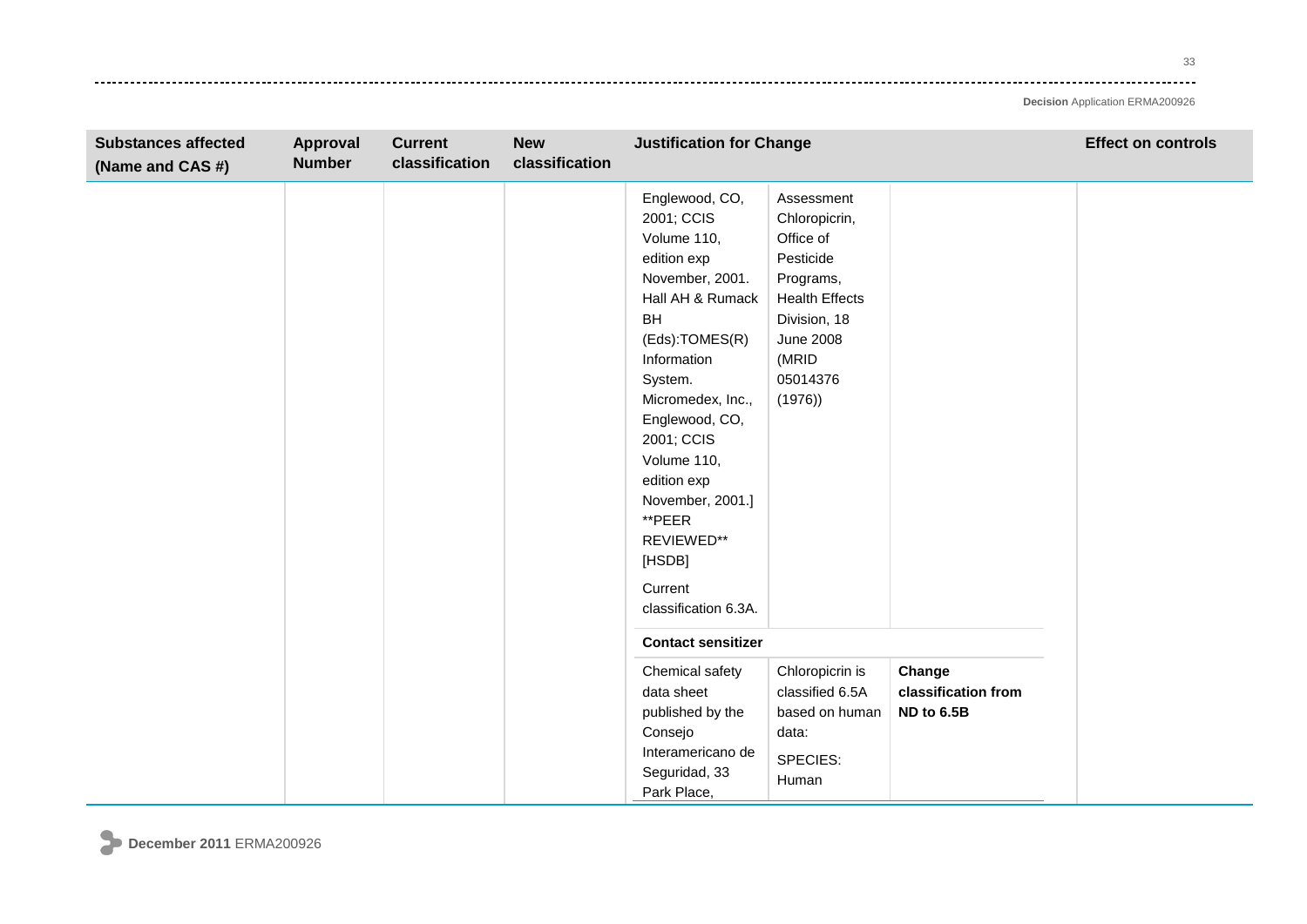33 وتوادي

| <b>Substances affected</b><br>(Name and CAS #) | Approval<br><b>Number</b> | <b>Current</b><br>classification | <b>New</b><br>classification | <b>Justification for Change</b>                                                                                                                                                                                                                                                                                                        |                                                                                                                                                                |                                             | <b>Effect on controls</b> |
|------------------------------------------------|---------------------------|----------------------------------|------------------------------|----------------------------------------------------------------------------------------------------------------------------------------------------------------------------------------------------------------------------------------------------------------------------------------------------------------------------------------|----------------------------------------------------------------------------------------------------------------------------------------------------------------|---------------------------------------------|---------------------------|
|                                                |                           |                                  |                              | Englewood, CO,<br>2001; CCIS<br>Volume 110,<br>edition exp<br>November, 2001.<br>Hall AH & Rumack<br><b>BH</b><br>(Eds):TOMES(R)<br>Information<br>System.<br>Micromedex, Inc.,<br>Englewood, CO,<br>2001; CCIS<br>Volume 110,<br>edition exp<br>November, 2001.]<br>**PEER<br>REVIEWED**<br>[HSDB]<br>Current<br>classification 6.3A. | Assessment<br>Chloropicrin,<br>Office of<br>Pesticide<br>Programs,<br><b>Health Effects</b><br>Division, 18<br><b>June 2008</b><br>(MRID<br>05014376<br>(1976) |                                             |                           |
|                                                |                           |                                  |                              | <b>Contact sensitizer</b>                                                                                                                                                                                                                                                                                                              |                                                                                                                                                                |                                             |                           |
|                                                |                           |                                  |                              | Chemical safety<br>data sheet<br>published by the<br>Consejo<br>Interamericano de<br>Seguridad, 33<br>Park Place,                                                                                                                                                                                                                      | Chloropicrin is<br>classified 6.5A<br>based on human<br>data:<br>SPECIES:<br>Human                                                                             | Change<br>classification from<br>ND to 6.5B |                           |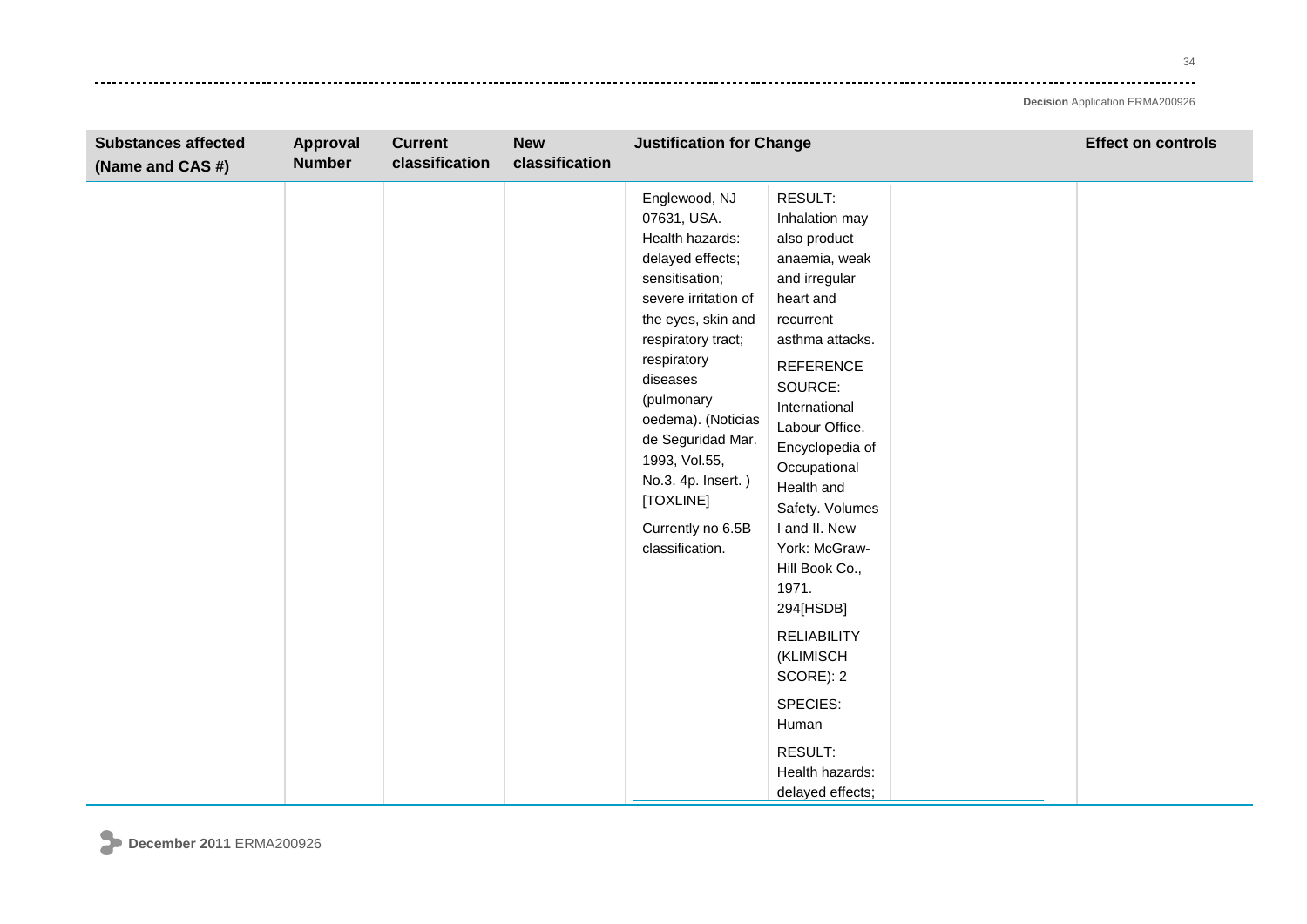-------

| <b>Substances affected</b><br>(Name and CAS #) | Approval<br><b>Number</b> | <b>Current</b><br>classification | <b>New</b><br>classification | <b>Justification for Change</b>                                                                                                                                                                                                                                                                                                           |                                                                                                                                                                                                                                                                                                                                                                                                                                                          | <b>Effect on controls</b> |
|------------------------------------------------|---------------------------|----------------------------------|------------------------------|-------------------------------------------------------------------------------------------------------------------------------------------------------------------------------------------------------------------------------------------------------------------------------------------------------------------------------------------|----------------------------------------------------------------------------------------------------------------------------------------------------------------------------------------------------------------------------------------------------------------------------------------------------------------------------------------------------------------------------------------------------------------------------------------------------------|---------------------------|
|                                                |                           |                                  |                              | Englewood, NJ<br>07631, USA.<br>Health hazards:<br>delayed effects;<br>sensitisation;<br>severe irritation of<br>the eyes, skin and<br>respiratory tract;<br>respiratory<br>diseases<br>(pulmonary<br>oedema). (Noticias<br>de Seguridad Mar.<br>1993, Vol.55,<br>No.3. 4p. Insert.)<br>[TOXLINE]<br>Currently no 6.5B<br>classification. | RESULT:<br>Inhalation may<br>also product<br>anaemia, weak<br>and irregular<br>heart and<br>recurrent<br>asthma attacks.<br>REFERENCE<br>SOURCE:<br>International<br>Labour Office.<br>Encyclopedia of<br>Occupational<br>Health and<br>Safety. Volumes<br>I and II. New<br>York: McGraw-<br>Hill Book Co.,<br>1971.<br>294[HSDB]<br><b>RELIABILITY</b><br>(KLIMISCH<br>SCORE): 2<br>SPECIES:<br>Human<br>RESULT:<br>Health hazards:<br>delayed effects; |                           |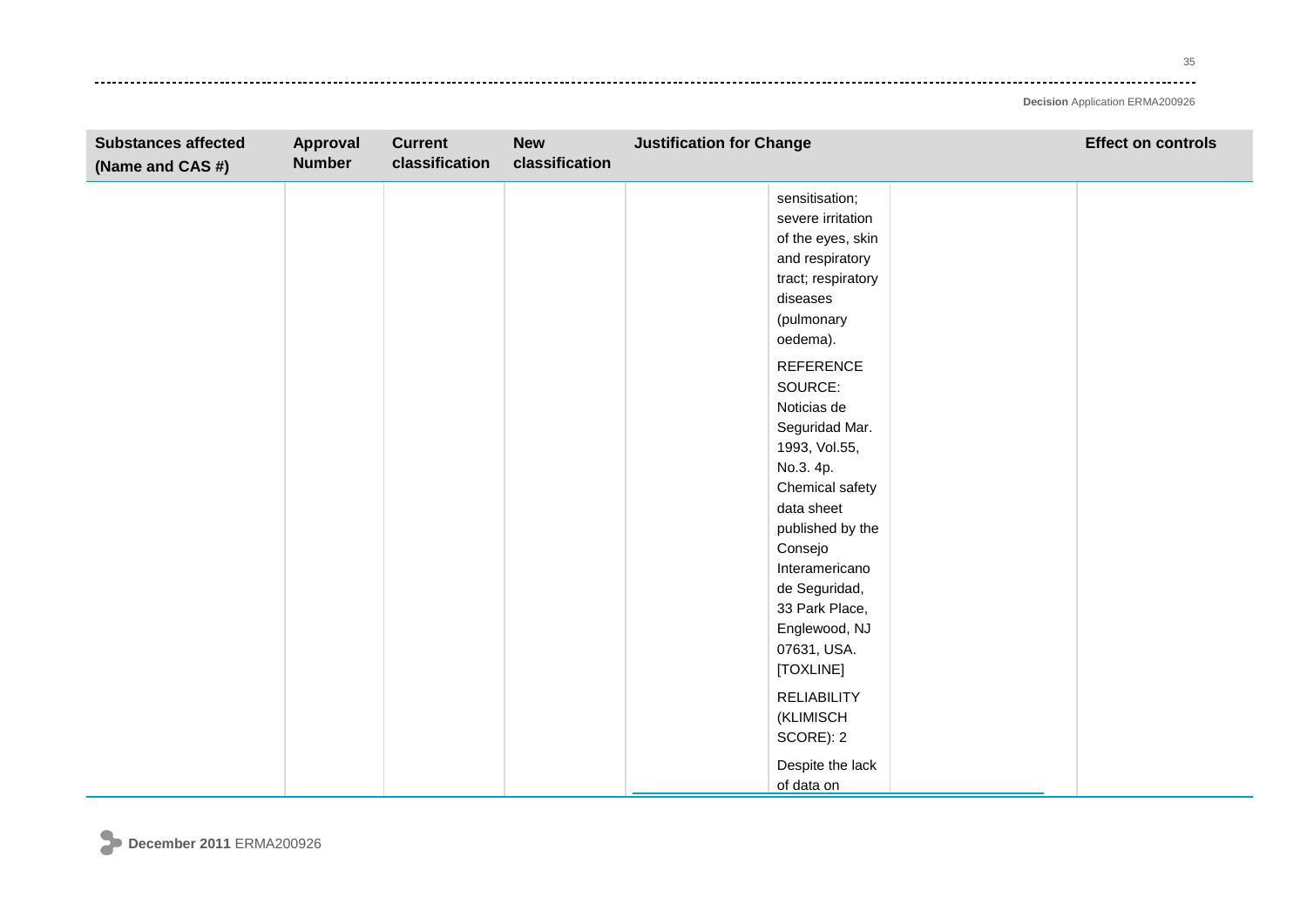35 ----

| <b>Substances affected</b><br>(Name and CAS #) | Approval<br><b>Number</b> | <b>Current</b><br>classification | <b>New</b><br>classification | <b>Justification for Change</b>                                                                                                         | <b>Effect on controls</b> |
|------------------------------------------------|---------------------------|----------------------------------|------------------------------|-----------------------------------------------------------------------------------------------------------------------------------------|---------------------------|
|                                                |                           |                                  |                              | sensitisation;<br>severe irritation<br>of the eyes, skin<br>and respiratory<br>tract; respiratory<br>diseases<br>(pulmonary<br>oedema). |                           |
|                                                |                           |                                  |                              | <b>REFERENCE</b><br>SOURCE:<br>Noticias de<br>Seguridad Mar.<br>1993, Vol.55,<br>No.3. 4p.<br>Chemical safety<br>data sheet             |                           |
|                                                |                           |                                  |                              | published by the<br>Consejo<br>Interamericano<br>de Seguridad,<br>33 Park Place,<br>Englewood, NJ<br>07631, USA.<br>[TOXLINE]           |                           |
|                                                |                           |                                  |                              | <b>RELIABILITY</b><br>(KLIMISCH<br>SCORE): 2<br>Despite the lack<br>of data on                                                          |                           |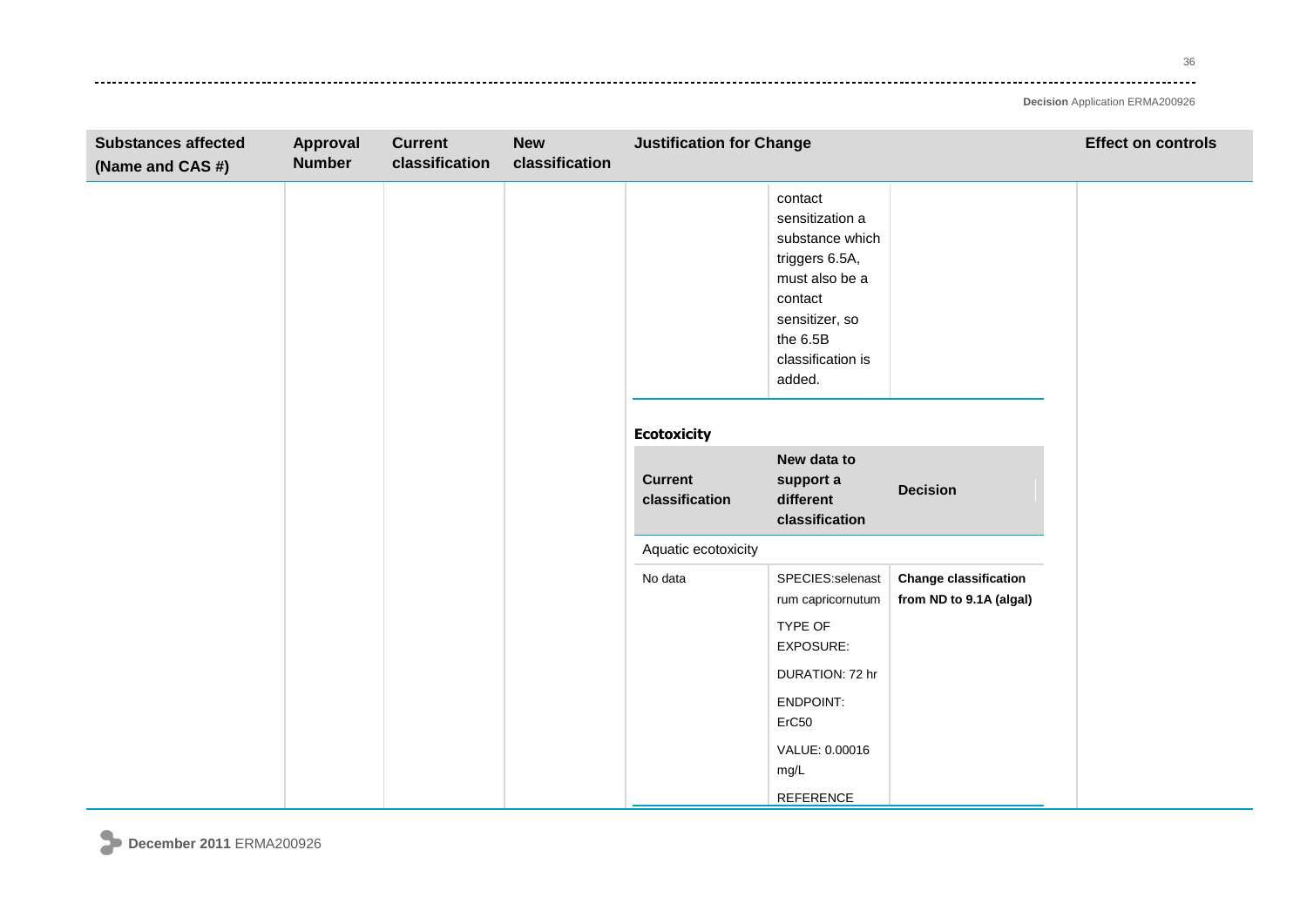36 ----

| <b>Substances affected</b><br>(Name and CAS #) | Approval<br><b>Number</b> | <b>Current</b><br>classification | <b>New</b><br>classification | <b>Justification for Change</b>  |                                                                                                                                                           |                                                         | <b>Effect on controls</b> |
|------------------------------------------------|---------------------------|----------------------------------|------------------------------|----------------------------------|-----------------------------------------------------------------------------------------------------------------------------------------------------------|---------------------------------------------------------|---------------------------|
|                                                |                           |                                  |                              |                                  | contact<br>sensitization a<br>substance which<br>triggers 6.5A,<br>must also be a<br>contact<br>sensitizer, so<br>the 6.5B<br>classification is<br>added. |                                                         |                           |
|                                                |                           |                                  |                              | <b>Ecotoxicity</b>               |                                                                                                                                                           |                                                         |                           |
|                                                |                           |                                  |                              | <b>Current</b><br>classification | New data to<br>support a<br>different<br>classification                                                                                                   | <b>Decision</b>                                         |                           |
|                                                |                           |                                  |                              | Aquatic ecotoxicity              |                                                                                                                                                           |                                                         |                           |
|                                                |                           |                                  |                              | No data                          | SPECIES:selenast<br>rum capricornutum<br>TYPE OF<br>EXPOSURE:                                                                                             | <b>Change classification</b><br>from ND to 9.1A (algal) |                           |
|                                                |                           |                                  |                              |                                  | DURATION: 72 hr                                                                                                                                           |                                                         |                           |
|                                                |                           |                                  |                              |                                  | ENDPOINT:<br>ErC50                                                                                                                                        |                                                         |                           |
|                                                |                           |                                  |                              |                                  | VALUE: 0.00016<br>mg/L                                                                                                                                    |                                                         |                           |
|                                                |                           |                                  |                              |                                  | REFERENCE                                                                                                                                                 |                                                         |                           |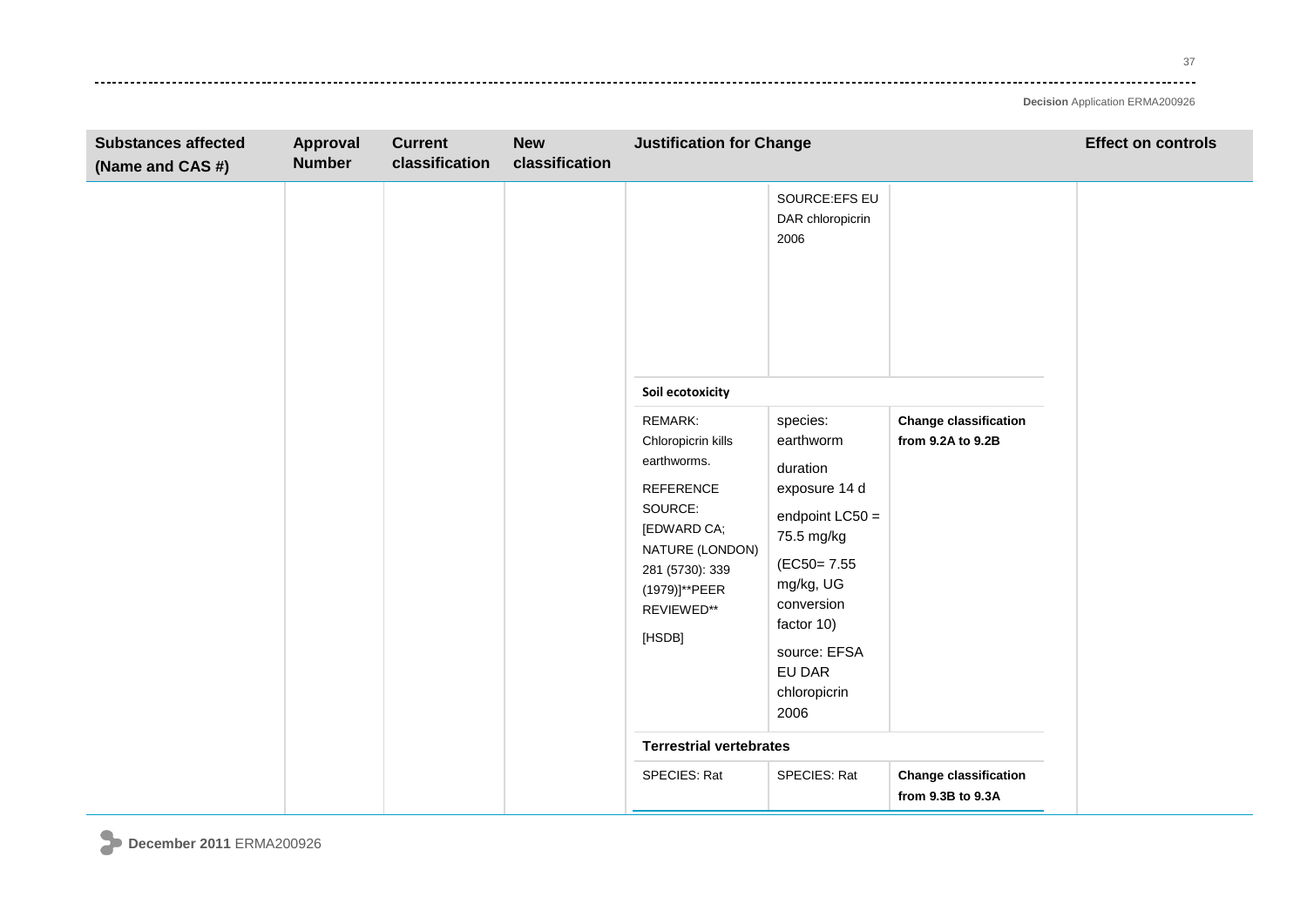37  $\frac{1}{2} \frac{1}{2} \frac{1}{2} \frac{1}{2} \frac{1}{2} \frac{1}{2} \frac{1}{2} \frac{1}{2} \frac{1}{2} \frac{1}{2} \frac{1}{2} \frac{1}{2} \frac{1}{2} \frac{1}{2} \frac{1}{2} \frac{1}{2} \frac{1}{2} \frac{1}{2} \frac{1}{2} \frac{1}{2} \frac{1}{2} \frac{1}{2} \frac{1}{2} \frac{1}{2} \frac{1}{2} \frac{1}{2} \frac{1}{2} \frac{1}{2} \frac{1}{2} \frac{1}{2} \frac{1}{2} \frac{$ 

| <b>Substances affected</b><br>(Name and CAS #) | Approval<br><b>Number</b> | <b>Current</b><br>classification | <b>New</b><br>classification | <b>Justification for Change</b>                                                                                                                                           |                                                                                                                                                                                                 |                                                   | <b>Effect on controls</b> |
|------------------------------------------------|---------------------------|----------------------------------|------------------------------|---------------------------------------------------------------------------------------------------------------------------------------------------------------------------|-------------------------------------------------------------------------------------------------------------------------------------------------------------------------------------------------|---------------------------------------------------|---------------------------|
|                                                |                           |                                  |                              |                                                                                                                                                                           | SOURCE:EFS EU<br>DAR chloropicrin<br>2006                                                                                                                                                       |                                                   |                           |
|                                                |                           |                                  |                              | Soil ecotoxicity                                                                                                                                                          |                                                                                                                                                                                                 |                                                   |                           |
|                                                |                           |                                  |                              | REMARK:<br>Chloropicrin kills<br>earthworms.<br><b>REFERENCE</b><br>SOURCE:<br>[EDWARD CA;<br>NATURE (LONDON)<br>281 (5730): 339<br>(1979)]**PEER<br>REVIEWED**<br>[HSDB] | species:<br>earthworm<br>duration<br>exposure 14 d<br>endpoint $LC50 =$<br>75.5 mg/kg<br>(EC50=7.55)<br>mg/kg, UG<br>conversion<br>factor 10)<br>source: EFSA<br>EU DAR<br>chloropicrin<br>2006 | <b>Change classification</b><br>from 9.2A to 9.2B |                           |
|                                                |                           |                                  |                              | <b>Terrestrial vertebrates</b>                                                                                                                                            |                                                                                                                                                                                                 |                                                   |                           |
|                                                |                           |                                  |                              | SPECIES: Rat                                                                                                                                                              | SPECIES: Rat                                                                                                                                                                                    | <b>Change classification</b><br>from 9.3B to 9.3A |                           |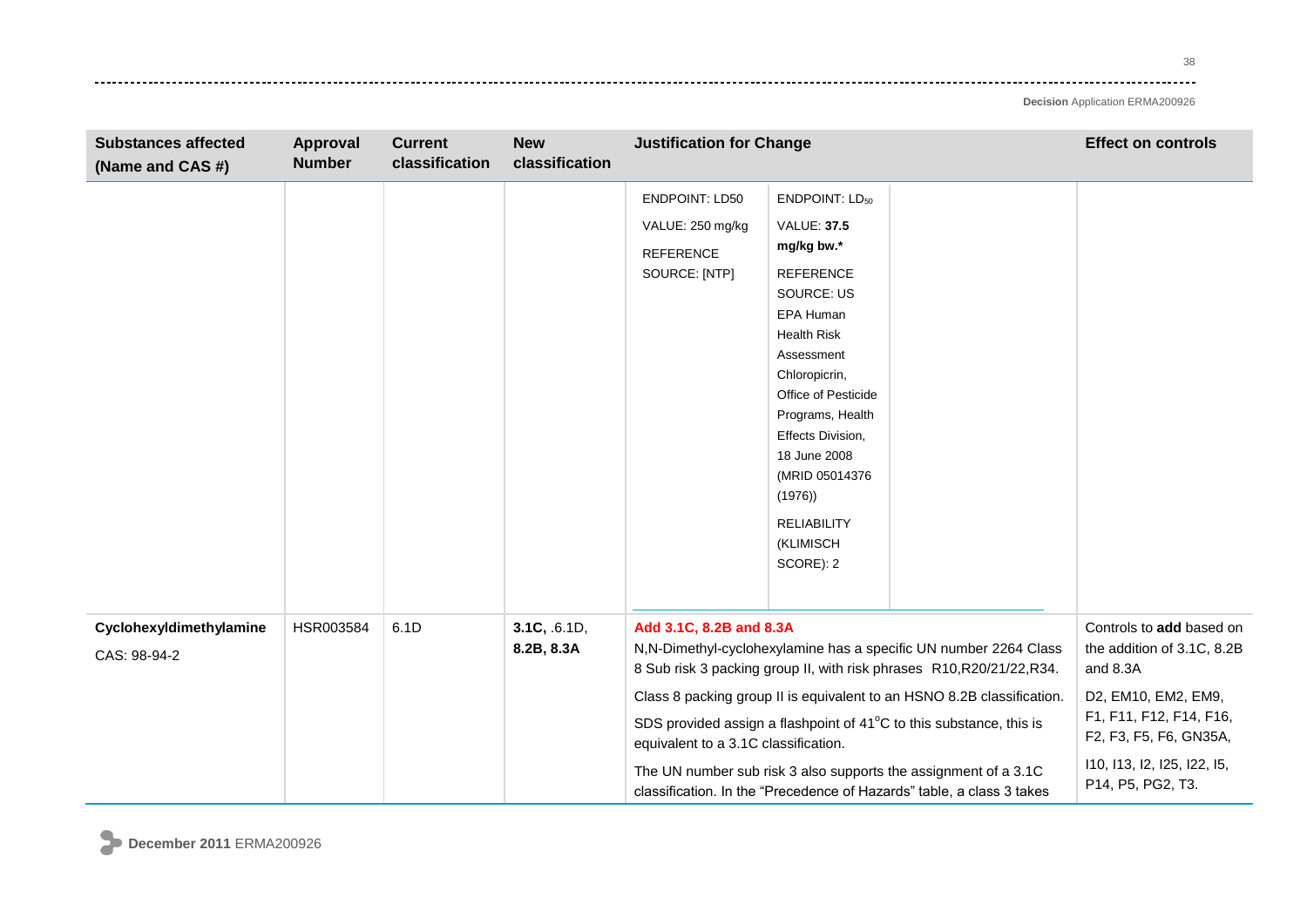. . . . . . . . . .

**Decision** Application ERMA200926

| <b>Substances affected</b><br>(Name and CAS #) | Approval<br><b>Number</b> | <b>Current</b><br>classification | <b>New</b><br>classification | <b>Justification for Change</b>                                                |                                                                                                                                                                                                                                                                                                                                       |                                                                                                                                                                                                                                                                                                                                                                                                                                        | <b>Effect on controls</b>                                                                                                                                                                          |
|------------------------------------------------|---------------------------|----------------------------------|------------------------------|--------------------------------------------------------------------------------|---------------------------------------------------------------------------------------------------------------------------------------------------------------------------------------------------------------------------------------------------------------------------------------------------------------------------------------|----------------------------------------------------------------------------------------------------------------------------------------------------------------------------------------------------------------------------------------------------------------------------------------------------------------------------------------------------------------------------------------------------------------------------------------|----------------------------------------------------------------------------------------------------------------------------------------------------------------------------------------------------|
|                                                |                           |                                  |                              | <b>ENDPOINT: LD50</b><br>VALUE: 250 mg/kg<br><b>REFERENCE</b><br>SOURCE: [NTP] | ENDPOINT: LD <sub>50</sub><br><b>VALUE: 37.5</b><br>mg/kg bw.*<br><b>REFERENCE</b><br><b>SOURCE: US</b><br>EPA Human<br><b>Health Risk</b><br>Assessment<br>Chloropicrin,<br>Office of Pesticide<br>Programs, Health<br>Effects Division,<br>18 June 2008<br>(MRID 05014376<br>(1976)<br><b>RELIABILITY</b><br>(KLIMISCH<br>SCORE): 2 |                                                                                                                                                                                                                                                                                                                                                                                                                                        |                                                                                                                                                                                                    |
| Cyclohexyldimethylamine<br>CAS: 98-94-2        | HSR003584                 | 6.1D                             | 3.1C, .6.1D,<br>8.2B, 8.3A   | Add 3.1C, 8.2B and 8.3A<br>equivalent to a 3.1C classification.                |                                                                                                                                                                                                                                                                                                                                       | N,N-Dimethyl-cyclohexylamine has a specific UN number 2264 Class<br>8 Sub risk 3 packing group II, with risk phrases R10, R20/21/22, R34.<br>Class 8 packing group II is equivalent to an HSNO 8.2B classification.<br>SDS provided assign a flashpoint of 41°C to this substance, this is<br>The UN number sub risk 3 also supports the assignment of a 3.1C<br>classification. In the "Precedence of Hazards" table, a class 3 takes | Controls to add based on<br>the addition of 3.1C, 8.2B<br>and 8.3A<br>D2, EM10, EM2, EM9,<br>F1, F11, F12, F14, F16,<br>F2, F3, F5, F6, GN35A,<br>110, 113, 12, 125, 122, 15,<br>P14, P5, PG2, T3. |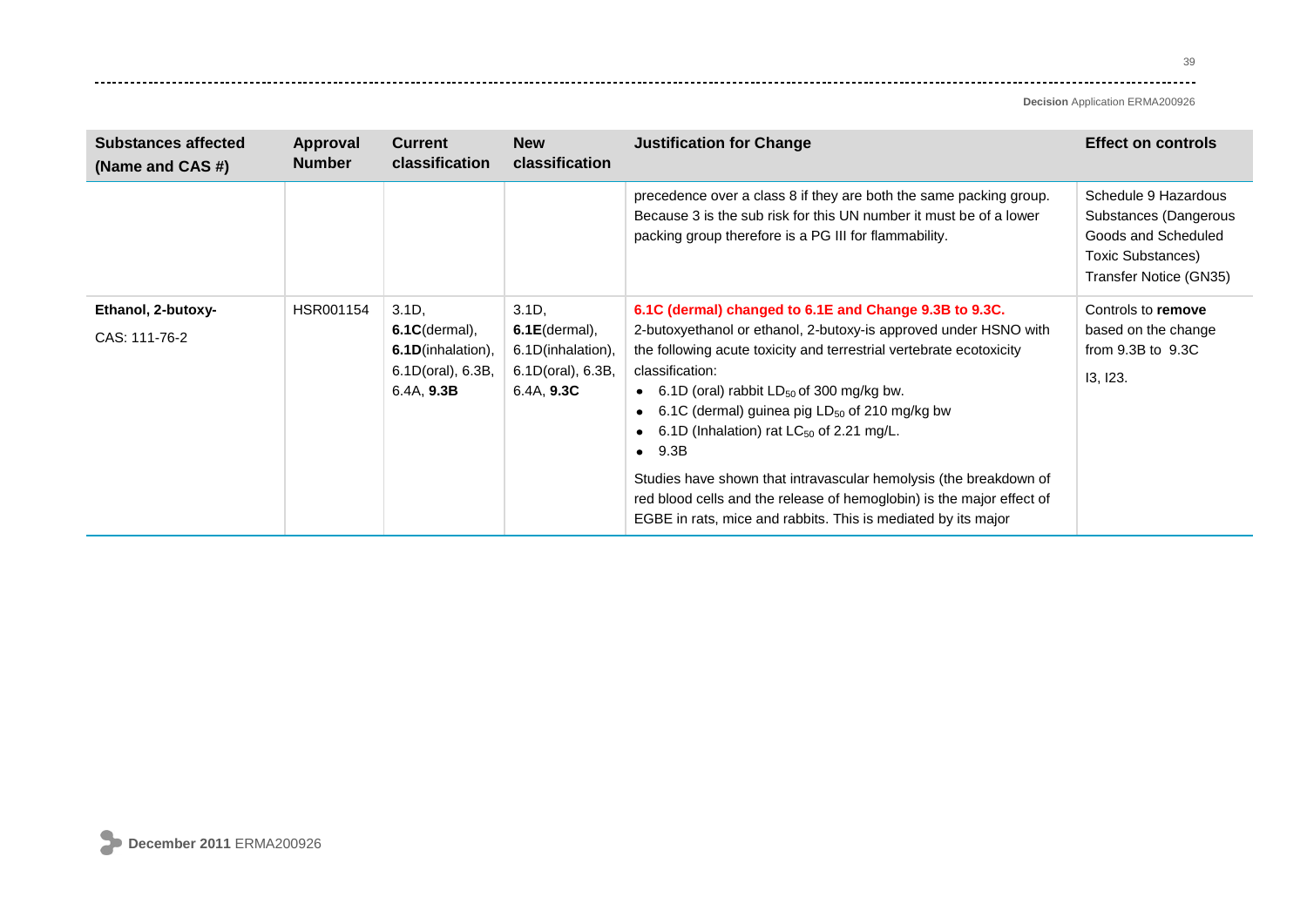39 وتوادي

| <b>Substances affected</b><br>(Name and CAS #) | Approval<br><b>Number</b> | <b>Current</b><br>classification                                                             | <b>New</b><br><b>classification</b>                                                  | <b>Justification for Change</b>                                                                                                                                                                                                                                                                                                                                                                                                                                                                                                                                                                                    | <b>Effect on controls</b>                                                                                           |
|------------------------------------------------|---------------------------|----------------------------------------------------------------------------------------------|--------------------------------------------------------------------------------------|--------------------------------------------------------------------------------------------------------------------------------------------------------------------------------------------------------------------------------------------------------------------------------------------------------------------------------------------------------------------------------------------------------------------------------------------------------------------------------------------------------------------------------------------------------------------------------------------------------------------|---------------------------------------------------------------------------------------------------------------------|
|                                                |                           |                                                                                              |                                                                                      | precedence over a class 8 if they are both the same packing group.<br>Because 3 is the sub risk for this UN number it must be of a lower<br>packing group therefore is a PG III for flammability.                                                                                                                                                                                                                                                                                                                                                                                                                  | Schedule 9 Hazardous<br>Substances (Dangerous<br>Goods and Scheduled<br>Toxic Substances)<br>Transfer Notice (GN35) |
| Ethanol, 2-butoxy-<br>CAS: 111-76-2            | HSR001154                 | $3.1D$ ,<br>$6.1C$ (dermal),<br><b>6.1D</b> (inhalation),<br>6.1D(oral), 6.3B,<br>6.4A, 9.3B | $3.1D$ ,<br>$6.1E$ (dermal),<br>6.1D(inhalation),<br>6.1D(oral), 6.3B,<br>6.4A, 9.3C | 6.1C (dermal) changed to 6.1E and Change 9.3B to 9.3C.<br>2-butoxyethanol or ethanol, 2-butoxy-is approved under HSNO with<br>the following acute toxicity and terrestrial vertebrate ecotoxicity<br>classification:<br>• 6.1D (oral) rabbit $LD_{50}$ of 300 mg/kg bw.<br>6.1C (dermal) guinea pig $LD_{50}$ of 210 mg/kg bw<br>6.1D (Inhalation) rat $LC_{50}$ of 2.21 mg/L.<br>9.3B<br>$\bullet$<br>Studies have shown that intravascular hemolysis (the breakdown of<br>red blood cells and the release of hemoglobin) is the major effect of<br>EGBE in rats, mice and rabbits. This is mediated by its major | Controls to remove<br>based on the change<br>from $9.3B$ to $9.3C$<br>13, 123.                                      |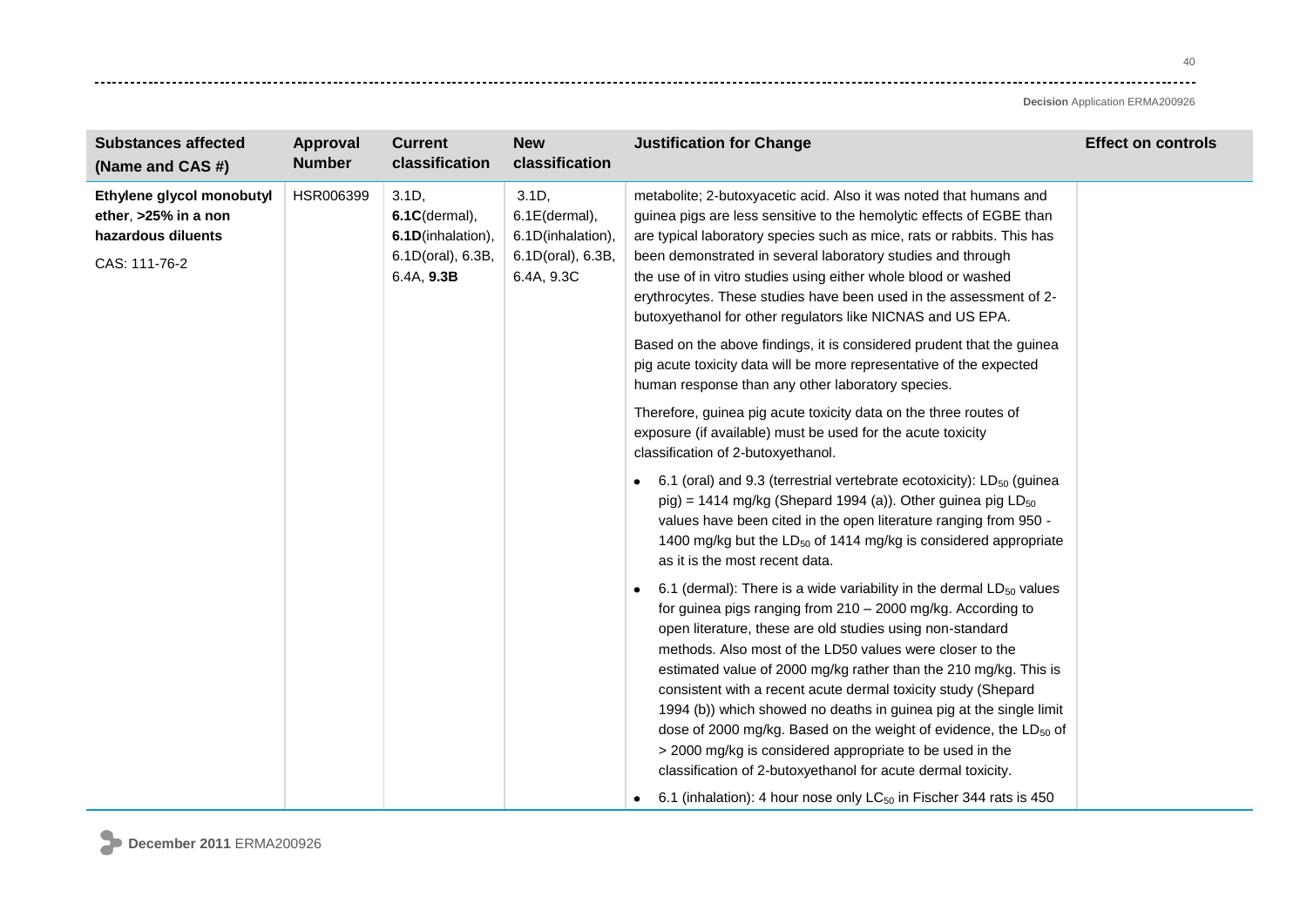40  $\sim$   $\sim$   $\sim$   $\sim$ 

| <b>Substances affected</b><br>(Name and CAS #)                                           | Approval<br><b>Number</b> | <b>Current</b><br>classification                                                  | <b>New</b><br>classification                                                      | <b>Justification for Change</b>                                                                                                                                                                                                                                                                                                                                                                                                                                                                                                                                                                                                                                                         | <b>Effect on controls</b> |
|------------------------------------------------------------------------------------------|---------------------------|-----------------------------------------------------------------------------------|-----------------------------------------------------------------------------------|-----------------------------------------------------------------------------------------------------------------------------------------------------------------------------------------------------------------------------------------------------------------------------------------------------------------------------------------------------------------------------------------------------------------------------------------------------------------------------------------------------------------------------------------------------------------------------------------------------------------------------------------------------------------------------------------|---------------------------|
| Ethylene glycol monobutyl<br>ether, >25% in a non<br>hazardous diluents<br>CAS: 111-76-2 | HSR006399                 | 3.1D,<br>$6.1C$ (dermal),<br>6.1D(inhalation),<br>6.1D(oral), 6.3B,<br>6.4A, 9.3B | 3.1D,<br>$6.1E$ (dermal),<br>6.1D(inhalation),<br>6.1D(oral), 6.3B,<br>6.4A, 9.3C | metabolite; 2-butoxyacetic acid. Also it was noted that humans and<br>guinea pigs are less sensitive to the hemolytic effects of EGBE than<br>are typical laboratory species such as mice, rats or rabbits. This has<br>been demonstrated in several laboratory studies and through<br>the use of in vitro studies using either whole blood or washed<br>erythrocytes. These studies have been used in the assessment of 2-<br>butoxyethanol for other regulators like NICNAS and US EPA.                                                                                                                                                                                               |                           |
|                                                                                          |                           |                                                                                   |                                                                                   | Based on the above findings, it is considered prudent that the guinea<br>pig acute toxicity data will be more representative of the expected<br>human response than any other laboratory species.                                                                                                                                                                                                                                                                                                                                                                                                                                                                                       |                           |
|                                                                                          |                           |                                                                                   |                                                                                   | Therefore, guinea pig acute toxicity data on the three routes of<br>exposure (if available) must be used for the acute toxicity<br>classification of 2-butoxyethanol.                                                                                                                                                                                                                                                                                                                                                                                                                                                                                                                   |                           |
|                                                                                          |                           |                                                                                   |                                                                                   | 6.1 (oral) and 9.3 (terrestrial vertebrate ecotoxicity): $LD_{50}$ (guinea<br>pig) = 1414 mg/kg (Shepard 1994 (a)). Other guinea pig $LD_{50}$<br>values have been cited in the open literature ranging from 950 -<br>1400 mg/kg but the LD <sub>50</sub> of 1414 mg/kg is considered appropriate<br>as it is the most recent data.                                                                                                                                                                                                                                                                                                                                                     |                           |
|                                                                                          |                           |                                                                                   |                                                                                   | 6.1 (dermal): There is a wide variability in the dermal $LD_{50}$ values<br>for guinea pigs ranging from 210 - 2000 mg/kg. According to<br>open literature, these are old studies using non-standard<br>methods. Also most of the LD50 values were closer to the<br>estimated value of 2000 mg/kg rather than the 210 mg/kg. This is<br>consistent with a recent acute dermal toxicity study (Shepard<br>1994 (b)) which showed no deaths in guinea pig at the single limit<br>dose of 2000 mg/kg. Based on the weight of evidence, the LD <sub>50</sub> of<br>> 2000 mg/kg is considered appropriate to be used in the<br>classification of 2-butoxyethanol for acute dermal toxicity. |                           |
|                                                                                          |                           |                                                                                   |                                                                                   | 6.1 (inhalation): 4 hour nose only LC <sub>50</sub> in Fischer 344 rats is 450<br>٠                                                                                                                                                                                                                                                                                                                                                                                                                                                                                                                                                                                                     |                           |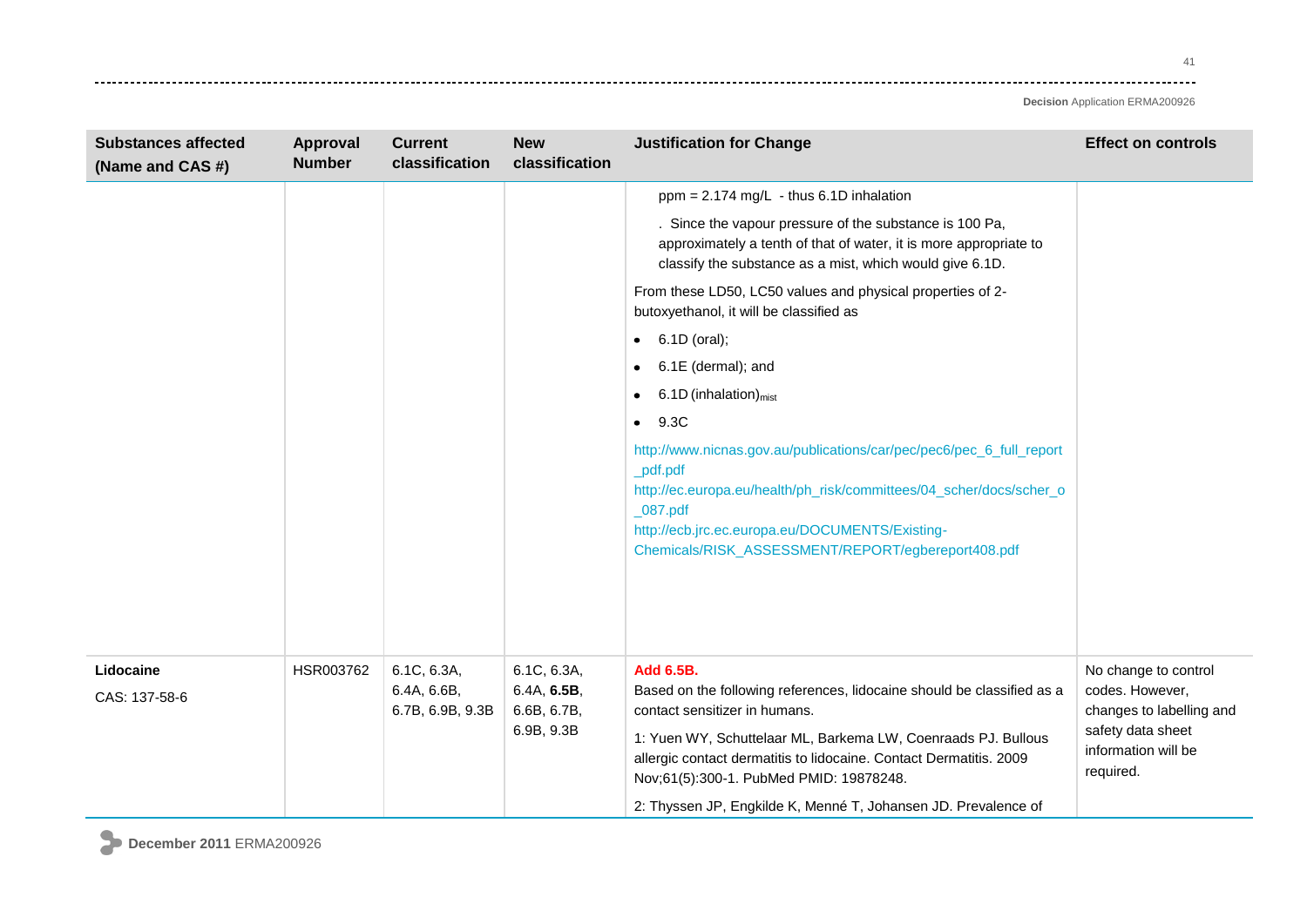. . . . . . .

| <b>Substances affected</b><br>(Name and CAS #) | Approval<br><b>Number</b> | <b>Current</b><br>classification               | <b>New</b><br>classification                            | <b>Justification for Change</b>                                                                                                                                                                                                                                                                                                                                          | <b>Effect on controls</b>                                                                                                    |
|------------------------------------------------|---------------------------|------------------------------------------------|---------------------------------------------------------|--------------------------------------------------------------------------------------------------------------------------------------------------------------------------------------------------------------------------------------------------------------------------------------------------------------------------------------------------------------------------|------------------------------------------------------------------------------------------------------------------------------|
|                                                |                           |                                                |                                                         | $ppm = 2.174$ mg/L - thus 6.1D inhalation                                                                                                                                                                                                                                                                                                                                |                                                                                                                              |
|                                                |                           |                                                |                                                         | . Since the vapour pressure of the substance is 100 Pa,<br>approximately a tenth of that of water, it is more appropriate to<br>classify the substance as a mist, which would give 6.1D.                                                                                                                                                                                 |                                                                                                                              |
|                                                |                           |                                                |                                                         | From these LD50, LC50 values and physical properties of 2-<br>butoxyethanol, it will be classified as                                                                                                                                                                                                                                                                    |                                                                                                                              |
|                                                |                           |                                                |                                                         | 6.1D (oral);<br>$\bullet$                                                                                                                                                                                                                                                                                                                                                |                                                                                                                              |
|                                                |                           |                                                |                                                         | 6.1E (dermal); and<br>$\bullet$                                                                                                                                                                                                                                                                                                                                          |                                                                                                                              |
|                                                |                           |                                                |                                                         | $6.1D$ (inhalation) $_{\text{mist}}$<br>$\bullet$                                                                                                                                                                                                                                                                                                                        |                                                                                                                              |
|                                                |                           |                                                |                                                         | 9.3C<br>٠                                                                                                                                                                                                                                                                                                                                                                |                                                                                                                              |
|                                                |                           |                                                |                                                         | http://www.nicnas.gov.au/publications/car/pec/pec6/pec_6_full_report<br>_pdf.pdf<br>http://ec.europa.eu/health/ph_risk/committees/04_scher/docs/scher_o<br>$_0$ 87.pdf<br>http://ecb.jrc.ec.europa.eu/DOCUMENTS/Existing-<br>Chemicals/RISK_ASSESSMENT/REPORT/egbereport408.pdf                                                                                          |                                                                                                                              |
| Lidocaine<br>CAS: 137-58-6                     | HSR003762                 | 6.1C, 6.3A,<br>6.4A, 6.6B,<br>6.7B, 6.9B, 9.3B | 6.1C, 6.3A,<br>6.4A, 6.5B,<br>6.6B, 6.7B,<br>6.9B, 9.3B | Add 6.5B.<br>Based on the following references, lidocaine should be classified as a<br>contact sensitizer in humans.<br>1: Yuen WY, Schuttelaar ML, Barkema LW, Coenraads PJ. Bullous<br>allergic contact dermatitis to lidocaine. Contact Dermatitis. 2009<br>Nov;61(5):300-1. PubMed PMID: 19878248.<br>2: Thyssen JP, Engkilde K, Menné T, Johansen JD. Prevalence of | No change to control<br>codes. However,<br>changes to labelling and<br>safety data sheet<br>information will be<br>required. |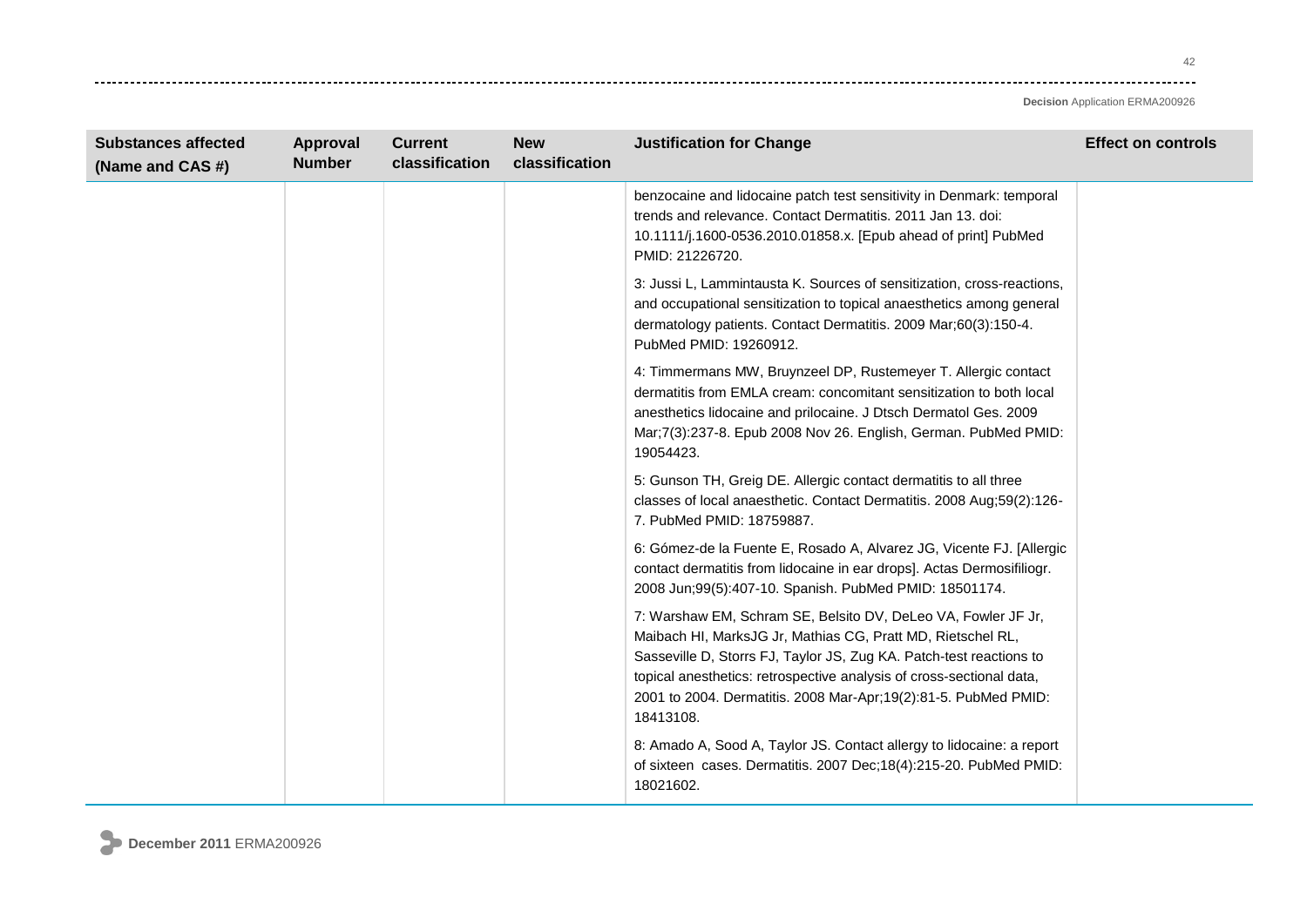| <b>Substances affected</b><br>(Name and CAS #) | <b>Approval</b><br><b>Number</b> | <b>Current</b><br>classification | <b>New</b><br>classification | <b>Justification for Change</b>                                                                                                                                                                                                                                                                                                                              | <b>Effect on controls</b> |
|------------------------------------------------|----------------------------------|----------------------------------|------------------------------|--------------------------------------------------------------------------------------------------------------------------------------------------------------------------------------------------------------------------------------------------------------------------------------------------------------------------------------------------------------|---------------------------|
|                                                |                                  |                                  |                              | benzocaine and lidocaine patch test sensitivity in Denmark: temporal<br>trends and relevance. Contact Dermatitis. 2011 Jan 13. doi:<br>10.1111/j.1600-0536.2010.01858.x. [Epub ahead of print] PubMed<br>PMID: 21226720.                                                                                                                                     |                           |
|                                                |                                  |                                  |                              | 3: Jussi L, Lammintausta K. Sources of sensitization, cross-reactions,<br>and occupational sensitization to topical anaesthetics among general<br>dermatology patients. Contact Dermatitis. 2009 Mar;60(3):150-4.<br>PubMed PMID: 19260912.                                                                                                                  |                           |
|                                                |                                  |                                  |                              | 4: Timmermans MW, Bruynzeel DP, Rustemeyer T. Allergic contact<br>dermatitis from EMLA cream: concomitant sensitization to both local<br>anesthetics lidocaine and prilocaine. J Dtsch Dermatol Ges. 2009<br>Mar; 7(3): 237-8. Epub 2008 Nov 26. English, German. PubMed PMID:<br>19054423.                                                                  |                           |
|                                                |                                  |                                  |                              | 5: Gunson TH, Greig DE. Allergic contact dermatitis to all three<br>classes of local anaesthetic. Contact Dermatitis. 2008 Aug;59(2):126-<br>7. PubMed PMID: 18759887.                                                                                                                                                                                       |                           |
|                                                |                                  |                                  |                              | 6: Gómez-de la Fuente E, Rosado A, Alvarez JG, Vicente FJ. [Allergic<br>contact dermatitis from lidocaine in ear drops]. Actas Dermosifiliogr.<br>2008 Jun;99(5):407-10. Spanish. PubMed PMID: 18501174.                                                                                                                                                     |                           |
|                                                |                                  |                                  |                              | 7: Warshaw EM, Schram SE, Belsito DV, DeLeo VA, Fowler JF Jr,<br>Maibach HI, MarksJG Jr, Mathias CG, Pratt MD, Rietschel RL,<br>Sasseville D, Storrs FJ, Taylor JS, Zug KA. Patch-test reactions to<br>topical anesthetics: retrospective analysis of cross-sectional data,<br>2001 to 2004. Dermatitis. 2008 Mar-Apr; 19(2):81-5. PubMed PMID:<br>18413108. |                           |
|                                                |                                  |                                  |                              | 8: Amado A, Sood A, Taylor JS. Contact allergy to lidocaine: a report<br>of sixteen cases. Dermatitis. 2007 Dec;18(4):215-20. PubMed PMID:<br>18021602.                                                                                                                                                                                                      |                           |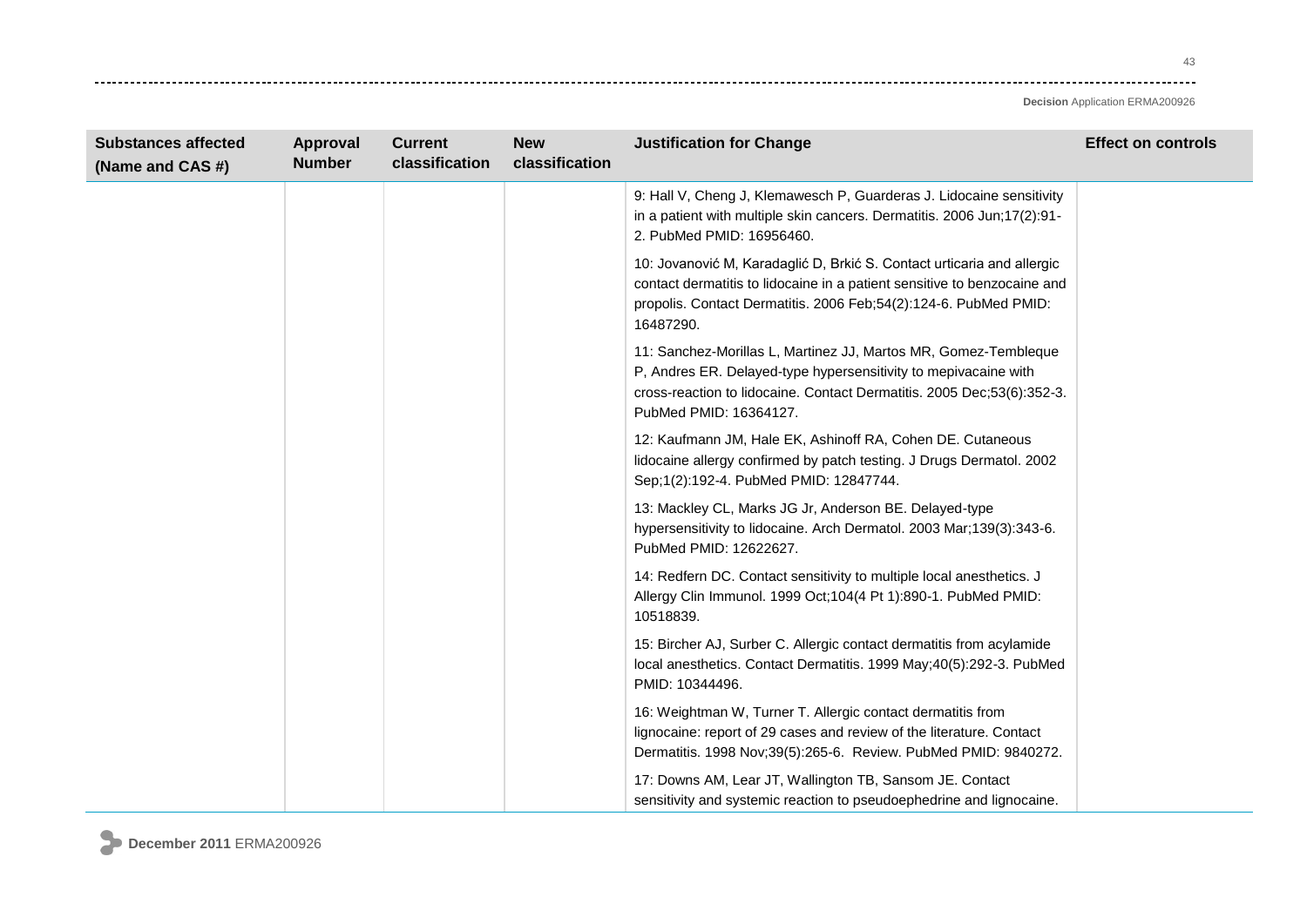-------

| <b>Substances affected</b><br>(Name and CAS #) | Approval<br><b>Number</b> | <b>Current</b><br>classification | <b>New</b><br>classification | <b>Justification for Change</b>                                                                                                                                                                                                        | <b>Effect on controls</b> |
|------------------------------------------------|---------------------------|----------------------------------|------------------------------|----------------------------------------------------------------------------------------------------------------------------------------------------------------------------------------------------------------------------------------|---------------------------|
|                                                |                           |                                  |                              | 9: Hall V, Cheng J, Klemawesch P, Guarderas J. Lidocaine sensitivity<br>in a patient with multiple skin cancers. Dermatitis. 2006 Jun;17(2):91-<br>2. PubMed PMID: 16956460.                                                           |                           |
|                                                |                           |                                  |                              | 10: Jovanović M, Karadaglić D, Brkić S. Contact urticaria and allergic<br>contact dermatitis to lidocaine in a patient sensitive to benzocaine and<br>propolis. Contact Dermatitis. 2006 Feb;54(2):124-6. PubMed PMID:<br>16487290.    |                           |
|                                                |                           |                                  |                              | 11: Sanchez-Morillas L, Martinez JJ, Martos MR, Gomez-Tembleque<br>P, Andres ER. Delayed-type hypersensitivity to mepivacaine with<br>cross-reaction to lidocaine. Contact Dermatitis. 2005 Dec;53(6):352-3.<br>PubMed PMID: 16364127. |                           |
|                                                |                           |                                  |                              | 12: Kaufmann JM, Hale EK, Ashinoff RA, Cohen DE. Cutaneous<br>lidocaine allergy confirmed by patch testing. J Drugs Dermatol. 2002<br>Sep;1(2):192-4. PubMed PMID: 12847744.                                                           |                           |
|                                                |                           |                                  |                              | 13: Mackley CL, Marks JG Jr, Anderson BE. Delayed-type<br>hypersensitivity to lidocaine. Arch Dermatol. 2003 Mar;139(3):343-6.<br>PubMed PMID: 12622627.                                                                               |                           |
|                                                |                           |                                  |                              | 14: Redfern DC. Contact sensitivity to multiple local anesthetics. J<br>Allergy Clin Immunol. 1999 Oct;104(4 Pt 1):890-1. PubMed PMID:<br>10518839.                                                                                    |                           |
|                                                |                           |                                  |                              | 15: Bircher AJ, Surber C. Allergic contact dermatitis from acylamide<br>local anesthetics. Contact Dermatitis. 1999 May;40(5):292-3. PubMed<br>PMID: 10344496.                                                                         |                           |
|                                                |                           |                                  |                              | 16: Weightman W, Turner T. Allergic contact dermatitis from<br>lignocaine: report of 29 cases and review of the literature. Contact<br>Dermatitis. 1998 Nov;39(5):265-6. Review. PubMed PMID: 9840272.                                 |                           |
|                                                |                           |                                  |                              | 17: Downs AM, Lear JT, Wallington TB, Sansom JE. Contact<br>sensitivity and systemic reaction to pseudoephedrine and lignocaine.                                                                                                       |                           |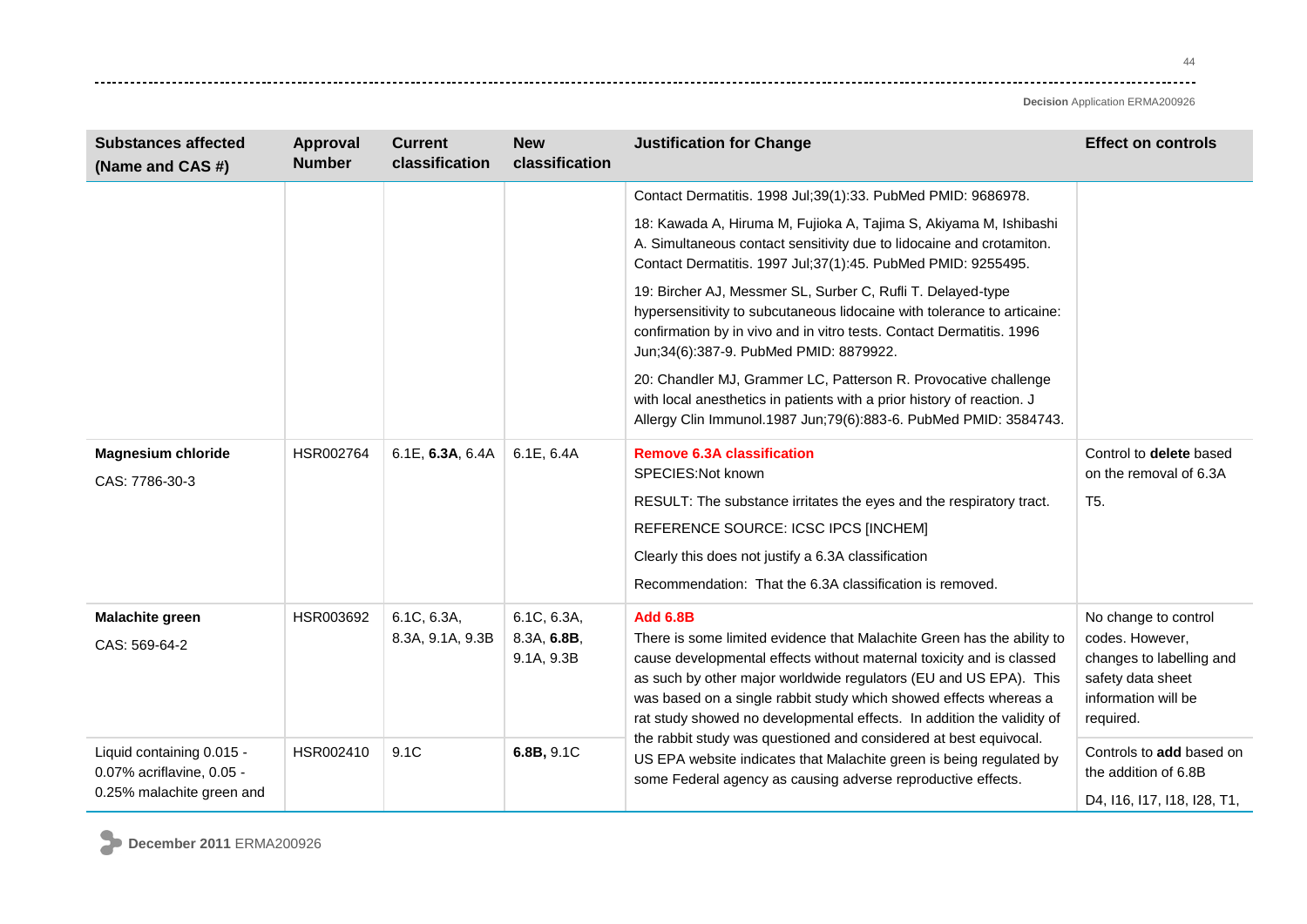| <b>Substances affected</b><br>(Name and CAS #)                                      | <b>Approval</b><br><b>Number</b> | <b>Current</b><br>classification | <b>New</b><br>classification             | <b>Justification for Change</b>                                                                                                                                                                                                                                                                                                                                                       | <b>Effect on controls</b>                                                                                                    |
|-------------------------------------------------------------------------------------|----------------------------------|----------------------------------|------------------------------------------|---------------------------------------------------------------------------------------------------------------------------------------------------------------------------------------------------------------------------------------------------------------------------------------------------------------------------------------------------------------------------------------|------------------------------------------------------------------------------------------------------------------------------|
|                                                                                     |                                  |                                  |                                          | Contact Dermatitis. 1998 Jul;39(1):33. PubMed PMID: 9686978.                                                                                                                                                                                                                                                                                                                          |                                                                                                                              |
|                                                                                     |                                  |                                  |                                          | 18: Kawada A, Hiruma M, Fujioka A, Tajima S, Akiyama M, Ishibashi<br>A. Simultaneous contact sensitivity due to lidocaine and crotamiton.<br>Contact Dermatitis. 1997 Jul;37(1):45. PubMed PMID: 9255495.                                                                                                                                                                             |                                                                                                                              |
|                                                                                     |                                  |                                  |                                          | 19: Bircher AJ, Messmer SL, Surber C, Rufli T. Delayed-type<br>hypersensitivity to subcutaneous lidocaine with tolerance to articaine:<br>confirmation by in vivo and in vitro tests. Contact Dermatitis. 1996<br>Jun;34(6):387-9. PubMed PMID: 8879922.                                                                                                                              |                                                                                                                              |
|                                                                                     |                                  |                                  |                                          | 20: Chandler MJ, Grammer LC, Patterson R. Provocative challenge<br>with local anesthetics in patients with a prior history of reaction. J<br>Allergy Clin Immunol.1987 Jun;79(6):883-6. PubMed PMID: 3584743.                                                                                                                                                                         |                                                                                                                              |
| <b>Magnesium chloride</b><br>CAS: 7786-30-3                                         | HSR002764                        | 6.1E, 6.3A, 6.4A                 | 6.1E, 6.4A                               | <b>Remove 6.3A classification</b><br>SPECIES:Not known<br>RESULT: The substance irritates the eyes and the respiratory tract.<br>REFERENCE SOURCE: ICSC IPCS [INCHEM]<br>Clearly this does not justify a 6.3A classification<br>Recommendation: That the 6.3A classification is removed.                                                                                              | Control to delete based<br>on the removal of 6.3A<br>T <sub>5</sub> .                                                        |
| <b>Malachite green</b><br>CAS: 569-64-2                                             | HSR003692                        | 6.1C, 6.3A,<br>8.3A, 9.1A, 9.3B  | 6.1C, 6.3A,<br>8.3A, 6.8B,<br>9.1A, 9.3B | <b>Add 6.8B</b><br>There is some limited evidence that Malachite Green has the ability to<br>cause developmental effects without maternal toxicity and is classed<br>as such by other major worldwide regulators (EU and US EPA). This<br>was based on a single rabbit study which showed effects whereas a<br>rat study showed no developmental effects. In addition the validity of | No change to control<br>codes. However,<br>changes to labelling and<br>safety data sheet<br>information will be<br>required. |
| Liquid containing 0.015 -<br>0.07% acriflavine, 0.05 -<br>0.25% malachite green and | HSR002410                        | 9.1C                             | 6.8B, 9.1C                               | the rabbit study was questioned and considered at best equivocal.<br>US EPA website indicates that Malachite green is being regulated by<br>some Federal agency as causing adverse reproductive effects.                                                                                                                                                                              | Controls to add based on<br>the addition of 6.8B<br>D4, 116, 117, 118, 128, T1,                                              |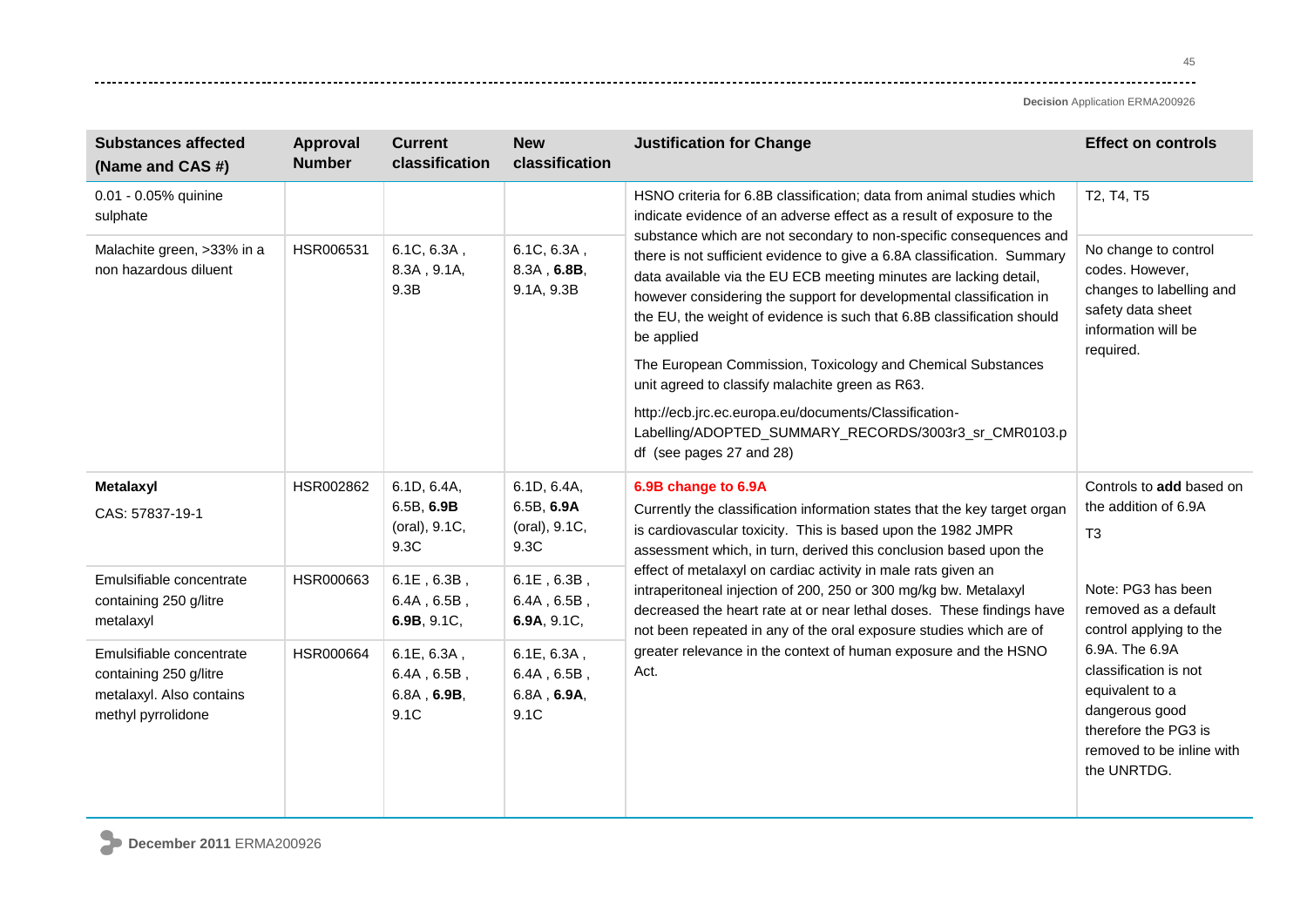| <b>Substances affected</b><br>(Name and CAS #)                                                       | <b>Approval</b><br><b>Number</b> | <b>Current</b><br>classification                           | <b>New</b><br>classification                                  | <b>Justification for Change</b>                                                                                                                                                                                                                                                                                                                                                                                                                                                                                           | <b>Effect on controls</b>                                                                                                                        |
|------------------------------------------------------------------------------------------------------|----------------------------------|------------------------------------------------------------|---------------------------------------------------------------|---------------------------------------------------------------------------------------------------------------------------------------------------------------------------------------------------------------------------------------------------------------------------------------------------------------------------------------------------------------------------------------------------------------------------------------------------------------------------------------------------------------------------|--------------------------------------------------------------------------------------------------------------------------------------------------|
| 0.01 - 0.05% quinine<br>sulphate                                                                     |                                  |                                                            |                                                               | HSNO criteria for 6.8B classification; data from animal studies which<br>indicate evidence of an adverse effect as a result of exposure to the                                                                                                                                                                                                                                                                                                                                                                            | T2, T4, T5                                                                                                                                       |
| Malachite green, >33% in a<br>non hazardous diluent                                                  | HSR006531                        | 6.1C, 6.3A,<br>8.3A, 9.1A,<br>9.3B                         | 6.1C, 6.3A,<br>8.3A, 6.8B,<br>9.1A, 9.3B                      | substance which are not secondary to non-specific consequences and<br>there is not sufficient evidence to give a 6.8A classification. Summary<br>data available via the EU ECB meeting minutes are lacking detail,<br>however considering the support for developmental classification in<br>the EU, the weight of evidence is such that 6.8B classification should<br>be applied                                                                                                                                         | No change to control<br>codes. However,<br>changes to labelling and<br>safety data sheet<br>information will be<br>required.                     |
|                                                                                                      |                                  |                                                            |                                                               | The European Commission, Toxicology and Chemical Substances<br>unit agreed to classify malachite green as R63.                                                                                                                                                                                                                                                                                                                                                                                                            |                                                                                                                                                  |
|                                                                                                      |                                  |                                                            |                                                               | http://ecb.jrc.ec.europa.eu/documents/Classification-<br>Labelling/ADOPTED_SUMMARY_RECORDS/3003r3_sr_CMR0103.p<br>df (see pages 27 and 28)                                                                                                                                                                                                                                                                                                                                                                                |                                                                                                                                                  |
| Metalaxyl<br>CAS: 57837-19-1                                                                         | HSR002862                        | 6.1D, 6.4A,<br>6.5B, 6.9B<br>(oral), 9.1C,<br>9.3C         | 6.1D, 6.4A,<br>6.5B, 6.9A<br>(oral), 9.1C,<br>9.3C            | 6.9B change to 6.9A<br>Currently the classification information states that the key target organ<br>is cardiovascular toxicity. This is based upon the 1982 JMPR<br>assessment which, in turn, derived this conclusion based upon the<br>effect of metalaxyl on cardiac activity in male rats given an<br>intraperitoneal injection of 200, 250 or 300 mg/kg bw. Metalaxyl<br>decreased the heart rate at or near lethal doses. These findings have<br>not been repeated in any of the oral exposure studies which are of | Controls to add based on<br>the addition of 6.9A<br>T <sub>3</sub>                                                                               |
| Emulsifiable concentrate<br>containing 250 g/litre<br>metalaxyl                                      | HSR000663                        | $6.1E$ , $6.3B$ ,<br>$6.4A$ , $6.5B$ ,<br>6.9B, 9.1C,      | $6.1E$ , $6.3B$ ,<br>$6.4A$ , $6.5B$ ,<br>6.9A, 9.1C,         |                                                                                                                                                                                                                                                                                                                                                                                                                                                                                                                           | Note: PG3 has been<br>removed as a default<br>control applying to the                                                                            |
| Emulsifiable concentrate<br>containing 250 g/litre<br>metalaxyl. Also contains<br>methyl pyrrolidone | HSR000664                        | 6.1E, 6.3A,<br>$6.4A$ , $6.5B$ ,<br>$6.8A$ , 6.9B,<br>9.1C | 6.1E, 6.3A,<br>$6.4A$ , $6.5B$ ,<br>$6.8A$ , $6.9A$ ,<br>9.1C | greater relevance in the context of human exposure and the HSNO<br>Act.                                                                                                                                                                                                                                                                                                                                                                                                                                                   | 6.9A. The 6.9A<br>classification is not<br>equivalent to a<br>dangerous good<br>therefore the PG3 is<br>removed to be inline with<br>the UNRTDG. |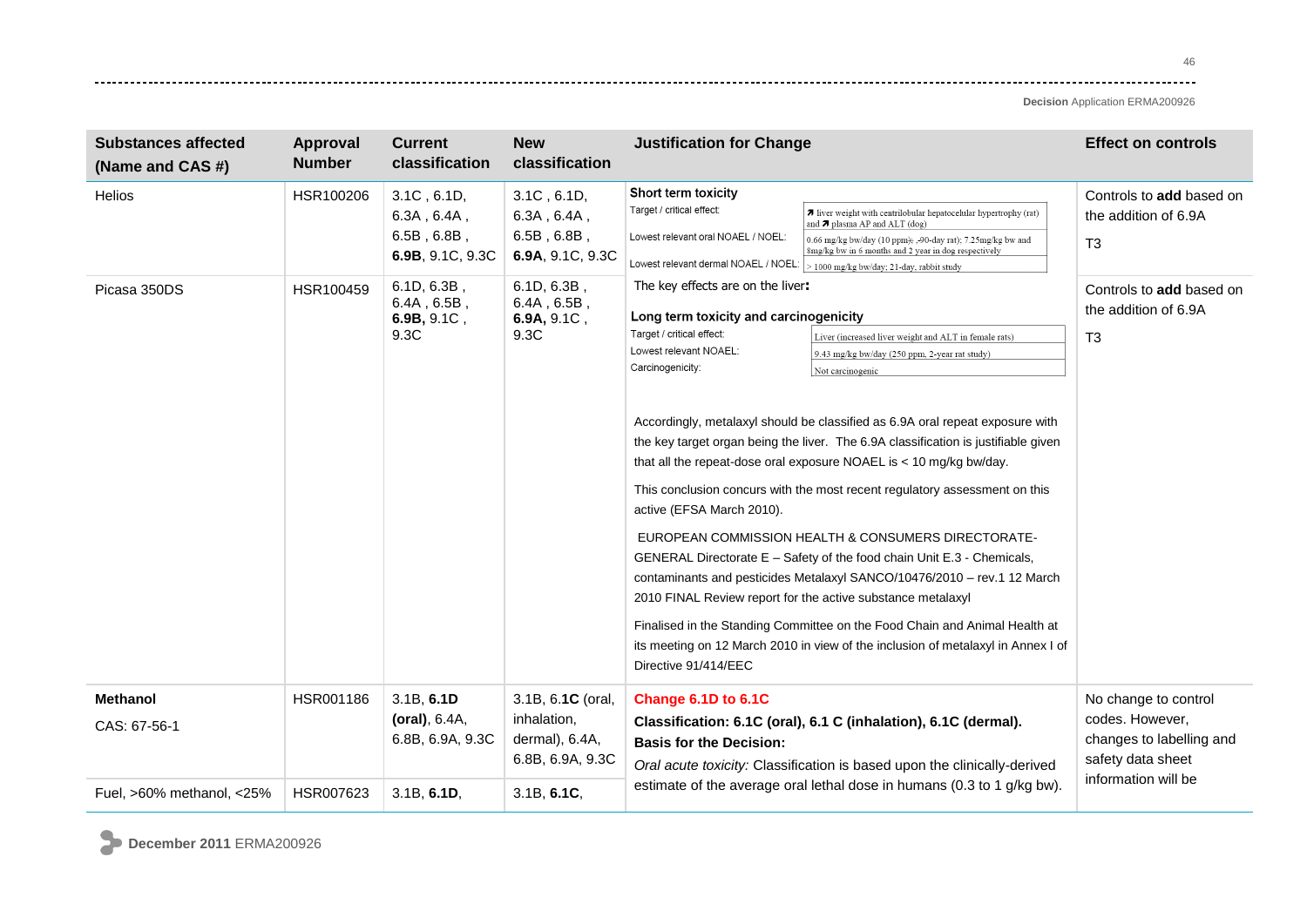**Decision** Application ERMA200926

| <b>Substances affected</b><br>(Name and CAS #) | <b>Approval</b><br><b>Number</b> | <b>Current</b><br>classification                                                                                       | <b>New</b><br>classification                                                                                           | <b>Justification for Change</b>                                                                                                                                                                                                                                                                                                                                                                                                                                                                                                                                                                                                                                                                                                                                                                                                                                                                                                                                                                                                                                              | <b>Effect on controls</b>                                                                                       |
|------------------------------------------------|----------------------------------|------------------------------------------------------------------------------------------------------------------------|------------------------------------------------------------------------------------------------------------------------|------------------------------------------------------------------------------------------------------------------------------------------------------------------------------------------------------------------------------------------------------------------------------------------------------------------------------------------------------------------------------------------------------------------------------------------------------------------------------------------------------------------------------------------------------------------------------------------------------------------------------------------------------------------------------------------------------------------------------------------------------------------------------------------------------------------------------------------------------------------------------------------------------------------------------------------------------------------------------------------------------------------------------------------------------------------------------|-----------------------------------------------------------------------------------------------------------------|
| <b>Helios</b><br>Picasa 350DS                  | HSR100206<br>HSR100459           | $3.1C$ , $6.1D$ ,<br>$6.3A$ , $6.4A$ ,<br>$6.5B$ , $6.8B$ ,<br>6.9B, 9.1C, 9.3C<br>$6.1D, 6.3B$ ,<br>$6.4A$ , $6.5B$ , | $3.1C$ , $6.1D$ ,<br>$6.3A$ , $6.4A$ ,<br>$6.5B$ , $6.8B$ ,<br>6.9A, 9.1C, 9.3C<br>$6.1D, 6.3B$ ,<br>$6.4A$ , $6.5B$ , | Short term toxicity<br>Target / critical effect:<br>7 liver weight with centrilobular hepatocelular hypertrophy (rat)<br>and $\pi$ plasma AP and ALT (dog)<br>Lowest relevant oral NOAEL / NOEL:<br>0.66 mg/kg bw/day (10 ppm); , 90-day rat); 7.25 mg/kg bw and<br>8mg/kg bw in 6 months and 2 year in dog respectively<br>Lowest relevant dermal NOAEL / NOEL:<br>> 1000 mg/kg bw/day; 21-day, rabbit study<br>The key effects are on the liver:                                                                                                                                                                                                                                                                                                                                                                                                                                                                                                                                                                                                                           | Controls to add based on<br>the addition of 6.9A<br>T <sub>3</sub><br>Controls to add based on                  |
|                                                |                                  | 6.9B, 9.1C,<br>9.3C                                                                                                    | 6.9A, 9.1C,<br>9.3C                                                                                                    | Long term toxicity and carcinogenicity<br>Target / critical effect:<br>Liver (increased liver weight and ALT in female rats)<br>Lowest relevant NOAEL:<br>9.43 mg/kg bw/day (250 ppm, 2-year rat study)<br>Carcinogenicity:<br>Not carcinogenic<br>Accordingly, metalaxyl should be classified as 6.9A oral repeat exposure with<br>the key target organ being the liver. The 6.9A classification is justifiable given<br>that all the repeat-dose oral exposure NOAEL is < 10 mg/kg bw/day.<br>This conclusion concurs with the most recent regulatory assessment on this<br>active (EFSA March 2010).<br>EUROPEAN COMMISSION HEALTH & CONSUMERS DIRECTORATE-<br>GENERAL Directorate E - Safety of the food chain Unit E.3 - Chemicals,<br>contaminants and pesticides Metalaxyl SANCO/10476/2010 - rev.1 12 March<br>2010 FINAL Review report for the active substance metalaxyl<br>Finalised in the Standing Committee on the Food Chain and Animal Health at<br>its meeting on 12 March 2010 in view of the inclusion of metalaxyl in Annex I of<br>Directive 91/414/EEC | the addition of 6.9A<br>T <sub>3</sub>                                                                          |
| <b>Methanol</b><br>CAS: 67-56-1                | HSR001186                        | 3.1B, 6.1D<br>(oral), 6.4A,<br>6.8B, 6.9A, 9.3C                                                                        | 3.1B, 6.1C (oral,<br>inhalation,<br>dermal), 6.4A,<br>6.8B, 6.9A, 9.3C                                                 | Change 6.1D to 6.1C<br>Classification: 6.1C (oral), 6.1 C (inhalation), 6.1C (dermal).<br><b>Basis for the Decision:</b><br>Oral acute toxicity: Classification is based upon the clinically-derived                                                                                                                                                                                                                                                                                                                                                                                                                                                                                                                                                                                                                                                                                                                                                                                                                                                                         | No change to control<br>codes. However,<br>changes to labelling and<br>safety data sheet<br>information will be |
| Fuel, $>60\%$ methanol, $<25\%$                | HSR007623                        | 3.1B, 6.1D,                                                                                                            | 3.1B, 6.1C,                                                                                                            | estimate of the average oral lethal dose in humans (0.3 to 1 g/kg bw).                                                                                                                                                                                                                                                                                                                                                                                                                                                                                                                                                                                                                                                                                                                                                                                                                                                                                                                                                                                                       |                                                                                                                 |

**December 2011** ERMA200926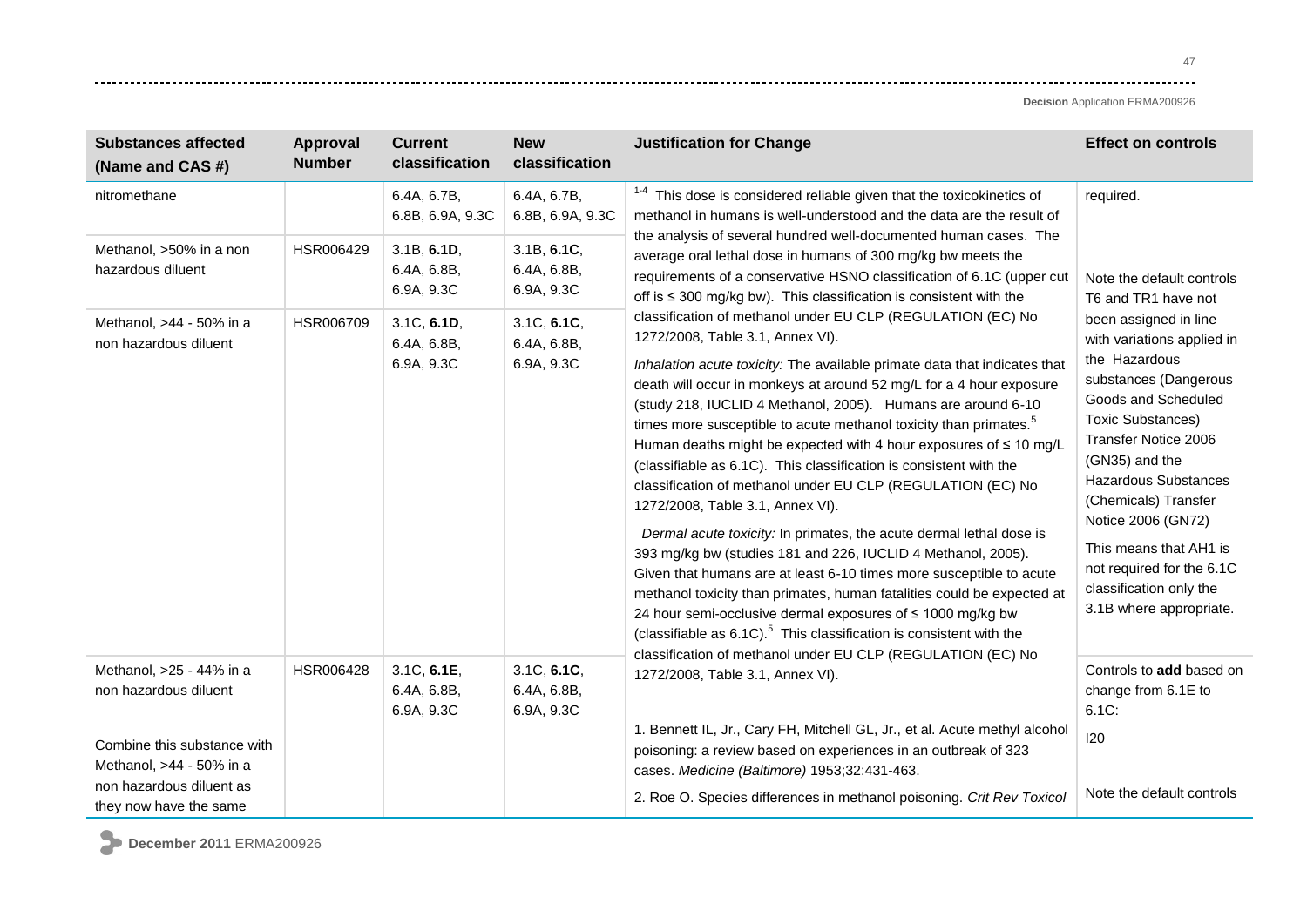| <b>Effect on controls</b>                                                                                                                                                                                                                                                                                                                                                            |
|--------------------------------------------------------------------------------------------------------------------------------------------------------------------------------------------------------------------------------------------------------------------------------------------------------------------------------------------------------------------------------------|
| required.                                                                                                                                                                                                                                                                                                                                                                            |
| the analysis of several hundred well-documented human cases. The<br>requirements of a conservative HSNO classification of 6.1C (upper cut<br>Note the default controls<br>T6 and TR1 have not                                                                                                                                                                                        |
| been assigned in line<br>with variations applied in<br>the Hazardous<br>substances (Dangerous<br>Goods and Scheduled<br><b>Toxic Substances)</b><br>Transfer Notice 2006<br>(GN35) and the<br><b>Hazardous Substances</b><br>(Chemicals) Transfer<br>Notice 2006 (GN72)<br>This means that AH1 is<br>not required for the 6.1C<br>classification only the<br>3.1B where appropriate. |
| Controls to add based on<br>change from 6.1E to                                                                                                                                                                                                                                                                                                                                      |
| Note the default controls                                                                                                                                                                                                                                                                                                                                                            |
|                                                                                                                                                                                                                                                                                                                                                                                      |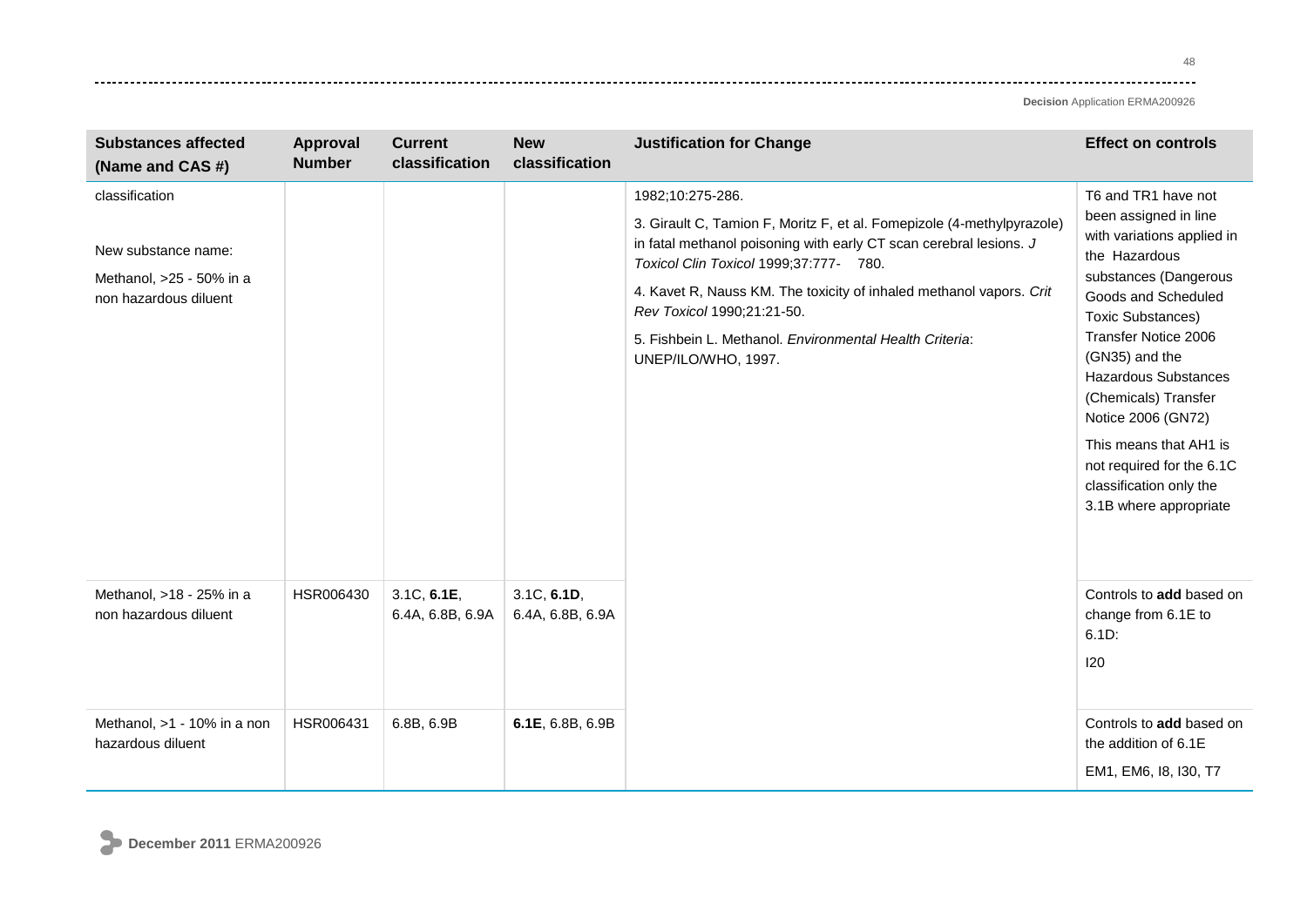| <b>Substances affected</b><br>(Name and CAS #)                                             | Approval<br><b>Number</b> | <b>Current</b><br>classification | <b>New</b><br>classification    | <b>Justification for Change</b>                                                                                                                                                                                                                                                                                                                                                                   | <b>Effect on controls</b>                                                                                                                                                                                                                                                                                                                                                                                  |
|--------------------------------------------------------------------------------------------|---------------------------|----------------------------------|---------------------------------|---------------------------------------------------------------------------------------------------------------------------------------------------------------------------------------------------------------------------------------------------------------------------------------------------------------------------------------------------------------------------------------------------|------------------------------------------------------------------------------------------------------------------------------------------------------------------------------------------------------------------------------------------------------------------------------------------------------------------------------------------------------------------------------------------------------------|
| classification<br>New substance name:<br>Methanol, >25 - 50% in a<br>non hazardous diluent |                           |                                  |                                 | 1982;10:275-286.<br>3. Girault C, Tamion F, Moritz F, et al. Fomepizole (4-methylpyrazole)<br>in fatal methanol poisoning with early CT scan cerebral lesions. J<br>Toxicol Clin Toxicol 1999;37:777- 780.<br>4. Kavet R, Nauss KM. The toxicity of inhaled methanol vapors. Crit<br>Rev Toxicol 1990;21:21-50.<br>5. Fishbein L. Methanol. Environmental Health Criteria:<br>UNEP/ILO/WHO, 1997. | T6 and TR1 have not<br>been assigned in line<br>with variations applied in<br>the Hazardous<br>substances (Dangerous<br>Goods and Scheduled<br><b>Toxic Substances)</b><br>Transfer Notice 2006<br>(GN35) and the<br><b>Hazardous Substances</b><br>(Chemicals) Transfer<br>Notice 2006 (GN72)<br>This means that AH1 is<br>not required for the 6.1C<br>classification only the<br>3.1B where appropriate |
| Methanol, >18 - 25% in a<br>non hazardous diluent                                          | HSR006430                 | 3.1C, 6.1E,<br>6.4A, 6.8B, 6.9A  | 3.1C, 6.1D,<br>6.4A, 6.8B, 6.9A |                                                                                                                                                                                                                                                                                                                                                                                                   | Controls to add based on<br>change from 6.1E to<br>6.1D:<br>120                                                                                                                                                                                                                                                                                                                                            |
| Methanol, >1 - 10% in a non<br>hazardous diluent                                           | HSR006431                 | 6.8B, 6.9B                       | 6.1E, 6.8B, 6.9B                |                                                                                                                                                                                                                                                                                                                                                                                                   | Controls to add based on<br>the addition of 6.1E<br>EM1, EM6, 18, 130, T7                                                                                                                                                                                                                                                                                                                                  |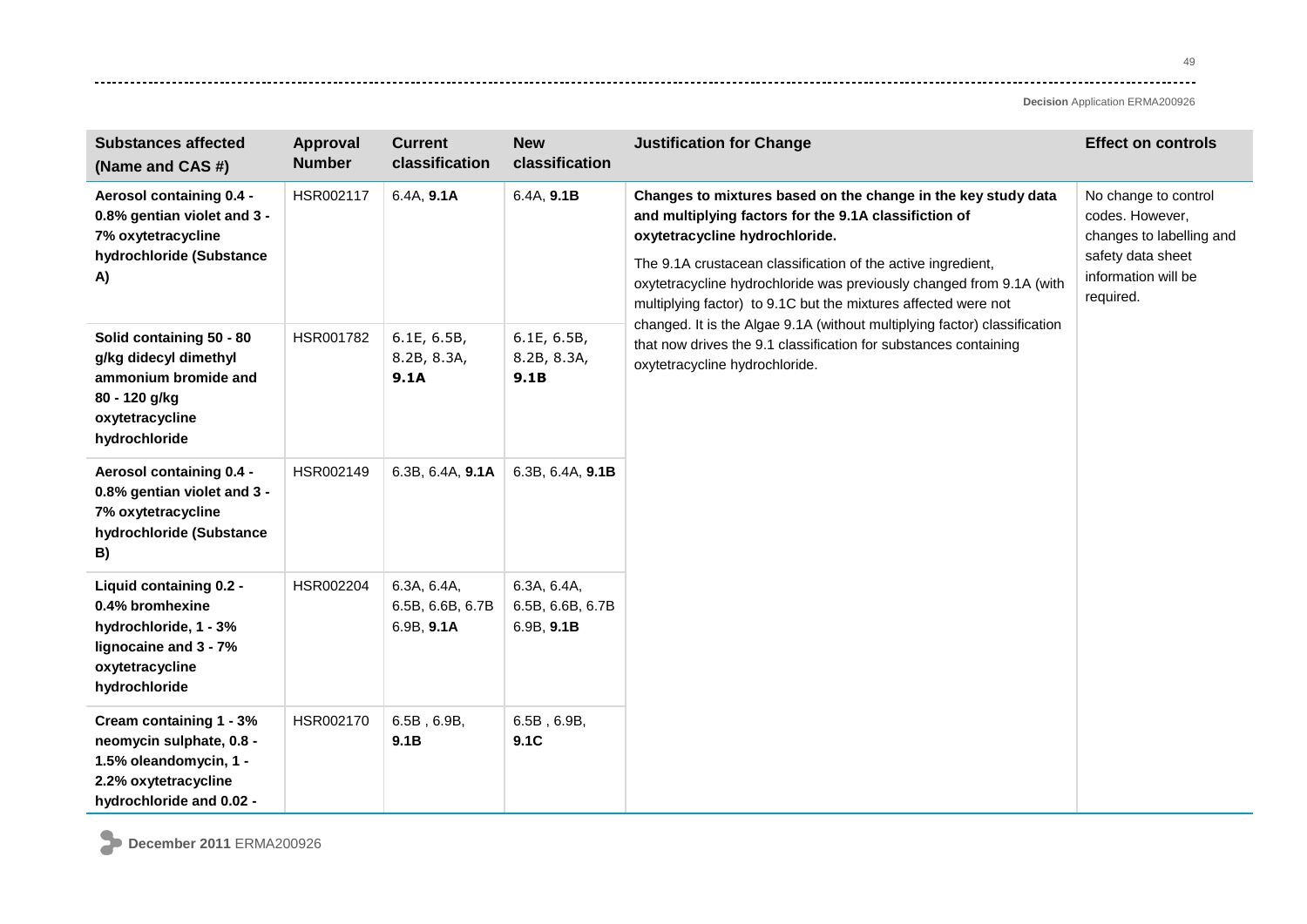**Decision** Application ERMA200926

| <b>Substances affected</b><br>(Name and CAS #)                                                                                    | <b>Approval</b><br><b>Number</b> | <b>Current</b><br>classification              | <b>New</b><br>classification                  | <b>Justification for Change</b>                                                                                                                                                                                                                                                                                                                                                                                                                                                                                                                       | <b>Effect on controls</b>                                                                                                    |
|-----------------------------------------------------------------------------------------------------------------------------------|----------------------------------|-----------------------------------------------|-----------------------------------------------|-------------------------------------------------------------------------------------------------------------------------------------------------------------------------------------------------------------------------------------------------------------------------------------------------------------------------------------------------------------------------------------------------------------------------------------------------------------------------------------------------------------------------------------------------------|------------------------------------------------------------------------------------------------------------------------------|
| Aerosol containing 0.4 -<br>0.8% gentian violet and 3 -<br>7% oxytetracycline<br>hydrochloride (Substance<br>A)                   | HSR002117                        | 6.4A, 9.1A                                    | 6.4A, 9.1B                                    | Changes to mixtures based on the change in the key study data<br>and multiplying factors for the 9.1A classifiction of<br>oxytetracycline hydrochloride.<br>The 9.1A crustacean classification of the active ingredient,<br>oxytetracycline hydrochloride was previously changed from 9.1A (with<br>multiplying factor) to 9.1C but the mixtures affected were not<br>changed. It is the Algae 9.1A (without multiplying factor) classification<br>that now drives the 9.1 classification for substances containing<br>oxytetracycline hydrochloride. | No change to control<br>codes. However,<br>changes to labelling and<br>safety data sheet<br>information will be<br>required. |
| Solid containing 50 - 80<br>g/kg didecyl dimethyl<br>ammonium bromide and<br>80 - 120 g/kg<br>oxytetracycline<br>hydrochloride    | HSR001782                        | 6.1E, 6.5B,<br>8.2B, 8.3A,<br>9.1A            | 6.1E, 6.5B,<br>8.2B, 8.3A,<br>9.1B            |                                                                                                                                                                                                                                                                                                                                                                                                                                                                                                                                                       |                                                                                                                              |
| Aerosol containing 0.4 -<br>0.8% gentian violet and 3 -<br>7% oxytetracycline<br>hydrochloride (Substance<br>B)                   | HSR002149                        | 6.3B, 6.4A, 9.1A                              | 6.3B, 6.4A, 9.1B                              |                                                                                                                                                                                                                                                                                                                                                                                                                                                                                                                                                       |                                                                                                                              |
| Liquid containing 0.2 -<br>0.4% bromhexine<br>hydrochloride, 1 - 3%<br>lignocaine and 3 - 7%<br>oxytetracycline<br>hydrochloride  | HSR002204                        | 6.3A, 6.4A,<br>6.5B, 6.6B, 6.7B<br>6.9B, 9.1A | 6.3A, 6.4A,<br>6.5B, 6.6B, 6.7B<br>6.9B, 9.1B |                                                                                                                                                                                                                                                                                                                                                                                                                                                                                                                                                       |                                                                                                                              |
| Cream containing 1 - 3%<br>neomycin sulphate, 0.8 -<br>1.5% oleandomycin, 1 -<br>2.2% oxytetracycline<br>hydrochloride and 0.02 - | HSR002170                        | $6.5B$ , $6.9B$ ,<br>9.1B                     | 6.5B, 6.9B,<br>9.1C                           |                                                                                                                                                                                                                                                                                                                                                                                                                                                                                                                                                       |                                                                                                                              |

**December 2011** ERMA200926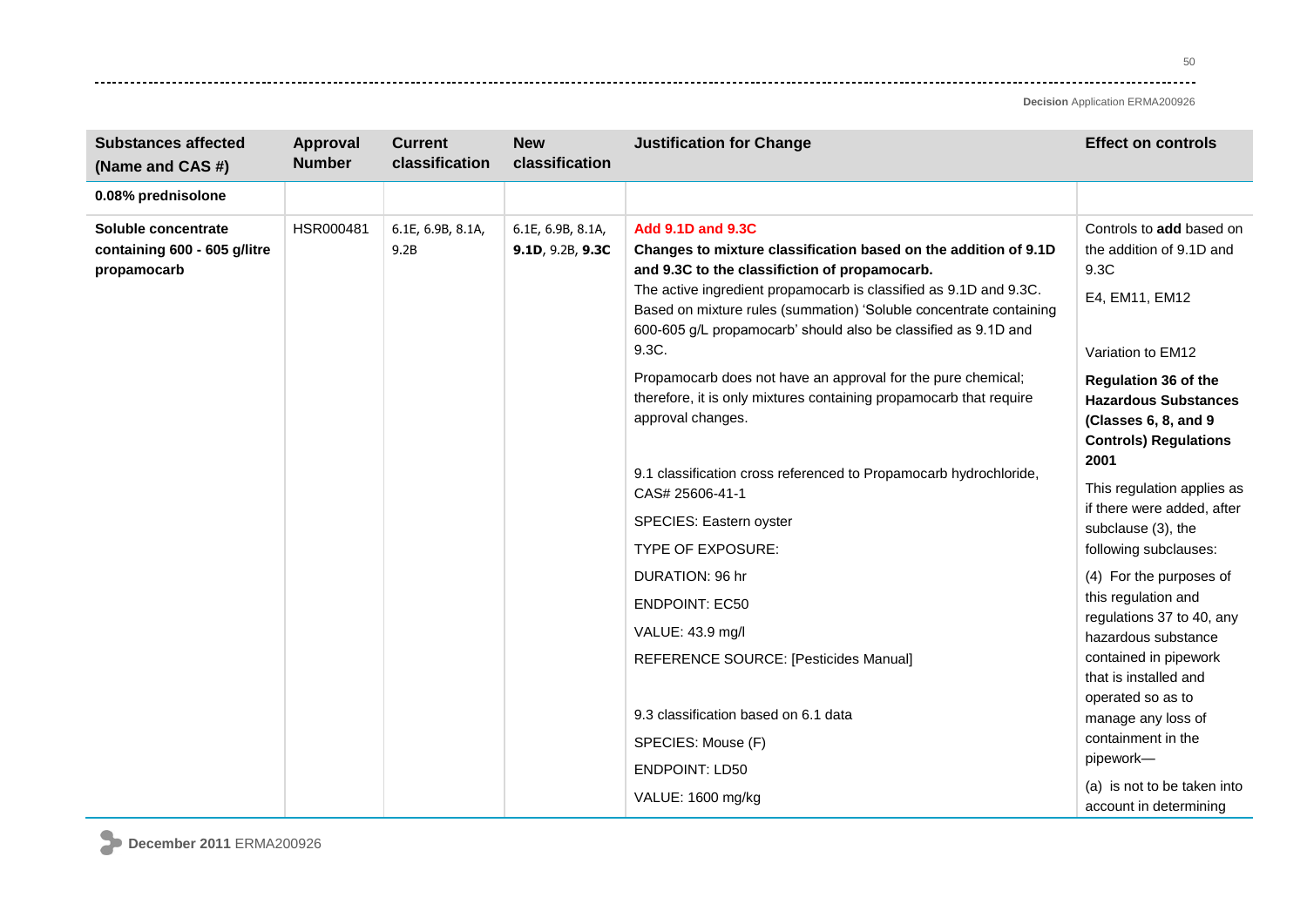| <b>Substances affected</b><br>(Name and CAS #)                     | Approval<br><b>Number</b> | <b>Current</b><br>classification | <b>New</b><br>classification          | <b>Justification for Change</b>                                                                                                                                                                                                                                                                                                                                    | <b>Effect on controls</b>                                                                                                  |
|--------------------------------------------------------------------|---------------------------|----------------------------------|---------------------------------------|--------------------------------------------------------------------------------------------------------------------------------------------------------------------------------------------------------------------------------------------------------------------------------------------------------------------------------------------------------------------|----------------------------------------------------------------------------------------------------------------------------|
| 0.08% prednisolone                                                 |                           |                                  |                                       |                                                                                                                                                                                                                                                                                                                                                                    |                                                                                                                            |
| Soluble concentrate<br>containing 600 - 605 g/litre<br>propamocarb | HSR000481                 | 6.1E, 6.9B, 8.1A,<br>9.2B        | 6.1E, 6.9B, 8.1A,<br>9.1D, 9.2B, 9.3C | <b>Add 9.1D and 9.3C</b><br>Changes to mixture classification based on the addition of 9.1D<br>and 9.3C to the classifiction of propamocarb.<br>The active ingredient propamocarb is classified as 9.1D and 9.3C.<br>Based on mixture rules (summation) 'Soluble concentrate containing<br>600-605 g/L propamocarb' should also be classified as 9.1D and<br>9.3C. | Controls to add based on<br>the addition of 9.1D and<br>9.3C<br>E4, EM11, EM12<br>Variation to EM12                        |
|                                                                    |                           |                                  |                                       | Propamocarb does not have an approval for the pure chemical;<br>therefore, it is only mixtures containing propamocarb that require<br>approval changes.                                                                                                                                                                                                            | <b>Regulation 36 of the</b><br><b>Hazardous Substances</b><br>(Classes 6, 8, and 9<br><b>Controls) Regulations</b><br>2001 |
|                                                                    |                           |                                  |                                       | 9.1 classification cross referenced to Propamocarb hydrochloride,<br>CAS# 25606-41-1<br>SPECIES: Eastern oyster<br><b>TYPE OF EXPOSURE:</b>                                                                                                                                                                                                                        | This regulation applies as<br>if there were added, after<br>subclause (3), the<br>following subclauses:                    |
|                                                                    |                           |                                  |                                       | DURATION: 96 hr                                                                                                                                                                                                                                                                                                                                                    | (4) For the purposes of<br>this regulation and                                                                             |
|                                                                    |                           |                                  |                                       | <b>ENDPOINT: EC50</b><br>VALUE: 43.9 mg/l                                                                                                                                                                                                                                                                                                                          | regulations 37 to 40, any<br>hazardous substance                                                                           |
|                                                                    |                           |                                  |                                       | REFERENCE SOURCE: [Pesticides Manual]                                                                                                                                                                                                                                                                                                                              | contained in pipework<br>that is installed and                                                                             |
|                                                                    |                           |                                  |                                       | 9.3 classification based on 6.1 data                                                                                                                                                                                                                                                                                                                               | operated so as to<br>manage any loss of                                                                                    |
|                                                                    |                           |                                  |                                       | SPECIES: Mouse (F)                                                                                                                                                                                                                                                                                                                                                 | containment in the<br>pipework-                                                                                            |
|                                                                    |                           |                                  |                                       | <b>ENDPOINT: LD50</b><br>VALUE: 1600 mg/kg                                                                                                                                                                                                                                                                                                                         | (a) is not to be taken into<br>account in determining                                                                      |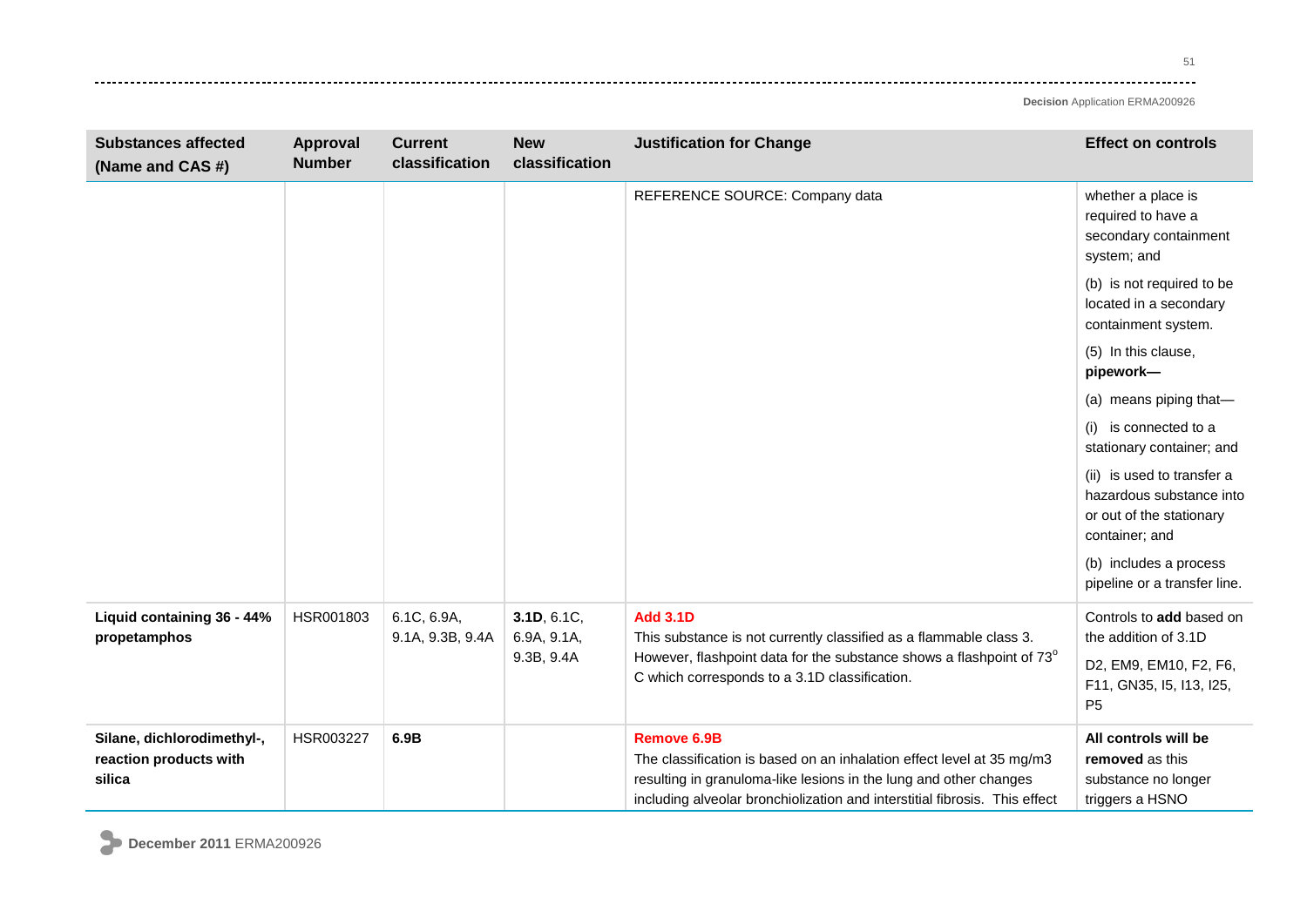| <b>Substances affected</b><br>(Name and CAS #)                 | Approval<br><b>Number</b> | <b>Current</b><br>classification | <b>New</b><br>classification                                                                                          | <b>Justification for Change</b>                                                                                                                                                                                                                | <b>Effect on controls</b>                                                                            |
|----------------------------------------------------------------|---------------------------|----------------------------------|-----------------------------------------------------------------------------------------------------------------------|------------------------------------------------------------------------------------------------------------------------------------------------------------------------------------------------------------------------------------------------|------------------------------------------------------------------------------------------------------|
|                                                                |                           |                                  |                                                                                                                       | REFERENCE SOURCE: Company data                                                                                                                                                                                                                 | whether a place is<br>required to have a<br>secondary containment<br>system; and                     |
|                                                                |                           |                                  |                                                                                                                       |                                                                                                                                                                                                                                                | (b) is not required to be<br>located in a secondary<br>containment system.                           |
|                                                                |                           |                                  |                                                                                                                       |                                                                                                                                                                                                                                                | (5) In this clause,<br>pipework-                                                                     |
|                                                                |                           |                                  |                                                                                                                       |                                                                                                                                                                                                                                                | (a) means piping that-                                                                               |
|                                                                |                           |                                  |                                                                                                                       |                                                                                                                                                                                                                                                | (i) is connected to a<br>stationary container; and                                                   |
|                                                                |                           |                                  |                                                                                                                       |                                                                                                                                                                                                                                                | (ii) is used to transfer a<br>hazardous substance into<br>or out of the stationary<br>container; and |
|                                                                |                           |                                  |                                                                                                                       |                                                                                                                                                                                                                                                | (b) includes a process<br>pipeline or a transfer line.                                               |
| Liquid containing 36 - 44%<br>propetamphos                     | HSR001803                 | 6.1C, 6.9A,<br>9.1A, 9.3B, 9.4A  | 3.1D, 6.1C,<br>6.9A, 9.1A,                                                                                            | <b>Add 3.1D</b><br>This substance is not currently classified as a flammable class 3.                                                                                                                                                          | Controls to add based on<br>the addition of 3.1D                                                     |
|                                                                |                           | 9.3B, 9.4A                       | However, flashpoint data for the substance shows a flashpoint of 73°<br>C which corresponds to a 3.1D classification. | D2, EM9, EM10, F2, F6,<br>F11, GN35, I5, I13, I25,<br>P <sub>5</sub>                                                                                                                                                                           |                                                                                                      |
| Silane, dichlorodimethyl-,<br>reaction products with<br>silica | HSR003227                 | 6.9B                             |                                                                                                                       | <b>Remove 6.9B</b><br>The classification is based on an inhalation effect level at 35 mg/m3<br>resulting in granuloma-like lesions in the lung and other changes<br>including alveolar bronchiolization and interstitial fibrosis. This effect | All controls will be<br>removed as this<br>substance no longer<br>triggers a HSNO                    |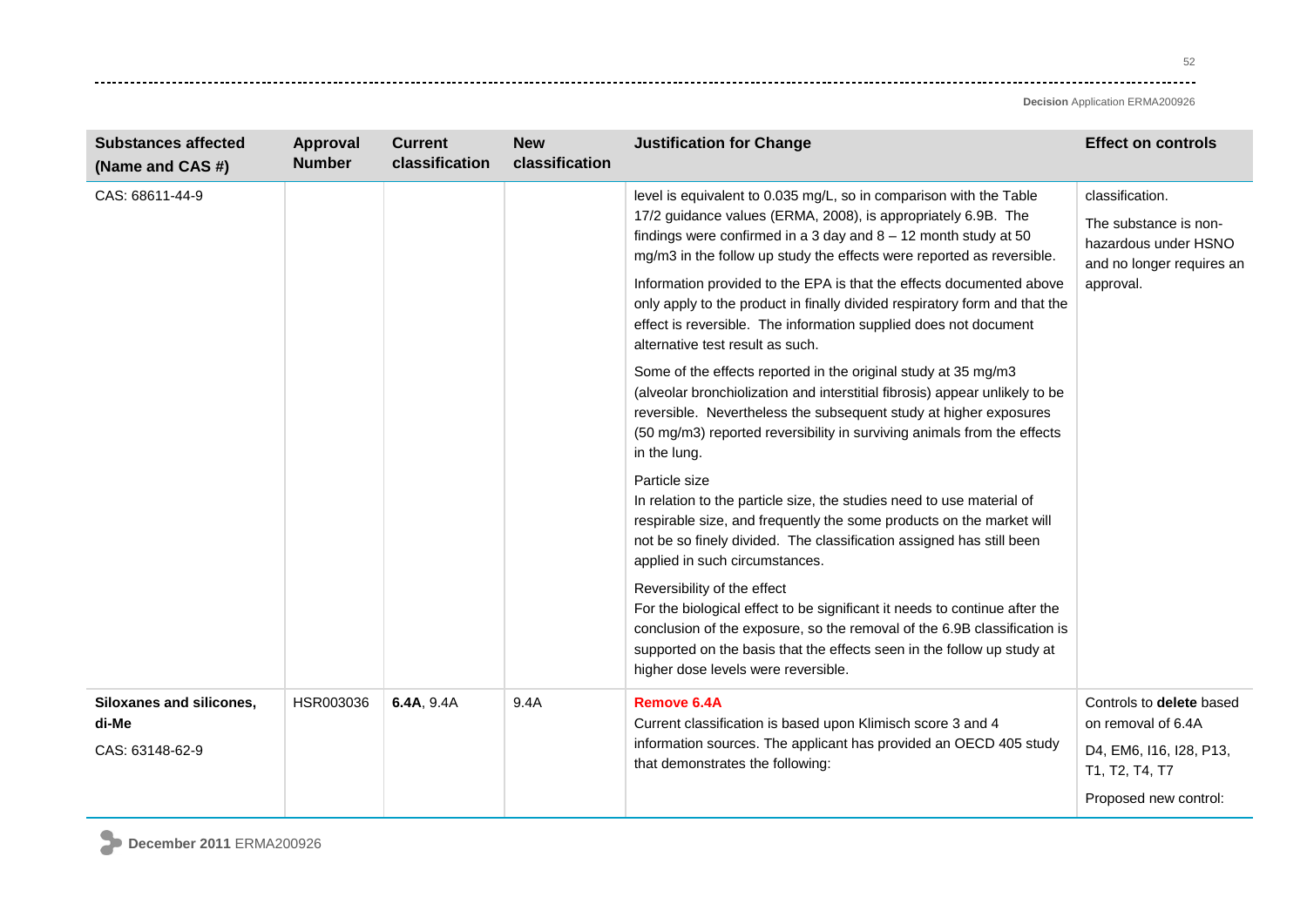52  $- - -$ 

| <b>Substances affected</b><br>(Name and CAS #)       | Approval<br><b>Number</b> | <b>Current</b><br>classification | <b>New</b><br>classification | <b>Justification for Change</b>                                                                                                                                                                                                                                                                                                                                                                                                                                                                                                                                                                                                                                                                                                                                                                                                                                  | <b>Effect on controls</b>                                                                                            |
|------------------------------------------------------|---------------------------|----------------------------------|------------------------------|------------------------------------------------------------------------------------------------------------------------------------------------------------------------------------------------------------------------------------------------------------------------------------------------------------------------------------------------------------------------------------------------------------------------------------------------------------------------------------------------------------------------------------------------------------------------------------------------------------------------------------------------------------------------------------------------------------------------------------------------------------------------------------------------------------------------------------------------------------------|----------------------------------------------------------------------------------------------------------------------|
| CAS: 68611-44-9                                      |                           |                                  |                              | level is equivalent to 0.035 mg/L, so in comparison with the Table<br>17/2 guidance values (ERMA, 2008), is appropriately 6.9B. The<br>findings were confirmed in a 3 day and $8 - 12$ month study at 50<br>mg/m3 in the follow up study the effects were reported as reversible.<br>Information provided to the EPA is that the effects documented above<br>only apply to the product in finally divided respiratory form and that the<br>effect is reversible. The information supplied does not document<br>alternative test result as such.<br>Some of the effects reported in the original study at 35 mg/m3<br>(alveolar bronchiolization and interstitial fibrosis) appear unlikely to be<br>reversible. Nevertheless the subsequent study at higher exposures<br>(50 mg/m3) reported reversibility in surviving animals from the effects<br>in the lung. | classification.<br>The substance is non-<br>hazardous under HSNO<br>and no longer requires an<br>approval.           |
|                                                      |                           |                                  |                              | Particle size<br>In relation to the particle size, the studies need to use material of<br>respirable size, and frequently the some products on the market will<br>not be so finely divided. The classification assigned has still been<br>applied in such circumstances.                                                                                                                                                                                                                                                                                                                                                                                                                                                                                                                                                                                         |                                                                                                                      |
|                                                      |                           |                                  |                              | Reversibility of the effect<br>For the biological effect to be significant it needs to continue after the<br>conclusion of the exposure, so the removal of the 6.9B classification is<br>supported on the basis that the effects seen in the follow up study at<br>higher dose levels were reversible.                                                                                                                                                                                                                                                                                                                                                                                                                                                                                                                                                           |                                                                                                                      |
| Siloxanes and silicones,<br>di-Me<br>CAS: 63148-62-9 | HSR003036                 | 6.4A, 9.4A                       | 9.4A                         | <b>Remove 6.4A</b><br>Current classification is based upon Klimisch score 3 and 4<br>information sources. The applicant has provided an OECD 405 study<br>that demonstrates the following:                                                                                                                                                                                                                                                                                                                                                                                                                                                                                                                                                                                                                                                                       | Controls to delete based<br>on removal of 6.4A<br>D4, EM6, I16, I28, P13,<br>T1, T2, T4, T7<br>Proposed new control: |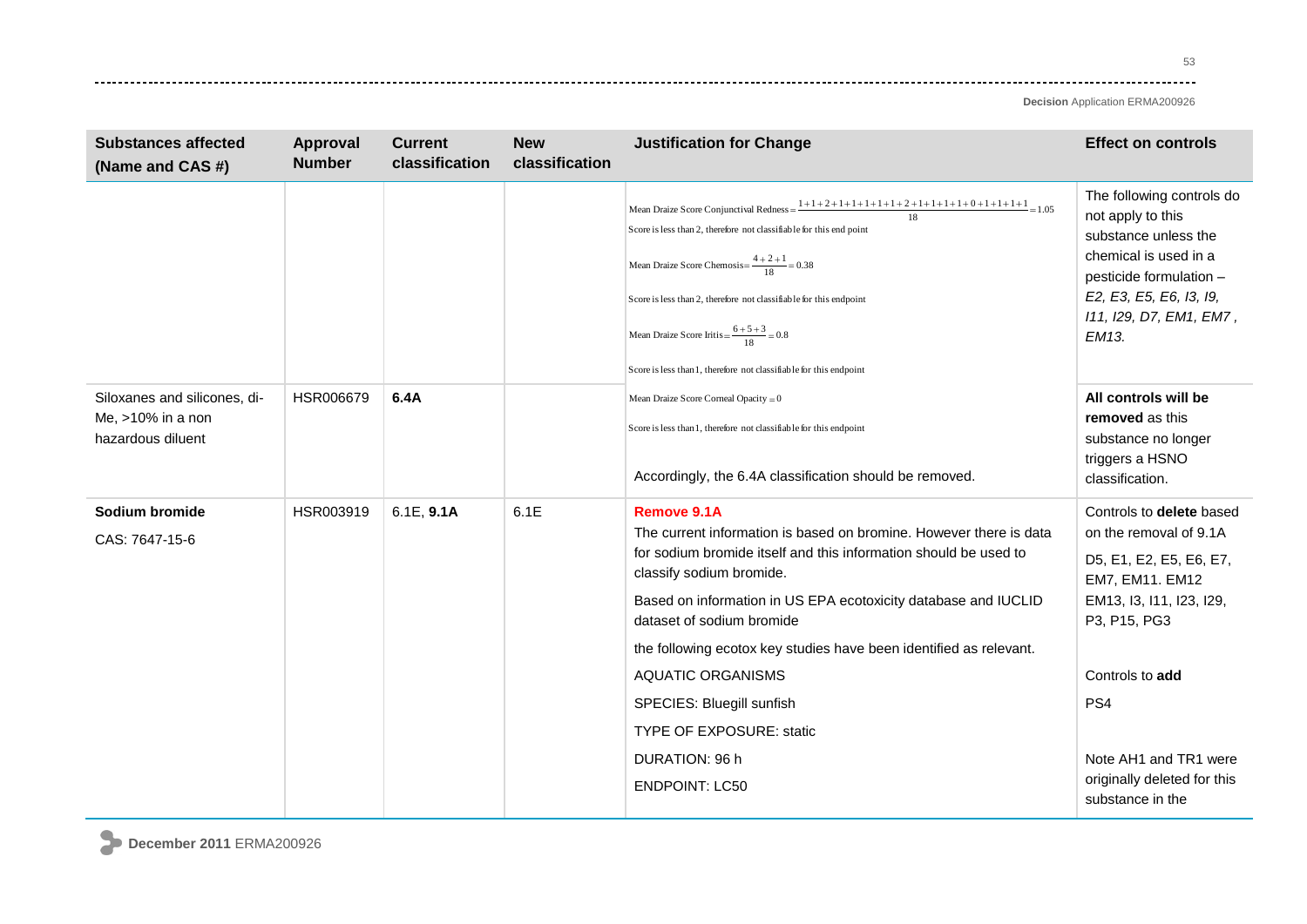53 ----

| <b>Substances affected</b><br>(Name and CAS #)                            | <b>Approval</b><br><b>Number</b> | <b>Current</b><br>classification | <b>New</b><br>classification | <b>Justification for Change</b>                                                                                                                                                                                                                                                                                                                                                                                                                                                               | <b>Effect on controls</b>                                                                                                                                                                                                                                      |
|---------------------------------------------------------------------------|----------------------------------|----------------------------------|------------------------------|-----------------------------------------------------------------------------------------------------------------------------------------------------------------------------------------------------------------------------------------------------------------------------------------------------------------------------------------------------------------------------------------------------------------------------------------------------------------------------------------------|----------------------------------------------------------------------------------------------------------------------------------------------------------------------------------------------------------------------------------------------------------------|
|                                                                           |                                  |                                  |                              | Mean Draize Score Conjunctival Redness = $\frac{1+1+2+1+1+1+1+2+1+1+1+1+0+1+1+1+1}{18} = 1.05$<br>Score is less than 2, therefore not classifiable for this end point<br>Mean Draize Score Chemosis= $\frac{4+2+1}{18}$ = 0.38<br>Score is less than 2, therefore not classifiable for this endpoint<br>Mean Draize Score Iritis = $\frac{6+5+3}{18}$ = 0.8<br>Score is less than 1, therefore not classifiable for this endpoint                                                             | The following controls do<br>not apply to this<br>substance unless the<br>chemical is used in a<br>pesticide formulation -<br>E2, E3, E5, E6, I3, I9,<br>111, 129, D7, EM1, EM7,<br>EM13.                                                                      |
| Siloxanes and silicones, di-<br>Me, $>10\%$ in a non<br>hazardous diluent | HSR006679                        | 6.4A                             |                              | Mean Draize Score Corneal Opacity = 0<br>Score is less than 1, therefore not classifiable for this endpoint<br>Accordingly, the 6.4A classification should be removed.                                                                                                                                                                                                                                                                                                                        | All controls will be<br>removed as this<br>substance no longer<br>triggers a HSNO<br>classification.                                                                                                                                                           |
| Sodium bromide<br>CAS: 7647-15-6                                          | HSR003919                        | 6.1E, 9.1A                       | 6.1E                         | Remove 9.1A<br>The current information is based on bromine. However there is data<br>for sodium bromide itself and this information should be used to<br>classify sodium bromide.<br>Based on information in US EPA ecotoxicity database and IUCLID<br>dataset of sodium bromide<br>the following ecotox key studies have been identified as relevant.<br><b>AQUATIC ORGANISMS</b><br>SPECIES: Bluegill sunfish<br><b>TYPE OF EXPOSURE: static</b><br>DURATION: 96 h<br><b>ENDPOINT: LC50</b> | Controls to delete based<br>on the removal of 9.1A<br>D5, E1, E2, E5, E6, E7,<br>EM7, EM11. EM12<br>EM13, I3, I11, I23, I29,<br>P3, P15, PG3<br>Controls to add<br>PS <sub>4</sub><br>Note AH1 and TR1 were<br>originally deleted for this<br>substance in the |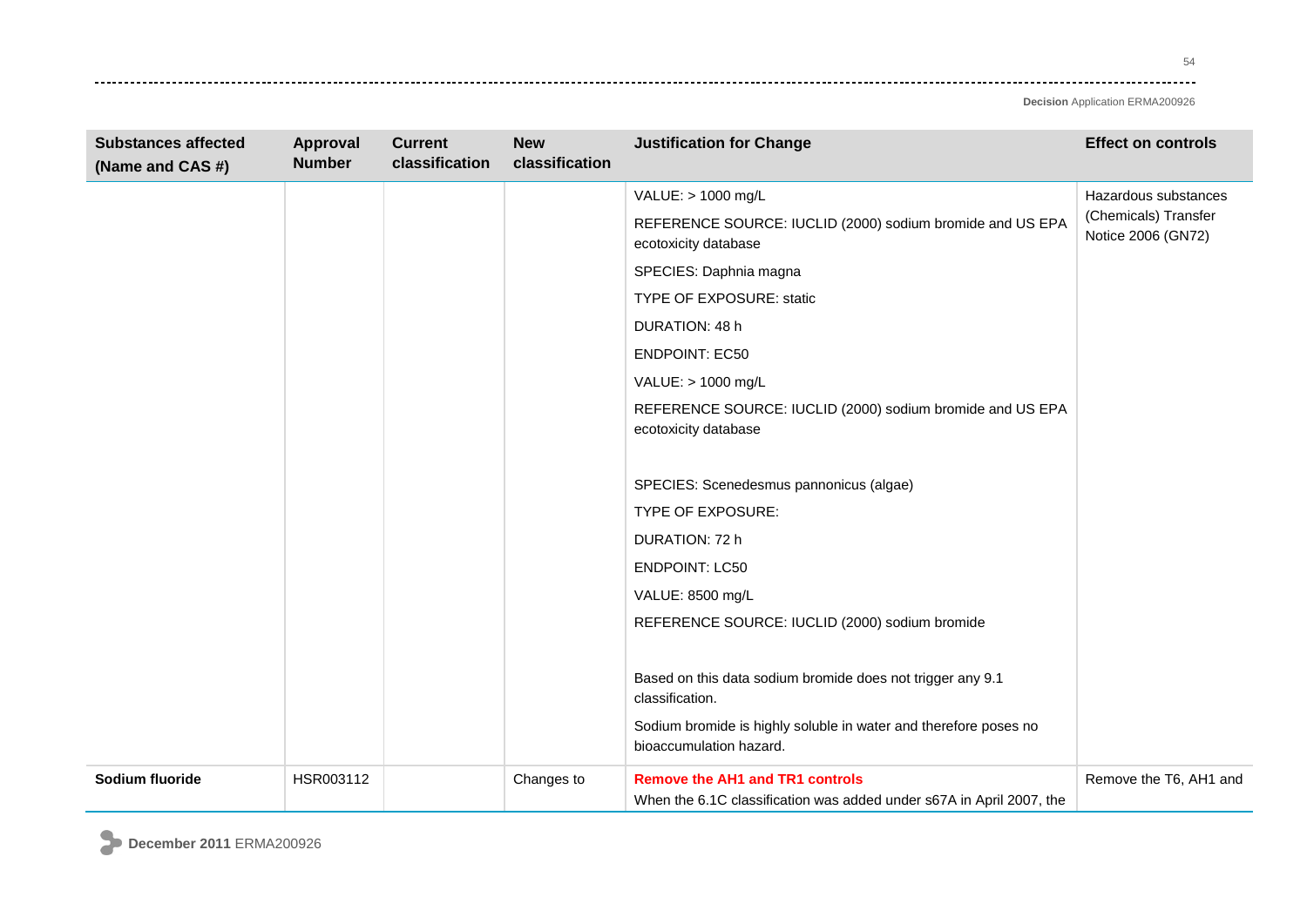54 وتوادي

| <b>Substances affected</b><br>(Name and CAS #) | Approval<br><b>Number</b> | <b>Current</b><br>classification | <b>New</b><br>classification | <b>Justification for Change</b>                                                                                | <b>Effect on controls</b>                  |
|------------------------------------------------|---------------------------|----------------------------------|------------------------------|----------------------------------------------------------------------------------------------------------------|--------------------------------------------|
|                                                |                           |                                  |                              | VALUE: > 1000 mg/L                                                                                             | Hazardous substances                       |
|                                                |                           |                                  |                              | REFERENCE SOURCE: IUCLID (2000) sodium bromide and US EPA<br>ecotoxicity database                              | (Chemicals) Transfer<br>Notice 2006 (GN72) |
|                                                |                           |                                  |                              | SPECIES: Daphnia magna                                                                                         |                                            |
|                                                |                           |                                  |                              | TYPE OF EXPOSURE: static                                                                                       |                                            |
|                                                |                           |                                  |                              | DURATION: 48 h                                                                                                 |                                            |
|                                                |                           |                                  |                              | <b>ENDPOINT: EC50</b>                                                                                          |                                            |
|                                                |                           |                                  |                              | VALUE: > 1000 mg/L                                                                                             |                                            |
|                                                |                           |                                  |                              | REFERENCE SOURCE: IUCLID (2000) sodium bromide and US EPA<br>ecotoxicity database                              |                                            |
|                                                |                           |                                  |                              | SPECIES: Scenedesmus pannonicus (algae)                                                                        |                                            |
|                                                |                           |                                  |                              | TYPE OF EXPOSURE:                                                                                              |                                            |
|                                                |                           |                                  |                              | DURATION: 72 h                                                                                                 |                                            |
|                                                |                           |                                  |                              | <b>ENDPOINT: LC50</b>                                                                                          |                                            |
|                                                |                           |                                  |                              | VALUE: 8500 mg/L                                                                                               |                                            |
|                                                |                           |                                  |                              | REFERENCE SOURCE: IUCLID (2000) sodium bromide                                                                 |                                            |
|                                                |                           |                                  |                              | Based on this data sodium bromide does not trigger any 9.1<br>classification.                                  |                                            |
|                                                |                           |                                  |                              | Sodium bromide is highly soluble in water and therefore poses no<br>bioaccumulation hazard.                    |                                            |
| Sodium fluoride                                | HSR003112                 |                                  | Changes to                   | <b>Remove the AH1 and TR1 controls</b><br>When the 6.1C classification was added under s67A in April 2007, the | Remove the T6, AH1 and                     |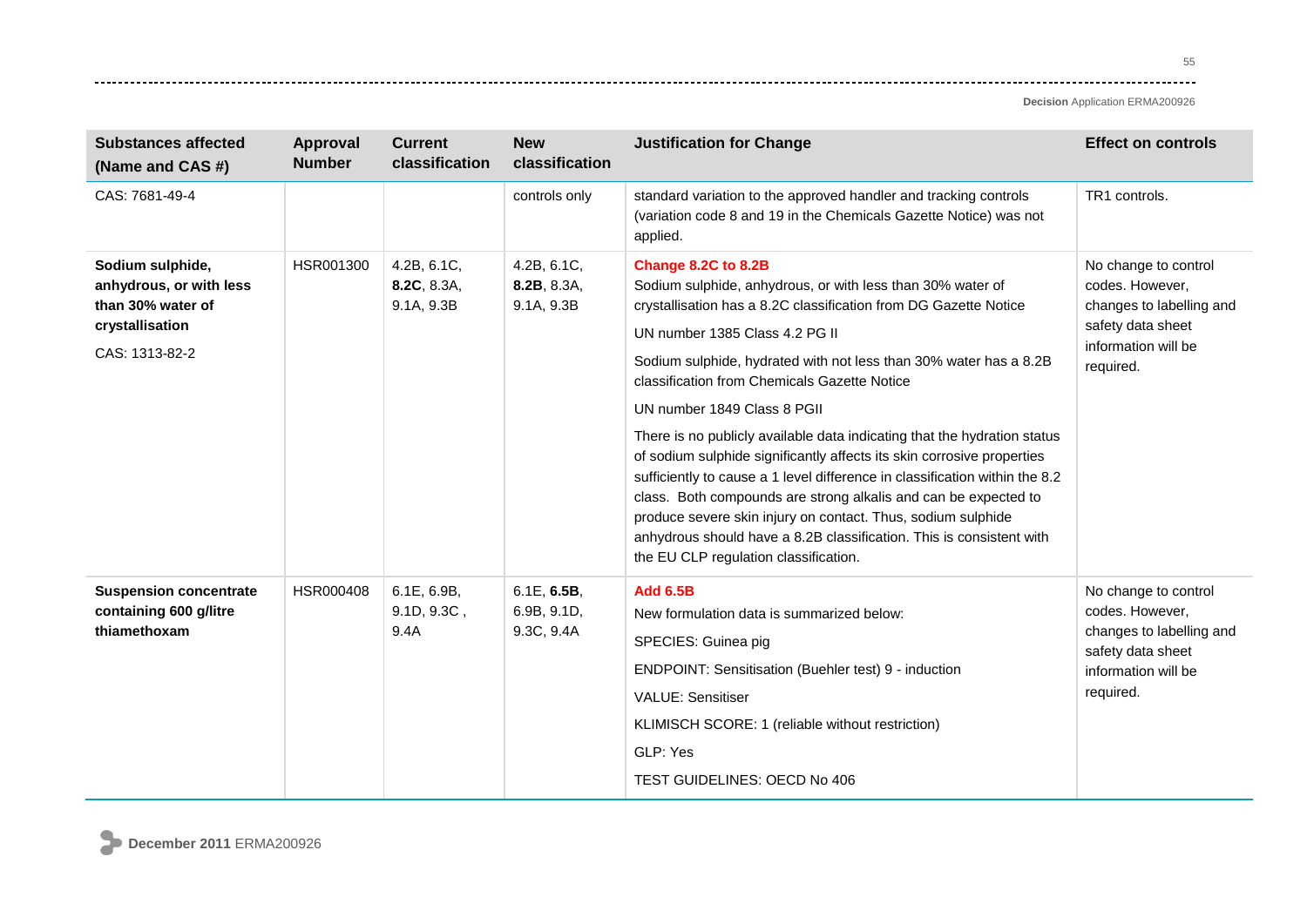---------

**Decision** Application ERMA200926

| <b>Substances affected</b><br>(Name and CAS #)                                      | Approval<br><b>Number</b> | <b>Current</b><br>classification         | <b>New</b><br>classification             | <b>Justification for Change</b>                                                                                                                                                                                                                                                                                                                                                                                                                                                                                      | <b>Effect on controls</b>                                                                                                    |
|-------------------------------------------------------------------------------------|---------------------------|------------------------------------------|------------------------------------------|----------------------------------------------------------------------------------------------------------------------------------------------------------------------------------------------------------------------------------------------------------------------------------------------------------------------------------------------------------------------------------------------------------------------------------------------------------------------------------------------------------------------|------------------------------------------------------------------------------------------------------------------------------|
| CAS: 7681-49-4                                                                      |                           |                                          | controls only                            | standard variation to the approved handler and tracking controls<br>(variation code 8 and 19 in the Chemicals Gazette Notice) was not<br>applied.                                                                                                                                                                                                                                                                                                                                                                    | TR1 controls.                                                                                                                |
| Sodium sulphide,<br>anhydrous, or with less<br>than 30% water of<br>crystallisation | HSR001300                 | 4.2B, 6.1C,<br>8.2C, 8.3A,<br>9.1A, 9.3B | 4.2B, 6.1C,<br>8.2B, 8.3A,<br>9.1A, 9.3B | Change 8.2C to 8.2B<br>Sodium sulphide, anhydrous, or with less than 30% water of<br>crystallisation has a 8.2C classification from DG Gazette Notice<br>UN number 1385 Class 4.2 PG II                                                                                                                                                                                                                                                                                                                              | No change to control<br>codes. However,<br>changes to labelling and<br>safety data sheet                                     |
| CAS: 1313-82-2                                                                      |                           |                                          |                                          | Sodium sulphide, hydrated with not less than 30% water has a 8.2B<br>classification from Chemicals Gazette Notice                                                                                                                                                                                                                                                                                                                                                                                                    | information will be<br>required.                                                                                             |
|                                                                                     |                           |                                          |                                          | UN number 1849 Class 8 PGII<br>There is no publicly available data indicating that the hydration status<br>of sodium sulphide significantly affects its skin corrosive properties<br>sufficiently to cause a 1 level difference in classification within the 8.2<br>class. Both compounds are strong alkalis and can be expected to<br>produce severe skin injury on contact. Thus, sodium sulphide<br>anhydrous should have a 8.2B classification. This is consistent with<br>the EU CLP regulation classification. |                                                                                                                              |
| <b>Suspension concentrate</b><br>containing 600 g/litre<br>thiamethoxam             | HSR000408                 | 6.1E, 6.9B,<br>9.1D, 9.3C,<br>9.4A       | 6.1E, 6.5B,<br>6.9B, 9.1D,<br>9.3C, 9.4A | <b>Add 6.5B</b><br>New formulation data is summarized below:<br>SPECIES: Guinea pig<br>ENDPOINT: Sensitisation (Buehler test) 9 - induction<br><b>VALUE: Sensitiser</b><br>KLIMISCH SCORE: 1 (reliable without restriction)<br>GLP: Yes<br>TEST GUIDELINES: OECD No 406                                                                                                                                                                                                                                              | No change to control<br>codes. However,<br>changes to labelling and<br>safety data sheet<br>information will be<br>required. |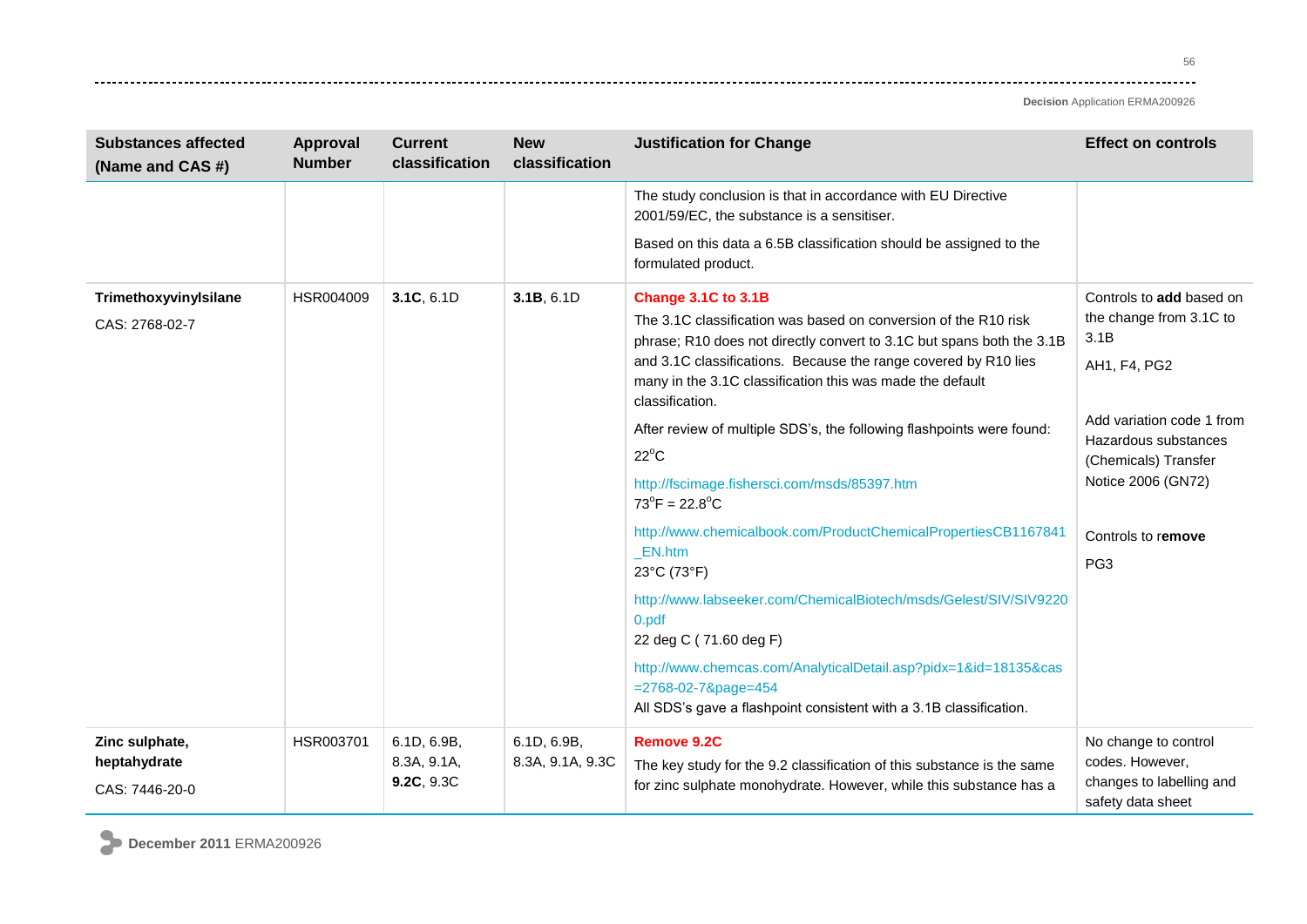56 ----

**Decision** Application ERMA200926

| <b>Substances affected</b><br>(Name and CAS #)   | <b>Approval</b><br><b>Number</b> | <b>Current</b><br>classification         | <b>New</b><br>classification    | <b>Justification for Change</b>                                                                                                                                                                                                                                                                                                                                                                                                                                                                                                                                                                                                                                                                                                                                           | <b>Effect on controls</b>                                                                                                                                                                                               |
|--------------------------------------------------|----------------------------------|------------------------------------------|---------------------------------|---------------------------------------------------------------------------------------------------------------------------------------------------------------------------------------------------------------------------------------------------------------------------------------------------------------------------------------------------------------------------------------------------------------------------------------------------------------------------------------------------------------------------------------------------------------------------------------------------------------------------------------------------------------------------------------------------------------------------------------------------------------------------|-------------------------------------------------------------------------------------------------------------------------------------------------------------------------------------------------------------------------|
|                                                  |                                  |                                          |                                 | The study conclusion is that in accordance with EU Directive<br>2001/59/EC, the substance is a sensitiser.                                                                                                                                                                                                                                                                                                                                                                                                                                                                                                                                                                                                                                                                |                                                                                                                                                                                                                         |
|                                                  |                                  |                                          |                                 | Based on this data a 6.5B classification should be assigned to the<br>formulated product.                                                                                                                                                                                                                                                                                                                                                                                                                                                                                                                                                                                                                                                                                 |                                                                                                                                                                                                                         |
| TrimethoxyvinyIsilane<br>CAS: 2768-02-7          | HSR004009                        | 3.1C, 6.1D                               | 3.1B, 6.1D                      | Change 3.1C to 3.1B<br>The 3.1C classification was based on conversion of the R10 risk<br>phrase; R10 does not directly convert to 3.1C but spans both the 3.1B<br>and 3.1C classifications. Because the range covered by R10 lies<br>many in the 3.1C classification this was made the default<br>classification.<br>After review of multiple SDS's, the following flashpoints were found:<br>$22^{\circ}$ C<br>http://fscimage.fishersci.com/msds/85397.htm<br>$73^{\circ}$ F = 22.8 $^{\circ}$ C<br>http://www.chemicalbook.com/ProductChemicalPropertiesCB1167841<br>_EN.htm<br>23°C (73°F)<br>http://www.labseeker.com/ChemicalBiotech/msds/Gelest/SIV/SIV9220<br>0.pdf<br>22 deg C (71.60 deg F)<br>http://www.chemcas.com/AnalyticalDetail.asp?pidx=1&id=18135&cas | Controls to add based on<br>the change from 3.1C to<br>3.1B<br>AH1, F4, PG2<br>Add variation code 1 from<br>Hazardous substances<br>(Chemicals) Transfer<br>Notice 2006 (GN72)<br>Controls to remove<br>PG <sub>3</sub> |
|                                                  |                                  |                                          |                                 | $= 2768 - 02 - 78$ page=454<br>All SDS's gave a flashpoint consistent with a 3.1B classification.                                                                                                                                                                                                                                                                                                                                                                                                                                                                                                                                                                                                                                                                         |                                                                                                                                                                                                                         |
| Zinc sulphate,<br>heptahydrate<br>CAS: 7446-20-0 | HSR003701                        | 6.1D, 6.9B,<br>8.3A, 9.1A,<br>9.2C, 9.3C | 6.1D, 6.9B,<br>8.3A, 9.1A, 9.3C | <b>Remove 9.2C</b><br>The key study for the 9.2 classification of this substance is the same<br>for zinc sulphate monohydrate. However, while this substance has a                                                                                                                                                                                                                                                                                                                                                                                                                                                                                                                                                                                                        | No change to control<br>codes. However,<br>changes to labelling and<br>safety data sheet                                                                                                                                |

**December 2011** ERMA200926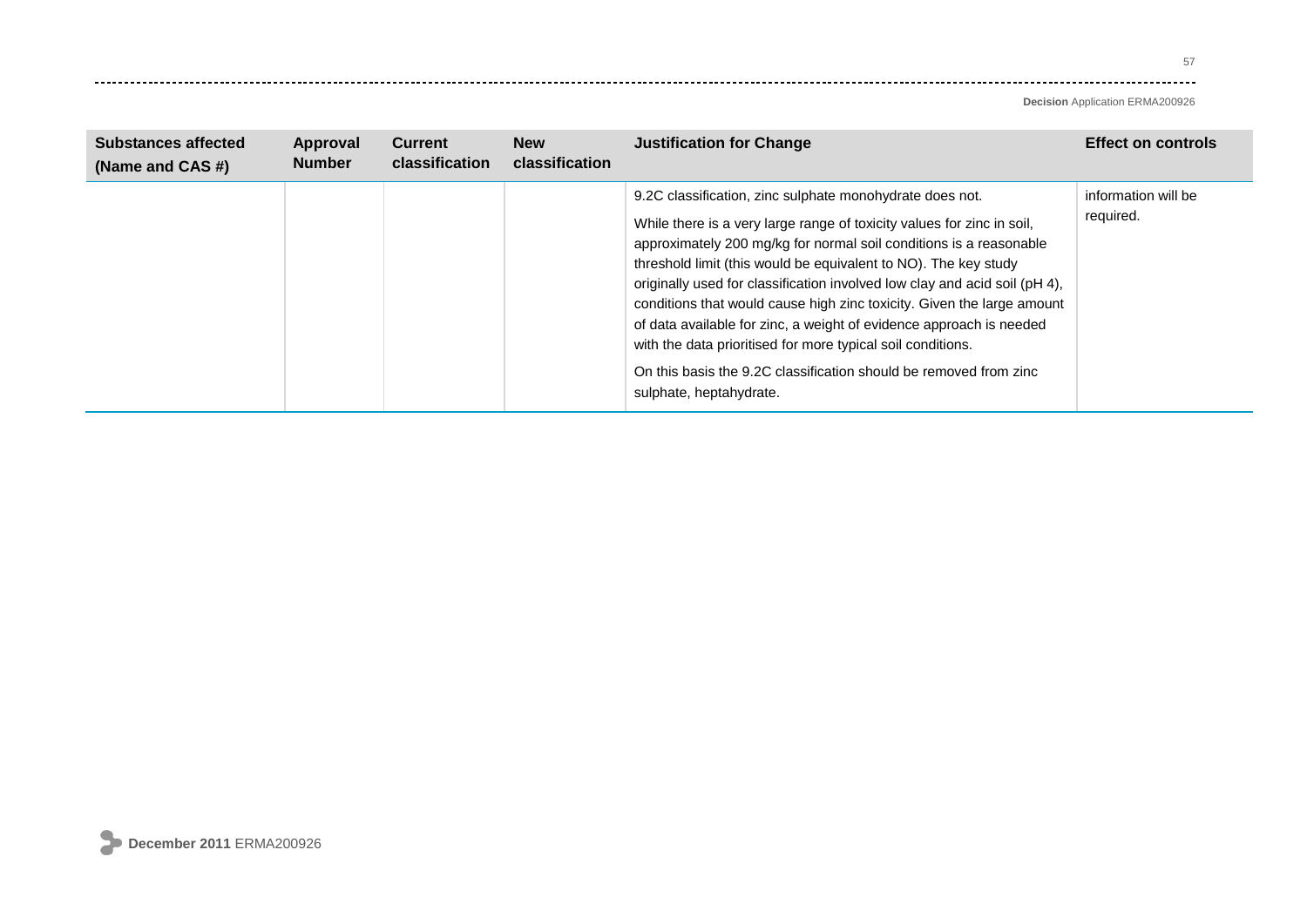---------

| <b>Substances affected</b><br>(Name and CAS #) | Approval<br><b>Number</b> | <b>Current</b><br>classification | <b>New</b><br>classification | <b>Justification for Change</b>                                                                                                                                                                                                                                                                                                                                                                                                                                                                                                                                                                                                                                           | <b>Effect on controls</b>        |
|------------------------------------------------|---------------------------|----------------------------------|------------------------------|---------------------------------------------------------------------------------------------------------------------------------------------------------------------------------------------------------------------------------------------------------------------------------------------------------------------------------------------------------------------------------------------------------------------------------------------------------------------------------------------------------------------------------------------------------------------------------------------------------------------------------------------------------------------------|----------------------------------|
|                                                |                           |                                  |                              | 9.2C classification, zinc sulphate monohydrate does not.<br>While there is a very large range of toxicity values for zinc in soil,<br>approximately 200 mg/kg for normal soil conditions is a reasonable<br>threshold limit (this would be equivalent to NO). The key study<br>originally used for classification involved low clay and acid soil (pH 4),<br>conditions that would cause high zinc toxicity. Given the large amount<br>of data available for zinc, a weight of evidence approach is needed<br>with the data prioritised for more typical soil conditions.<br>On this basis the 9.2C classification should be removed from zinc<br>sulphate, heptahydrate. | information will be<br>required. |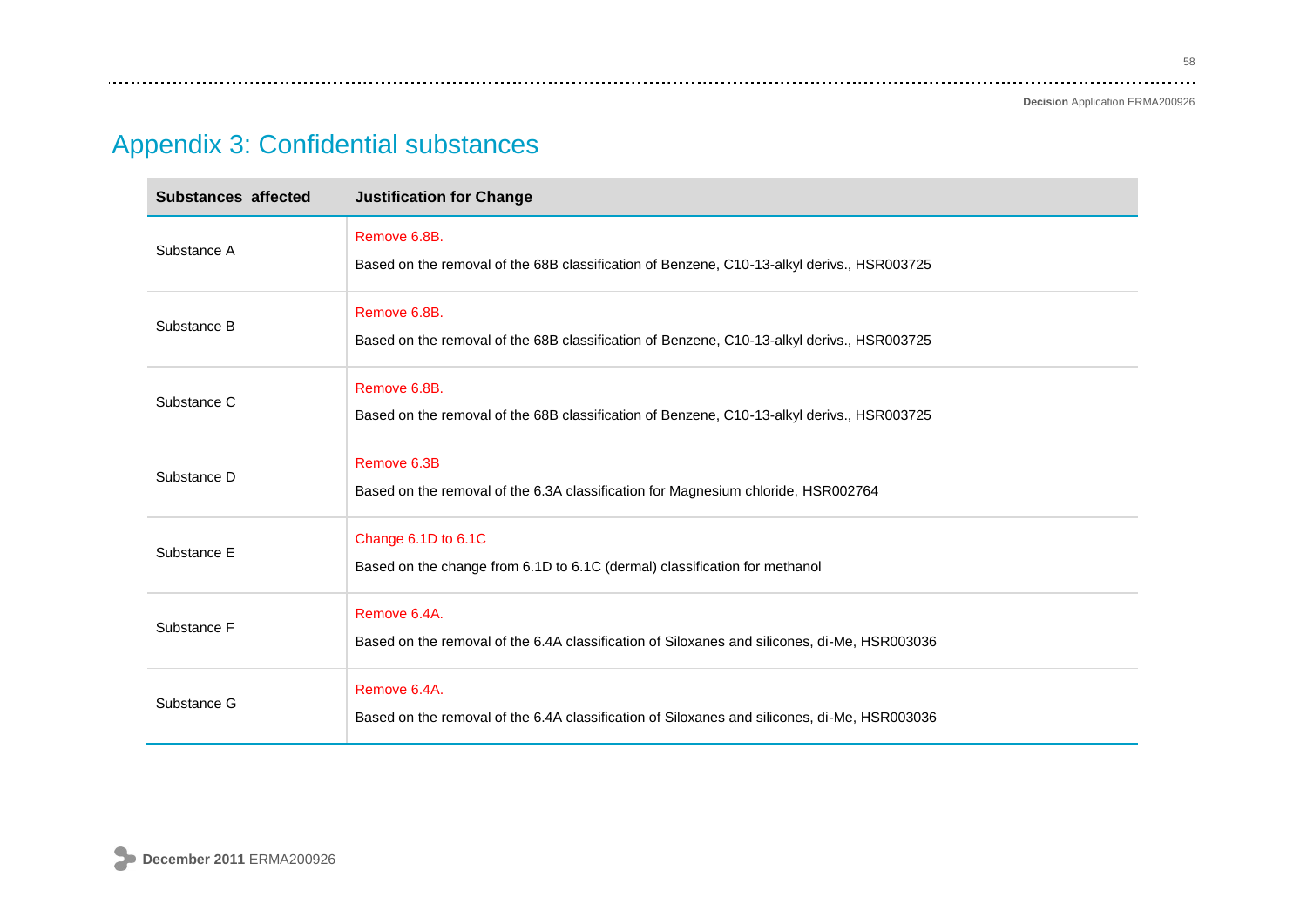**Decision** Application ERMA200926

# Appendix 3: Confidential substances

| Substances affected | <b>Justification for Change</b>                                                                              |
|---------------------|--------------------------------------------------------------------------------------------------------------|
| Substance A         | Remove 6.8B.<br>Based on the removal of the 68B classification of Benzene, C10-13-alkyl derivs., HSR003725   |
| Substance B         | Remove 6.8B.<br>Based on the removal of the 68B classification of Benzene, C10-13-alkyl derivs., HSR003725   |
| Substance C         | Remove 6.8B.<br>Based on the removal of the 68B classification of Benzene, C10-13-alkyl derivs., HSR003725   |
| Substance D         | Remove 6.3B<br>Based on the removal of the 6.3A classification for Magnesium chloride, HSR002764             |
| Substance E         | Change 6.1D to 6.1C<br>Based on the change from 6.1D to 6.1C (dermal) classification for methanol            |
| Substance F         | Remove 6.4A.<br>Based on the removal of the 6.4A classification of Siloxanes and silicones, di-Me, HSR003036 |
| Substance G         | Remove 6.4A.<br>Based on the removal of the 6.4A classification of Siloxanes and silicones, di-Me, HSR003036 |